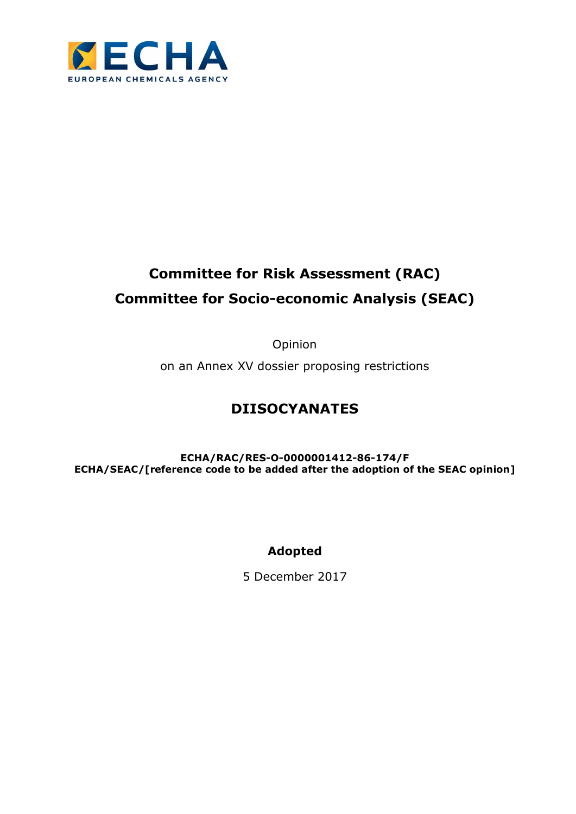

# Committee for Risk Assessment (RAC) Committee for Socio-economic Analysis (SEAC)

Opinion

on an Annex XV dossier proposing restrictions

# DIISOCYANATES

ECHA/RAC/RES-O-0000001412-86-174/F ECHA/SEAC/[reference code to be added after the adoption of the SEAC opinion]

# Adopted

5 December 2017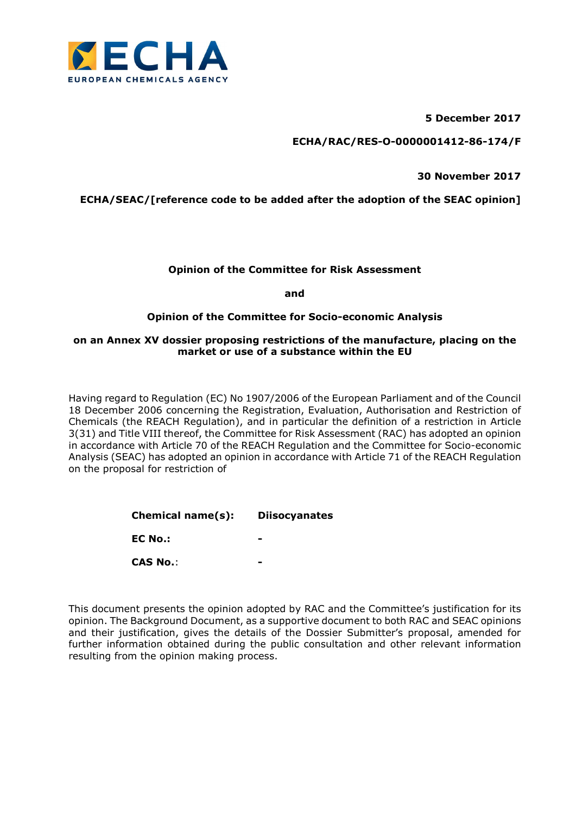

5 December 2017

ECHA/RAC/RES-O-0000001412-86-174/F

30 November 2017

ECHA/SEAC/[reference code to be added after the adoption of the SEAC opinion]

# Opinion of the Committee for Risk Assessment

and

# Opinion of the Committee for Socio-economic Analysis

## on an Annex XV dossier proposing restrictions of the manufacture, placing on the market or use of a substance within the EU

Having regard to Regulation (EC) No 1907/2006 of the European Parliament and of the Council 18 December 2006 concerning the Registration, Evaluation, Authorisation and Restriction of Chemicals (the REACH Regulation), and in particular the definition of a restriction in Article 3(31) and Title VIII thereof, the Committee for Risk Assessment (RAC) has adopted an opinion in accordance with Article 70 of the REACH Regulation and the Committee for Socio-economic Analysis (SEAC) has adopted an opinion in accordance with Article 71 of the REACH Regulation on the proposal for restriction of

| Chemical name(s): | <b>Diisocyanates</b> |
|-------------------|----------------------|
| EC No.:           |                      |
| <b>CAS No.:</b>   |                      |

This document presents the opinion adopted by RAC and the Committee's justification for its opinion. The Background Document, as a supportive document to both RAC and SEAC opinions and their justification, gives the details of the Dossier Submitter's proposal, amended for further information obtained during the public consultation and other relevant information resulting from the opinion making process.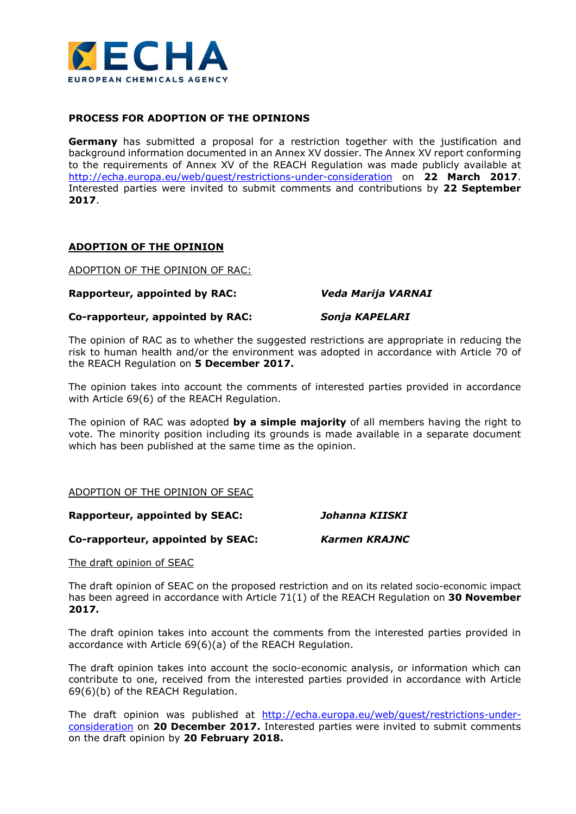

# PROCESS FOR ADOPTION OF THE OPINIONS

**Germany** has submitted a proposal for a restriction together with the justification and background information documented in an Annex XV dossier. The Annex XV report conforming to the requirements of Annex XV of the REACH Regulation was made publicly available at http://echa.europa.eu/web/guest/restrictions-under-consideration on 22 March 2017. Interested parties were invited to submit comments and contributions by 22 September 2017.

# ADOPTION OF THE OPINION

ADOPTION OF THE OPINION OF RAC:

## Rapporteur, appointed by RAC: Veda Marija VARNAI

Co-rapporteur, appointed by RAC: Sonja KAPELARI

The opinion of RAC as to whether the suggested restrictions are appropriate in reducing the risk to human health and/or the environment was adopted in accordance with Article 70 of the REACH Regulation on 5 December 2017.

The opinion takes into account the comments of interested parties provided in accordance with Article 69(6) of the REACH Regulation.

The opinion of RAC was adopted by a simple majority of all members having the right to vote. The minority position including its grounds is made available in a separate document which has been published at the same time as the opinion.

# ADOPTION OF THE OPINION OF SEAC

Rapporteur, appointed by SEAC: Johanna KIISKI

Co-rapporteur, appointed by SEAC: Karmen KRAJNC

The draft opinion of SEAC

The draft opinion of SEAC on the proposed restriction and on its related socio-economic impact has been agreed in accordance with Article 71(1) of the REACH Regulation on 30 November 2017.

The draft opinion takes into account the comments from the interested parties provided in accordance with Article 69(6)(a) of the REACH Regulation.

The draft opinion takes into account the socio-economic analysis, or information which can contribute to one, received from the interested parties provided in accordance with Article 69(6)(b) of the REACH Regulation.

The draft opinion was published at http://echa.europa.eu/web/guest/restrictions-underconsideration on 20 December 2017. Interested parties were invited to submit comments on the draft opinion by 20 February 2018.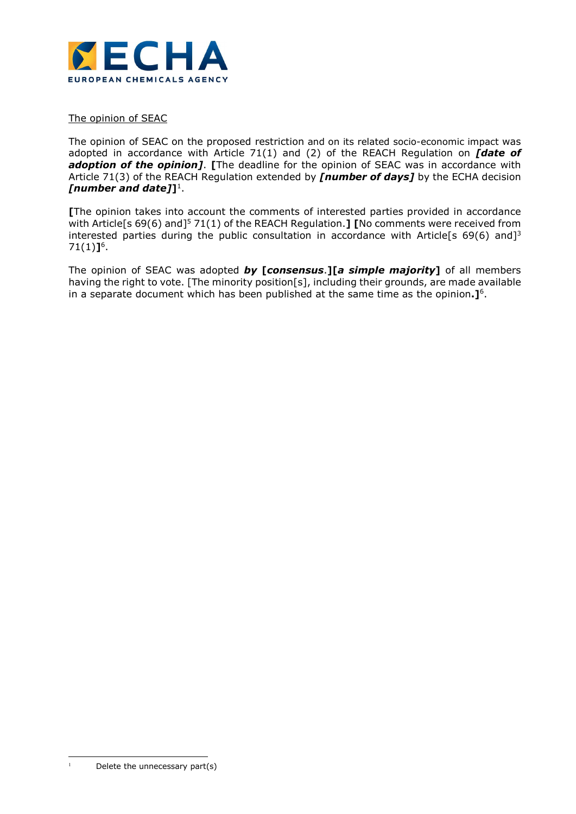

The opinion of SEAC

The opinion of SEAC on the proposed restriction and on its related socio-economic impact was adopted in accordance with Article 71(1) and (2) of the REACH Regulation on  $\int d$  ate of adoption of the opinion]. [The deadline for the opinion of SEAC was in accordance with Article 71(3) of the REACH Regulation extended by *[number of days]* by the ECHA decision [number and date]] $^1$ .

[The opinion takes into account the comments of interested parties provided in accordance with Article[s 69(6) and]<sup>5</sup> 71(1) of the REACH Regulation.] [No comments were received from interested parties during the public consultation in accordance with Article[s 69(6) and]<sup>3</sup>  $71(1)$ ]<sup>6</sup>.

The opinion of SEAC was adopted  $by$  [consensus.][a simple majority] of all members having the right to vote. [The minority position[s], including their grounds, are made available in a separate document which has been published at the same time as the opinion. $\mathbf{I}^6$ .

-1

Delete the unnecessary part(s)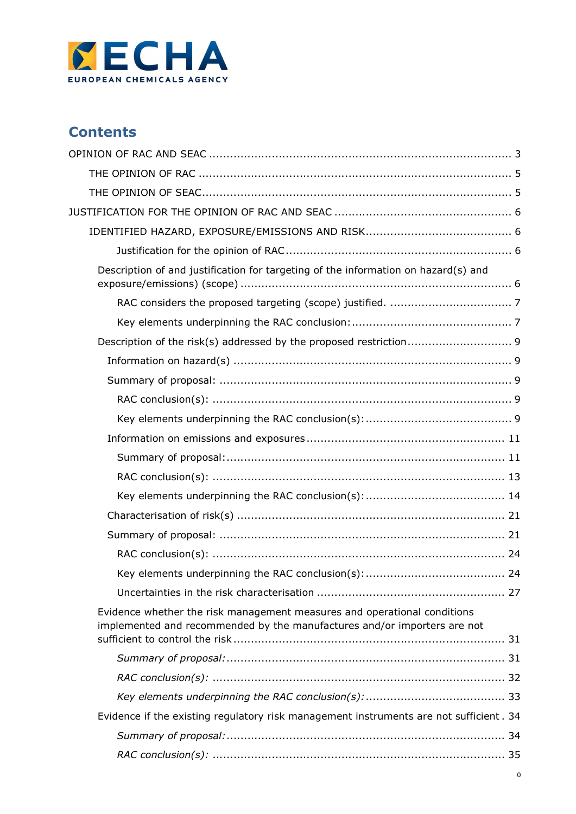

# **Contents**

| Description of and justification for targeting of the information on hazard(s) and                                                                   |  |
|------------------------------------------------------------------------------------------------------------------------------------------------------|--|
|                                                                                                                                                      |  |
|                                                                                                                                                      |  |
| Description of the risk(s) addressed by the proposed restriction 9                                                                                   |  |
|                                                                                                                                                      |  |
|                                                                                                                                                      |  |
|                                                                                                                                                      |  |
|                                                                                                                                                      |  |
|                                                                                                                                                      |  |
|                                                                                                                                                      |  |
|                                                                                                                                                      |  |
|                                                                                                                                                      |  |
|                                                                                                                                                      |  |
|                                                                                                                                                      |  |
|                                                                                                                                                      |  |
|                                                                                                                                                      |  |
|                                                                                                                                                      |  |
| Evidence whether the risk management measures and operational conditions<br>implemented and recommended by the manufactures and/or importers are not |  |
|                                                                                                                                                      |  |
|                                                                                                                                                      |  |
|                                                                                                                                                      |  |
| Evidence if the existing regulatory risk management instruments are not sufficient . 34                                                              |  |
|                                                                                                                                                      |  |
|                                                                                                                                                      |  |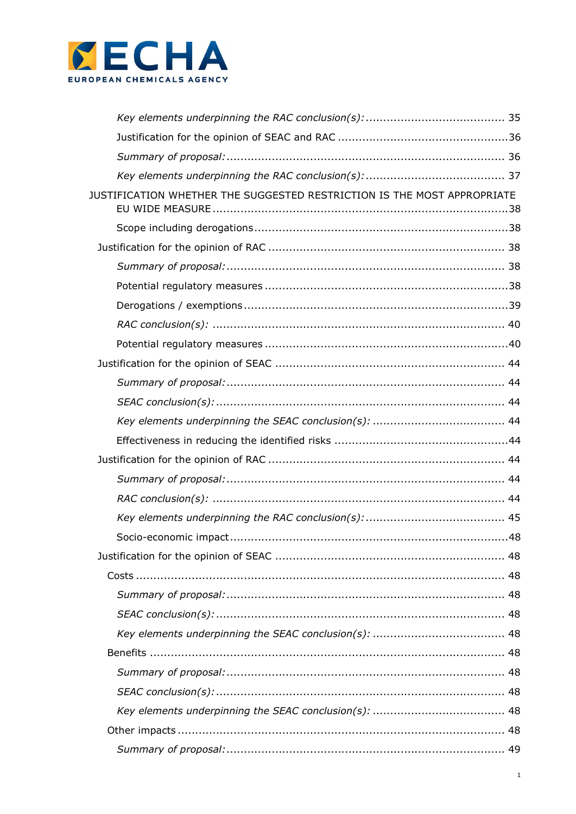

| JUSTIFICATION WHETHER THE SUGGESTED RESTRICTION IS THE MOST APPROPRIATE |  |
|-------------------------------------------------------------------------|--|
|                                                                         |  |
|                                                                         |  |
|                                                                         |  |
|                                                                         |  |
|                                                                         |  |
|                                                                         |  |
|                                                                         |  |
|                                                                         |  |
|                                                                         |  |
|                                                                         |  |
|                                                                         |  |
|                                                                         |  |
|                                                                         |  |
|                                                                         |  |
|                                                                         |  |
|                                                                         |  |
|                                                                         |  |
|                                                                         |  |
|                                                                         |  |
|                                                                         |  |
|                                                                         |  |
|                                                                         |  |
|                                                                         |  |
|                                                                         |  |
|                                                                         |  |
|                                                                         |  |
|                                                                         |  |
|                                                                         |  |
|                                                                         |  |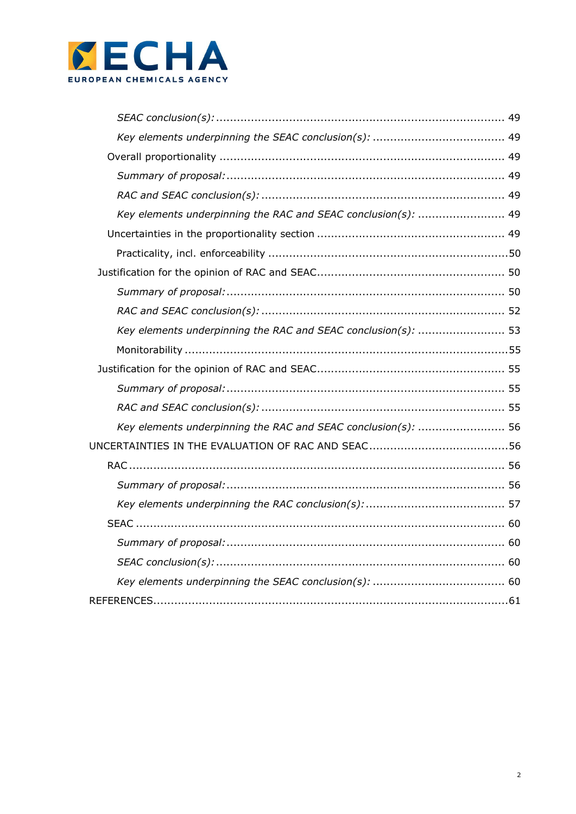

| Key elements underpinning the RAC and SEAC conclusion(s):  49 |  |
|---------------------------------------------------------------|--|
|                                                               |  |
|                                                               |  |
|                                                               |  |
|                                                               |  |
|                                                               |  |
| Key elements underpinning the RAC and SEAC conclusion(s):  53 |  |
|                                                               |  |
|                                                               |  |
|                                                               |  |
|                                                               |  |
| Key elements underpinning the RAC and SEAC conclusion(s):  56 |  |
|                                                               |  |
|                                                               |  |
|                                                               |  |
|                                                               |  |
|                                                               |  |
|                                                               |  |
|                                                               |  |
|                                                               |  |
|                                                               |  |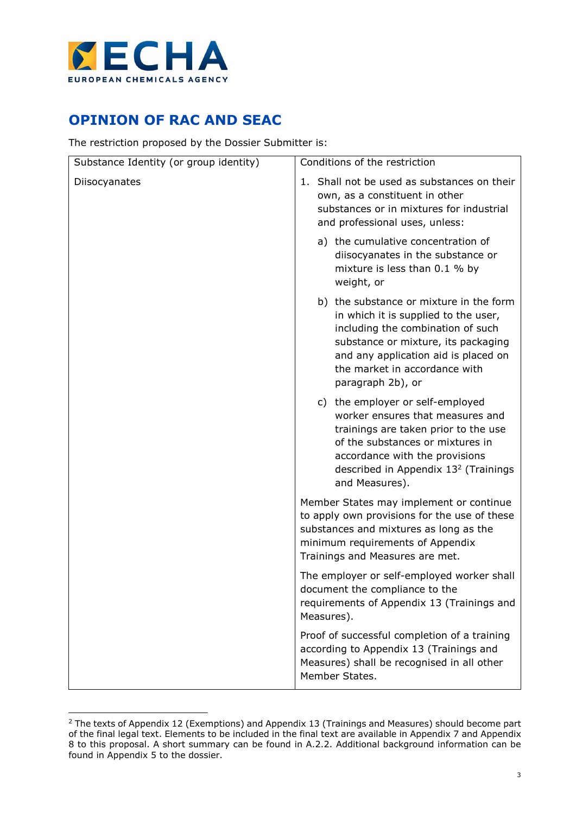

-

# OPINION OF RAC AND SEAC

The restriction proposed by the Dossier Submitter is:

| Substance Identity (or group identity) | Conditions of the restriction                                                                                                                                                                                                                             |
|----------------------------------------|-----------------------------------------------------------------------------------------------------------------------------------------------------------------------------------------------------------------------------------------------------------|
| Diisocyanates                          | 1. Shall not be used as substances on their<br>own, as a constituent in other<br>substances or in mixtures for industrial<br>and professional uses, unless:                                                                                               |
|                                        | a) the cumulative concentration of<br>diisocyanates in the substance or<br>mixture is less than 0.1 % by<br>weight, or                                                                                                                                    |
|                                        | b) the substance or mixture in the form<br>in which it is supplied to the user,<br>including the combination of such<br>substance or mixture, its packaging<br>and any application aid is placed on<br>the market in accordance with<br>paragraph 2b), or |
|                                        | c) the employer or self-employed<br>worker ensures that measures and<br>trainings are taken prior to the use<br>of the substances or mixtures in<br>accordance with the provisions<br>described in Appendix 13 <sup>2</sup> (Trainings<br>and Measures).  |
|                                        | Member States may implement or continue<br>to apply own provisions for the use of these<br>substances and mixtures as long as the<br>minimum requirements of Appendix<br>Trainings and Measures are met.                                                  |
|                                        | The employer or self-employed worker shall<br>document the compliance to the<br>requirements of Appendix 13 (Trainings and<br>Measures).                                                                                                                  |
|                                        | Proof of successful completion of a training<br>according to Appendix 13 (Trainings and<br>Measures) shall be recognised in all other<br>Member States.                                                                                                   |

<sup>&</sup>lt;sup>2</sup> The texts of Appendix 12 (Exemptions) and Appendix 13 (Trainings and Measures) should become part of the final legal text. Elements to be included in the final text are available in Appendix 7 and Appendix 8 to this proposal. A short summary can be found in A.2.2. Additional background information can be found in Appendix 5 to the dossier.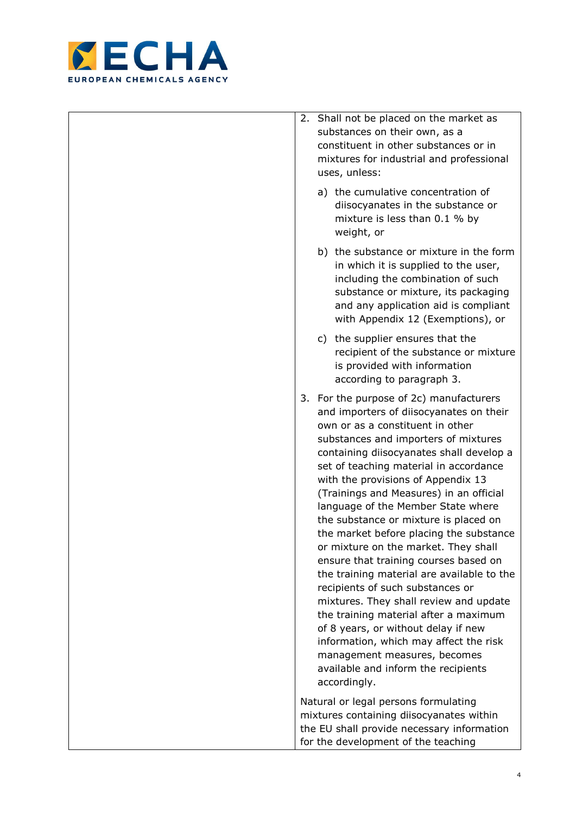

|    | 2. Shall not be placed on the market as<br>substances on their own, as a<br>constituent in other substances or in<br>mixtures for industrial and professional<br>uses, unless:                                                                                                                                                                                                                                                                                                                                                                                                                                                                                                                                                                                                                                                                                                             |
|----|--------------------------------------------------------------------------------------------------------------------------------------------------------------------------------------------------------------------------------------------------------------------------------------------------------------------------------------------------------------------------------------------------------------------------------------------------------------------------------------------------------------------------------------------------------------------------------------------------------------------------------------------------------------------------------------------------------------------------------------------------------------------------------------------------------------------------------------------------------------------------------------------|
|    | a) the cumulative concentration of<br>diisocyanates in the substance or<br>mixture is less than 0.1 % by<br>weight, or                                                                                                                                                                                                                                                                                                                                                                                                                                                                                                                                                                                                                                                                                                                                                                     |
|    | b) the substance or mixture in the form<br>in which it is supplied to the user,<br>including the combination of such<br>substance or mixture, its packaging<br>and any application aid is compliant<br>with Appendix 12 (Exemptions), or                                                                                                                                                                                                                                                                                                                                                                                                                                                                                                                                                                                                                                                   |
|    | c) the supplier ensures that the<br>recipient of the substance or mixture<br>is provided with information<br>according to paragraph 3.                                                                                                                                                                                                                                                                                                                                                                                                                                                                                                                                                                                                                                                                                                                                                     |
| 3. | For the purpose of 2c) manufacturers<br>and importers of diisocyanates on their<br>own or as a constituent in other<br>substances and importers of mixtures<br>containing diisocyanates shall develop a<br>set of teaching material in accordance<br>with the provisions of Appendix 13<br>(Trainings and Measures) in an official<br>language of the Member State where<br>the substance or mixture is placed on<br>the market before placing the substance<br>or mixture on the market. They shall<br>ensure that training courses based on<br>the training material are available to the<br>recipients of such substances or<br>mixtures. They shall review and update<br>the training material after a maximum<br>of 8 years, or without delay if new<br>information, which may affect the risk<br>management measures, becomes<br>available and inform the recipients<br>accordingly. |
|    | Natural or legal persons formulating<br>mixtures containing diisocyanates within<br>the EU shall provide necessary information                                                                                                                                                                                                                                                                                                                                                                                                                                                                                                                                                                                                                                                                                                                                                             |
|    | for the development of the teaching                                                                                                                                                                                                                                                                                                                                                                                                                                                                                                                                                                                                                                                                                                                                                                                                                                                        |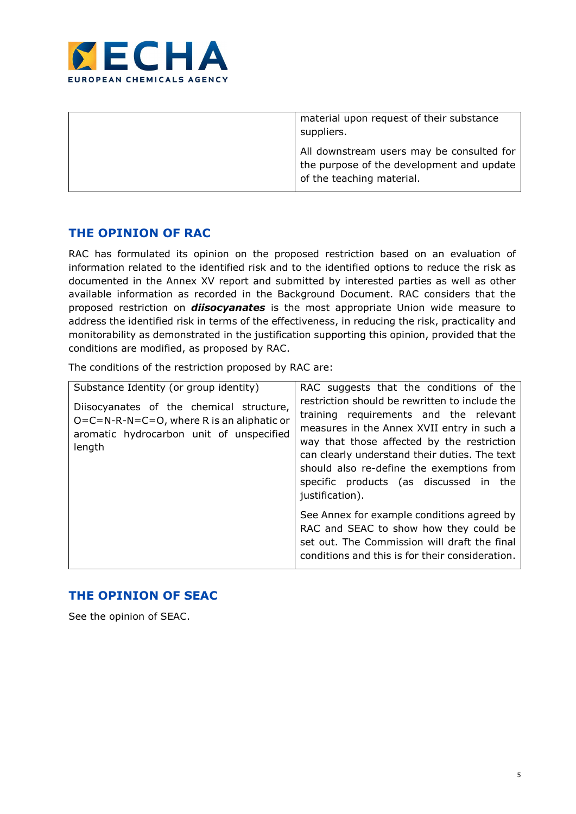

| material upon request of their substance<br>suppliers.                                                              |
|---------------------------------------------------------------------------------------------------------------------|
| All downstream users may be consulted for<br>the purpose of the development and update<br>of the teaching material. |

# THE OPINION OF RAC

RAC has formulated its opinion on the proposed restriction based on an evaluation of information related to the identified risk and to the identified options to reduce the risk as documented in the Annex XV report and submitted by interested parties as well as other available information as recorded in the Background Document. RAC considers that the proposed restriction on *diisocyanates* is the most appropriate Union wide measure to address the identified risk in terms of the effectiveness, in reducing the risk, practicality and monitorability as demonstrated in the justification supporting this opinion, provided that the conditions are modified, as proposed by RAC.

The conditions of the restriction proposed by RAC are:

| Substance Identity (or group identity)                                                                                                         | RAC suggests that the conditions of the                                                                                                                                                                                                                                                                                                         |  |  |  |  |  |
|------------------------------------------------------------------------------------------------------------------------------------------------|-------------------------------------------------------------------------------------------------------------------------------------------------------------------------------------------------------------------------------------------------------------------------------------------------------------------------------------------------|--|--|--|--|--|
| Diisocyanates of the chemical structure,<br>$O=C=N-R-N=C=O$ , where R is an aliphatic or<br>aromatic hydrocarbon unit of unspecified<br>length | restriction should be rewritten to include the<br>training requirements and the relevant<br>measures in the Annex XVII entry in such a<br>way that those affected by the restriction<br>can clearly understand their duties. The text<br>should also re-define the exemptions from<br>specific products (as discussed in the<br>justification). |  |  |  |  |  |
|                                                                                                                                                | See Annex for example conditions agreed by<br>RAC and SEAC to show how they could be<br>set out. The Commission will draft the final<br>conditions and this is for their consideration.                                                                                                                                                         |  |  |  |  |  |

# THE OPINION OF SEAC

See the opinion of SEAC.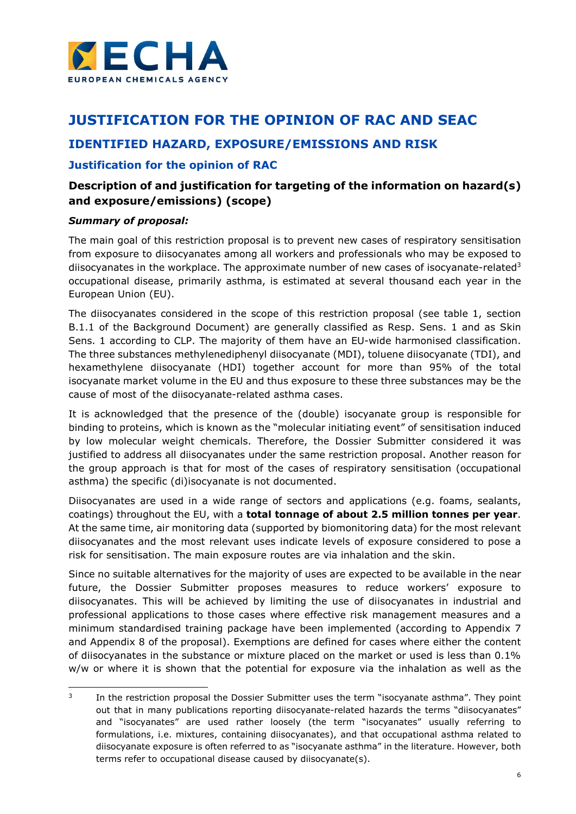

# JUSTIFICATION FOR THE OPINION OF RAC AND SEAC

# IDENTIFIED HAZARD, EXPOSURE/EMISSIONS AND RISK

# Justification for the opinion of RAC

# Description of and justification for targeting of the information on hazard(s) and exposure/emissions) (scope)

# Summary of proposal:

The main goal of this restriction proposal is to prevent new cases of respiratory sensitisation from exposure to diisocyanates among all workers and professionals who may be exposed to diisocyanates in the workplace. The approximate number of new cases of isocyanate-related<sup>3</sup> occupational disease, primarily asthma, is estimated at several thousand each year in the European Union (EU).

The diisocyanates considered in the scope of this restriction proposal (see table 1, section B.1.1 of the Background Document) are generally classified as Resp. Sens. 1 and as Skin Sens. 1 according to CLP. The majority of them have an EU-wide harmonised classification. The three substances methylenediphenyl diisocyanate (MDI), toluene diisocyanate (TDI), and hexamethylene diisocyanate (HDI) together account for more than 95% of the total isocyanate market volume in the EU and thus exposure to these three substances may be the cause of most of the diisocyanate-related asthma cases.

It is acknowledged that the presence of the (double) isocyanate group is responsible for binding to proteins, which is known as the "molecular initiating event" of sensitisation induced by low molecular weight chemicals. Therefore, the Dossier Submitter considered it was justified to address all diisocyanates under the same restriction proposal. Another reason for the group approach is that for most of the cases of respiratory sensitisation (occupational asthma) the specific (di)isocyanate is not documented.

Diisocyanates are used in a wide range of sectors and applications (e.g. foams, sealants, coatings) throughout the EU, with a **total tonnage of about 2.5 million tonnes per year**. At the same time, air monitoring data (supported by biomonitoring data) for the most relevant diisocyanates and the most relevant uses indicate levels of exposure considered to pose a risk for sensitisation. The main exposure routes are via inhalation and the skin.

Since no suitable alternatives for the majority of uses are expected to be available in the near future, the Dossier Submitter proposes measures to reduce workers' exposure to diisocyanates. This will be achieved by limiting the use of diisocyanates in industrial and professional applications to those cases where effective risk management measures and a minimum standardised training package have been implemented (according to Appendix 7 and Appendix 8 of the proposal). Exemptions are defined for cases where either the content of diisocyanates in the substance or mixture placed on the market or used is less than 0.1% w/w or where it is shown that the potential for exposure via the inhalation as well as the

 $\frac{1}{3}$  In the restriction proposal the Dossier Submitter uses the term "isocyanate asthma". They point out that in many publications reporting diisocyanate-related hazards the terms "diisocyanates" and "isocyanates" are used rather loosely (the term "isocyanates" usually referring to formulations, i.e. mixtures, containing diisocyanates), and that occupational asthma related to diisocyanate exposure is often referred to as "isocyanate asthma" in the literature. However, both terms refer to occupational disease caused by diisocyanate(s).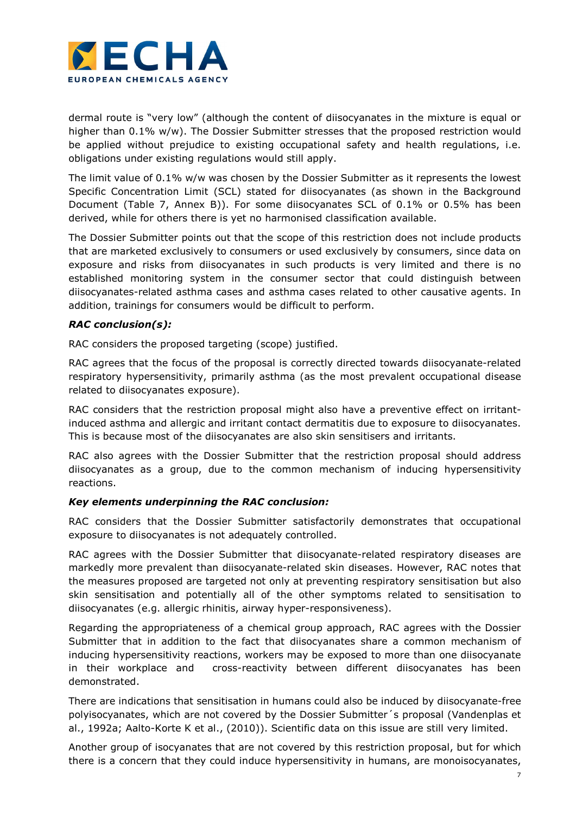

dermal route is "very low" (although the content of diisocyanates in the mixture is equal or higher than 0.1% w/w). The Dossier Submitter stresses that the proposed restriction would be applied without prejudice to existing occupational safety and health regulations, i.e. obligations under existing regulations would still apply.

The limit value of 0.1% w/w was chosen by the Dossier Submitter as it represents the lowest Specific Concentration Limit (SCL) stated for diisocyanates (as shown in the Background Document (Table 7, Annex B)). For some diisocyanates SCL of 0.1% or 0.5% has been derived, while for others there is yet no harmonised classification available.

The Dossier Submitter points out that the scope of this restriction does not include products that are marketed exclusively to consumers or used exclusively by consumers, since data on exposure and risks from diisocyanates in such products is very limited and there is no established monitoring system in the consumer sector that could distinguish between diisocyanates-related asthma cases and asthma cases related to other causative agents. In addition, trainings for consumers would be difficult to perform.

# RAC conclusion(s):

RAC considers the proposed targeting (scope) justified.

RAC agrees that the focus of the proposal is correctly directed towards diisocyanate-related respiratory hypersensitivity, primarily asthma (as the most prevalent occupational disease related to diisocyanates exposure).

RAC considers that the restriction proposal might also have a preventive effect on irritantinduced asthma and allergic and irritant contact dermatitis due to exposure to diisocyanates. This is because most of the diisocyanates are also skin sensitisers and irritants.

RAC also agrees with the Dossier Submitter that the restriction proposal should address diisocyanates as a group, due to the common mechanism of inducing hypersensitivity reactions.

# Key elements underpinning the RAC conclusion:

RAC considers that the Dossier Submitter satisfactorily demonstrates that occupational exposure to diisocyanates is not adequately controlled.

RAC agrees with the Dossier Submitter that diisocyanate-related respiratory diseases are markedly more prevalent than diisocyanate-related skin diseases. However, RAC notes that the measures proposed are targeted not only at preventing respiratory sensitisation but also skin sensitisation and potentially all of the other symptoms related to sensitisation to diisocyanates (e.g. allergic rhinitis, airway hyper-responsiveness).

Regarding the appropriateness of a chemical group approach, RAC agrees with the Dossier Submitter that in addition to the fact that diisocyanates share a common mechanism of inducing hypersensitivity reactions, workers may be exposed to more than one diisocyanate in their workplace and cross-reactivity between different diisocyanates has been demonstrated.

There are indications that sensitisation in humans could also be induced by diisocyanate-free polyisocyanates, which are not covered by the Dossier Submitter´s proposal (Vandenplas et al., 1992a; Aalto-Korte K et al., (2010)). Scientific data on this issue are still very limited.

Another group of isocyanates that are not covered by this restriction proposal, but for which there is a concern that they could induce hypersensitivity in humans, are monoisocyanates,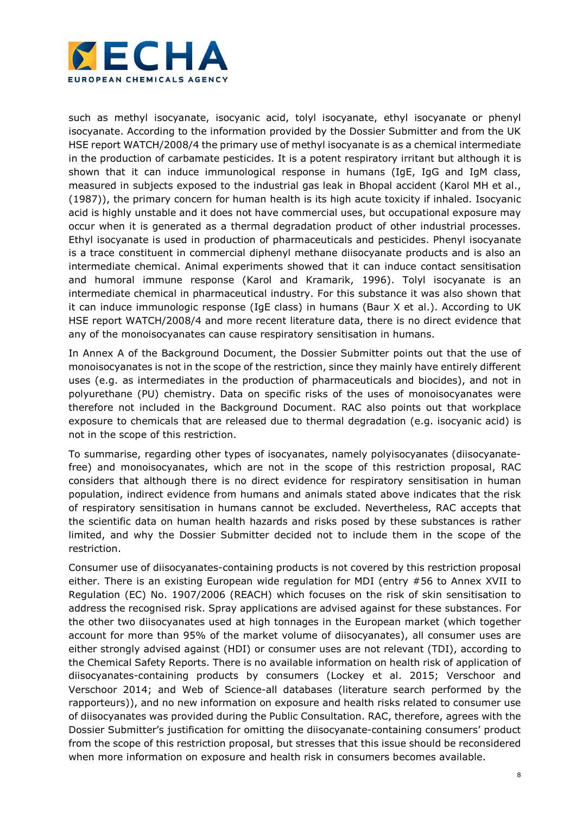

such as methyl isocyanate, isocyanic acid, tolyl isocyanate, ethyl isocyanate or phenyl isocyanate. According to the information provided by the Dossier Submitter and from the UK HSE report WATCH/2008/4 the primary use of methyl isocyanate is as a chemical intermediate in the production of carbamate pesticides. It is a potent respiratory irritant but although it is shown that it can induce immunological response in humans (IgE, IgG and IgM class, measured in subjects exposed to the industrial gas leak in Bhopal accident (Karol MH et al., (1987)), the primary concern for human health is its high acute toxicity if inhaled. Isocyanic acid is highly unstable and it does not have commercial uses, but occupational exposure may occur when it is generated as a thermal degradation product of other industrial processes. Ethyl isocyanate is used in production of pharmaceuticals and pesticides. Phenyl isocyanate is a trace constituent in commercial diphenyl methane diisocyanate products and is also an intermediate chemical. Animal experiments showed that it can induce contact sensitisation and humoral immune response (Karol and Kramarik, 1996). Tolyl isocyanate is an intermediate chemical in pharmaceutical industry. For this substance it was also shown that it can induce immunologic response (IgE class) in humans (Baur X et al.). According to UK HSE report WATCH/2008/4 and more recent literature data, there is no direct evidence that any of the monoisocyanates can cause respiratory sensitisation in humans.

In Annex A of the Background Document, the Dossier Submitter points out that the use of monoisocyanates is not in the scope of the restriction, since they mainly have entirely different uses (e.g. as intermediates in the production of pharmaceuticals and biocides), and not in polyurethane (PU) chemistry. Data on specific risks of the uses of monoisocyanates were therefore not included in the Background Document. RAC also points out that workplace exposure to chemicals that are released due to thermal degradation (e.g. isocyanic acid) is not in the scope of this restriction.

To summarise, regarding other types of isocyanates, namely polyisocyanates (diisocyanatefree) and monoisocyanates, which are not in the scope of this restriction proposal, RAC considers that although there is no direct evidence for respiratory sensitisation in human population, indirect evidence from humans and animals stated above indicates that the risk of respiratory sensitisation in humans cannot be excluded. Nevertheless, RAC accepts that the scientific data on human health hazards and risks posed by these substances is rather limited, and why the Dossier Submitter decided not to include them in the scope of the restriction.

Consumer use of diisocyanates-containing products is not covered by this restriction proposal either. There is an existing European wide regulation for MDI (entry #56 to Annex XVII to Regulation (EC) No. 1907/2006 (REACH) which focuses on the risk of skin sensitisation to address the recognised risk. Spray applications are advised against for these substances. For the other two diisocyanates used at high tonnages in the European market (which together account for more than 95% of the market volume of diisocyanates), all consumer uses are either strongly advised against (HDI) or consumer uses are not relevant (TDI), according to the Chemical Safety Reports. There is no available information on health risk of application of diisocyanates-containing products by consumers (Lockey et al. 2015; Verschoor and Verschoor 2014; and Web of Science-all databases (literature search performed by the rapporteurs)), and no new information on exposure and health risks related to consumer use of diisocyanates was provided during the Public Consultation. RAC, therefore, agrees with the Dossier Submitter's justification for omitting the diisocyanate-containing consumers' product from the scope of this restriction proposal, but stresses that this issue should be reconsidered when more information on exposure and health risk in consumers becomes available.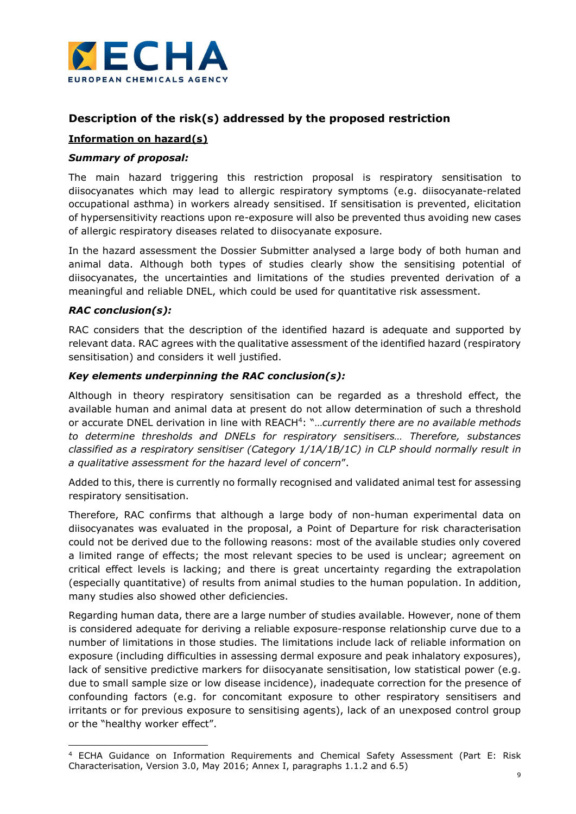

# Description of the risk(s) addressed by the proposed restriction

# Information on hazard(s)

# Summary of proposal:

The main hazard triggering this restriction proposal is respiratory sensitisation to diisocyanates which may lead to allergic respiratory symptoms (e.g. diisocyanate-related occupational asthma) in workers already sensitised. If sensitisation is prevented, elicitation of hypersensitivity reactions upon re-exposure will also be prevented thus avoiding new cases of allergic respiratory diseases related to diisocyanate exposure.

In the hazard assessment the Dossier Submitter analysed a large body of both human and animal data. Although both types of studies clearly show the sensitising potential of diisocyanates, the uncertainties and limitations of the studies prevented derivation of a meaningful and reliable DNEL, which could be used for quantitative risk assessment.

# RAC conclusion(s):

-

RAC considers that the description of the identified hazard is adequate and supported by relevant data. RAC agrees with the qualitative assessment of the identified hazard (respiratory sensitisation) and considers it well justified.

# Key elements underpinning the RAC conclusion(s):

Although in theory respiratory sensitisation can be regarded as a threshold effect, the available human and animal data at present do not allow determination of such a threshold or accurate DNEL derivation in line with REACH<sup>4</sup>: "...currently there are no available methods to determine thresholds and DNELs for respiratory sensitisers… Therefore, substances classified as a respiratory sensitiser (Category 1/1A/1B/1C) in CLP should normally result in a qualitative assessment for the hazard level of concern".

Added to this, there is currently no formally recognised and validated animal test for assessing respiratory sensitisation.

Therefore, RAC confirms that although a large body of non-human experimental data on diisocyanates was evaluated in the proposal, a Point of Departure for risk characterisation could not be derived due to the following reasons: most of the available studies only covered a limited range of effects; the most relevant species to be used is unclear; agreement on critical effect levels is lacking; and there is great uncertainty regarding the extrapolation (especially quantitative) of results from animal studies to the human population. In addition, many studies also showed other deficiencies.

Regarding human data, there are a large number of studies available. However, none of them is considered adequate for deriving a reliable exposure-response relationship curve due to a number of limitations in those studies. The limitations include lack of reliable information on exposure (including difficulties in assessing dermal exposure and peak inhalatory exposures), lack of sensitive predictive markers for diisocyanate sensitisation, low statistical power (e.g. due to small sample size or low disease incidence), inadequate correction for the presence of confounding factors (e.g. for concomitant exposure to other respiratory sensitisers and irritants or for previous exposure to sensitising agents), lack of an unexposed control group or the "healthy worker effect".

<sup>4</sup> ECHA Guidance on Information Requirements and Chemical Safety Assessment (Part E: Risk Characterisation, Version 3.0, May 2016; Annex I, paragraphs 1.1.2 and 6.5)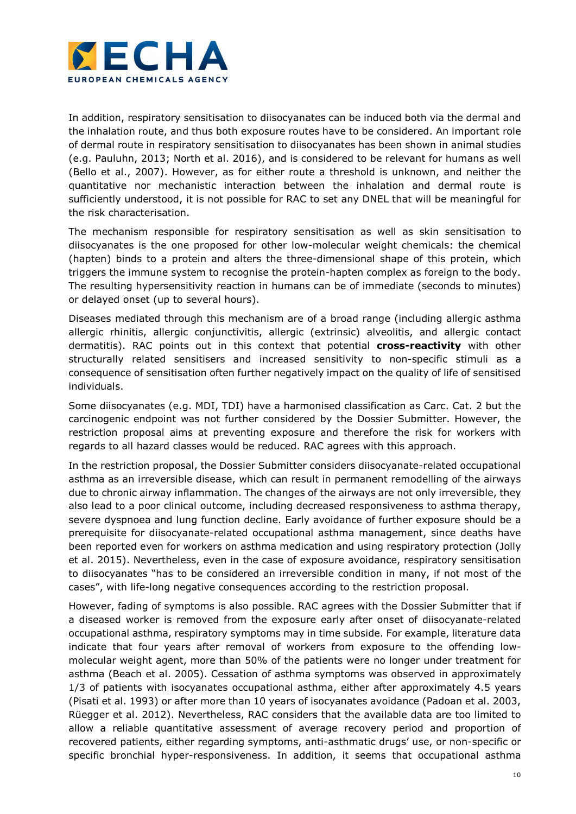

In addition, respiratory sensitisation to diisocyanates can be induced both via the dermal and the inhalation route, and thus both exposure routes have to be considered. An important role of dermal route in respiratory sensitisation to diisocyanates has been shown in animal studies (e.g. Pauluhn, 2013; North et al. 2016), and is considered to be relevant for humans as well (Bello et al., 2007). However, as for either route a threshold is unknown, and neither the quantitative nor mechanistic interaction between the inhalation and dermal route is sufficiently understood, it is not possible for RAC to set any DNEL that will be meaningful for the risk characterisation.

The mechanism responsible for respiratory sensitisation as well as skin sensitisation to diisocyanates is the one proposed for other low-molecular weight chemicals: the chemical (hapten) binds to a protein and alters the three-dimensional shape of this protein, which triggers the immune system to recognise the protein-hapten complex as foreign to the body. The resulting hypersensitivity reaction in humans can be of immediate (seconds to minutes) or delayed onset (up to several hours).

Diseases mediated through this mechanism are of a broad range (including allergic asthma allergic rhinitis, allergic conjunctivitis, allergic (extrinsic) alveolitis, and allergic contact dermatitis). RAC points out in this context that potential **cross-reactivity** with other structurally related sensitisers and increased sensitivity to non-specific stimuli as a consequence of sensitisation often further negatively impact on the quality of life of sensitised individuals.

Some diisocyanates (e.g. MDI, TDI) have a harmonised classification as Carc. Cat. 2 but the carcinogenic endpoint was not further considered by the Dossier Submitter. However, the restriction proposal aims at preventing exposure and therefore the risk for workers with regards to all hazard classes would be reduced. RAC agrees with this approach.

In the restriction proposal, the Dossier Submitter considers diisocyanate-related occupational asthma as an irreversible disease, which can result in permanent remodelling of the airways due to chronic airway inflammation. The changes of the airways are not only irreversible, they also lead to a poor clinical outcome, including decreased responsiveness to asthma therapy, severe dyspnoea and lung function decline. Early avoidance of further exposure should be a prerequisite for diisocyanate-related occupational asthma management, since deaths have been reported even for workers on asthma medication and using respiratory protection (Jolly et al. 2015). Nevertheless, even in the case of exposure avoidance, respiratory sensitisation to diisocyanates "has to be considered an irreversible condition in many, if not most of the cases", with life-long negative consequences according to the restriction proposal.

However, fading of symptoms is also possible. RAC agrees with the Dossier Submitter that if a diseased worker is removed from the exposure early after onset of diisocyanate-related occupational asthma, respiratory symptoms may in time subside. For example, literature data indicate that four years after removal of workers from exposure to the offending lowmolecular weight agent, more than 50% of the patients were no longer under treatment for asthma (Beach et al. 2005). Cessation of asthma symptoms was observed in approximately 1/3 of patients with isocyanates occupational asthma, either after approximately 4.5 years (Pisati et al. 1993) or after more than 10 years of isocyanates avoidance (Padoan et al. 2003, Rüegger et al. 2012). Nevertheless, RAC considers that the available data are too limited to allow a reliable quantitative assessment of average recovery period and proportion of recovered patients, either regarding symptoms, anti-asthmatic drugs' use, or non-specific or specific bronchial hyper-responsiveness. In addition, it seems that occupational asthma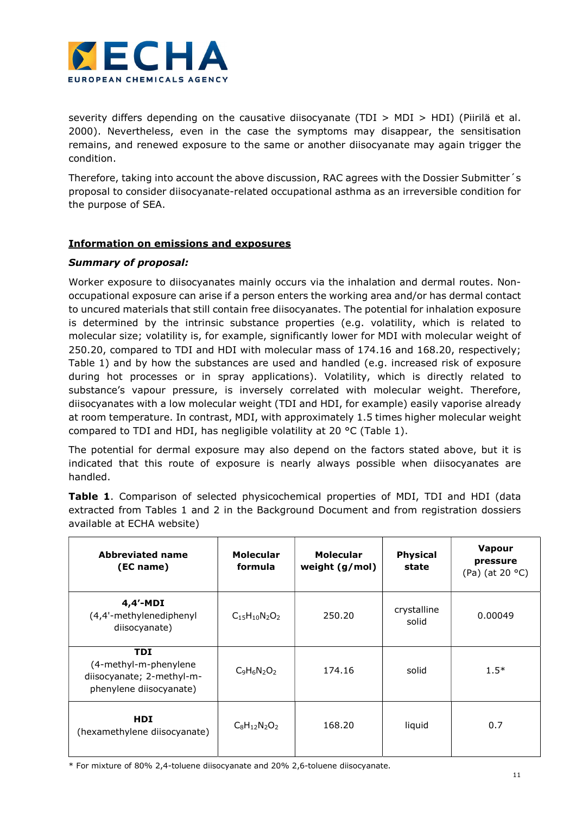

severity differs depending on the causative diisocyanate (TDI  $>$  MDI  $>$  HDI) (Piirilä et al. 2000). Nevertheless, even in the case the symptoms may disappear, the sensitisation remains, and renewed exposure to the same or another diisocyanate may again trigger the condition.

Therefore, taking into account the above discussion, RAC agrees with the Dossier Submitter´s proposal to consider diisocyanate-related occupational asthma as an irreversible condition for the purpose of SEA.

# Information on emissions and exposures

# Summary of proposal:

Worker exposure to diisocyanates mainly occurs via the inhalation and dermal routes. Nonoccupational exposure can arise if a person enters the working area and/or has dermal contact to uncured materials that still contain free diisocyanates. The potential for inhalation exposure is determined by the intrinsic substance properties (e.g. volatility, which is related to molecular size; volatility is, for example, significantly lower for MDI with molecular weight of 250.20, compared to TDI and HDI with molecular mass of 174.16 and 168.20, respectively; Table 1) and by how the substances are used and handled (e.g. increased risk of exposure during hot processes or in spray applications). Volatility, which is directly related to substance's vapour pressure, is inversely correlated with molecular weight. Therefore, diisocyanates with a low molecular weight (TDI and HDI, for example) easily vaporise already at room temperature. In contrast, MDI, with approximately 1.5 times higher molecular weight compared to TDI and HDI, has negligible volatility at 20 °C (Table 1).

The potential for dermal exposure may also depend on the factors stated above, but it is indicated that this route of exposure is nearly always possible when diisocyanates are handled.

Table 1. Comparison of selected physicochemical properties of MDI, TDI and HDI (data extracted from Tables 1 and 2 in the Background Document and from registration dossiers available at ECHA website)

| <b>Abbreviated name</b><br>(EC name)                                                        | <b>Molecular</b><br>formula                    | <b>Molecular</b><br>weight $(g/mol)$ | <b>Physical</b><br>state | <b>Vapour</b><br>pressure<br>(Pa) (at 20 °C) |
|---------------------------------------------------------------------------------------------|------------------------------------------------|--------------------------------------|--------------------------|----------------------------------------------|
| $4,4'$ -MDI<br>(4,4'-methylenediphenyl<br>diisocyanate)                                     | $C_1$ <sub>5</sub> $H_1$ <sub>0</sub> $N_2O_2$ | 250.20                               | crystalline<br>solid     | 0.00049                                      |
| <b>TDI</b><br>(4-methyl-m-phenylene<br>diisocyanate; 2-methyl-m-<br>phenylene diisocyanate) | $C_9H_6N_2O_2$                                 | 174.16                               | solid                    | $1.5*$                                       |
| <b>HDI</b><br>(hexamethylene diisocyanate)                                                  | $C_8H_{12}N_2O_2$                              | 168.20                               | liquid                   | 0.7                                          |

\* For mixture of 80% 2,4-toluene diisocyanate and 20% 2,6-toluene diisocyanate.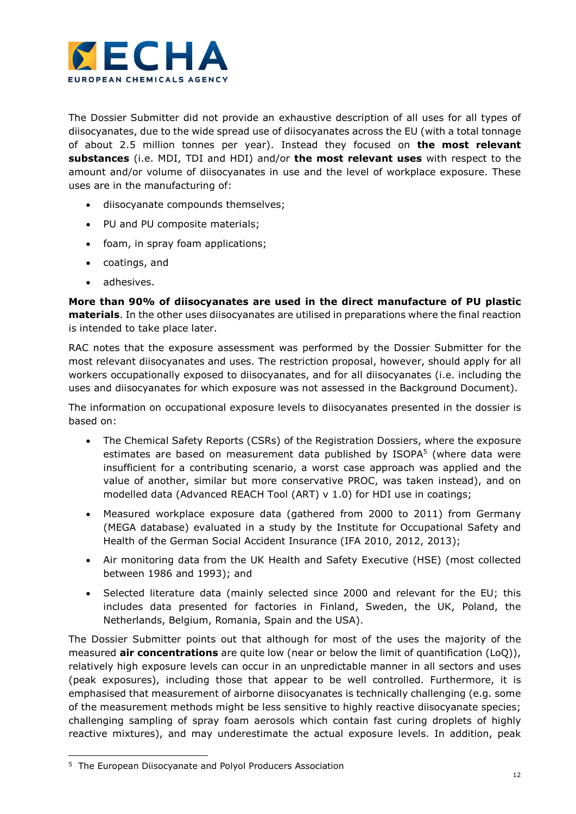

The Dossier Submitter did not provide an exhaustive description of all uses for all types of diisocyanates, due to the wide spread use of diisocyanates across the EU (with a total tonnage of about 2.5 million tonnes per year). Instead they focused on the most relevant substances (i.e. MDI, TDI and HDI) and/or the most relevant uses with respect to the amount and/or volume of diisocyanates in use and the level of workplace exposure. These uses are in the manufacturing of:

- diisocyanate compounds themselves;
- PU and PU composite materials;
- foam, in spray foam applications;
- coatings, and
- adhesives.

More than 90% of diisocyanates are used in the direct manufacture of PU plastic materials. In the other uses diisocyanates are utilised in preparations where the final reaction is intended to take place later.

RAC notes that the exposure assessment was performed by the Dossier Submitter for the most relevant diisocyanates and uses. The restriction proposal, however, should apply for all workers occupationally exposed to diisocyanates, and for all diisocyanates (i.e. including the uses and diisocyanates for which exposure was not assessed in the Background Document).

The information on occupational exposure levels to diisocyanates presented in the dossier is based on:

- The Chemical Safety Reports (CSRs) of the Registration Dossiers, where the exposure estimates are based on measurement data published by ISOPA<sup>5</sup> (where data were insufficient for a contributing scenario, a worst case approach was applied and the value of another, similar but more conservative PROC, was taken instead), and on modelled data (Advanced REACH Tool (ART) v 1.0) for HDI use in coatings;
- Measured workplace exposure data (gathered from 2000 to 2011) from Germany (MEGA database) evaluated in a study by the Institute for Occupational Safety and Health of the German Social Accident Insurance (IFA 2010, 2012, 2013);
- Air monitoring data from the UK Health and Safety Executive (HSE) (most collected between 1986 and 1993); and
- Selected literature data (mainly selected since 2000 and relevant for the EU; this includes data presented for factories in Finland, Sweden, the UK, Poland, the Netherlands, Belgium, Romania, Spain and the USA).

The Dossier Submitter points out that although for most of the uses the majority of the measured **air concentrations** are quite low (near or below the limit of quantification  $(LoQ)$ ), relatively high exposure levels can occur in an unpredictable manner in all sectors and uses (peak exposures), including those that appear to be well controlled. Furthermore, it is emphasised that measurement of airborne diisocyanates is technically challenging (e.g. some of the measurement methods might be less sensitive to highly reactive diisocyanate species; challenging sampling of spray foam aerosols which contain fast curing droplets of highly reactive mixtures), and may underestimate the actual exposure levels. In addition, peak

-

<sup>&</sup>lt;sup>5</sup> The European Diisocyanate and Polyol Producers Association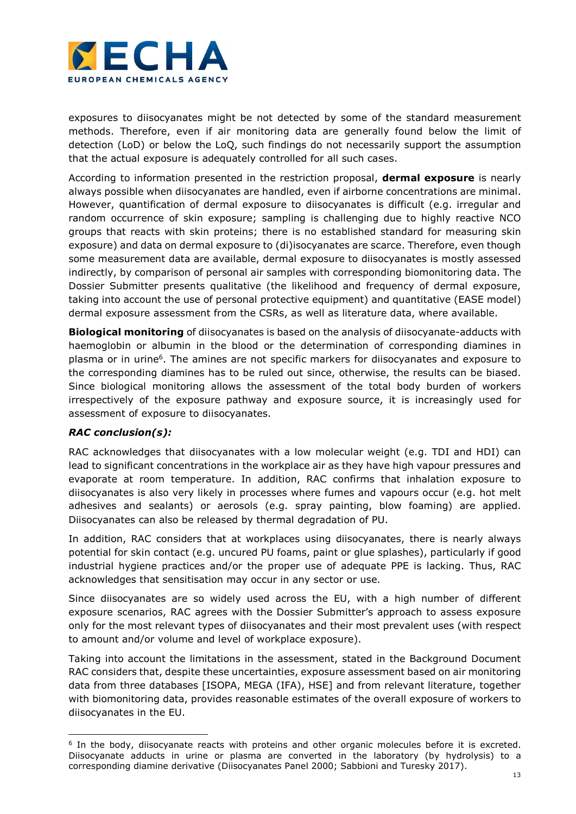

exposures to diisocyanates might be not detected by some of the standard measurement methods. Therefore, even if air monitoring data are generally found below the limit of detection (LoD) or below the LoQ, such findings do not necessarily support the assumption that the actual exposure is adequately controlled for all such cases.

According to information presented in the restriction proposal, **dermal exposure** is nearly always possible when diisocyanates are handled, even if airborne concentrations are minimal. However, quantification of dermal exposure to diisocyanates is difficult (e.g. irregular and random occurrence of skin exposure; sampling is challenging due to highly reactive NCO groups that reacts with skin proteins; there is no established standard for measuring skin exposure) and data on dermal exposure to (di)isocyanates are scarce. Therefore, even though some measurement data are available, dermal exposure to diisocyanates is mostly assessed indirectly, by comparison of personal air samples with corresponding biomonitoring data. The Dossier Submitter presents qualitative (the likelihood and frequency of dermal exposure, taking into account the use of personal protective equipment) and quantitative (EASE model) dermal exposure assessment from the CSRs, as well as literature data, where available.

**Biological monitoring** of diisocyanates is based on the analysis of diisocyanate-adducts with haemoglobin or albumin in the blood or the determination of corresponding diamines in plasma or in urine<sup>6</sup>. The amines are not specific markers for diisocyanates and exposure to the corresponding diamines has to be ruled out since, otherwise, the results can be biased. Since biological monitoring allows the assessment of the total body burden of workers irrespectively of the exposure pathway and exposure source, it is increasingly used for assessment of exposure to diisocyanates.

# RAC conclusion(s):

RAC acknowledges that diisocyanates with a low molecular weight (e.g. TDI and HDI) can lead to significant concentrations in the workplace air as they have high vapour pressures and evaporate at room temperature. In addition, RAC confirms that inhalation exposure to diisocyanates is also very likely in processes where fumes and vapours occur (e.g. hot melt adhesives and sealants) or aerosols (e.g. spray painting, blow foaming) are applied. Diisocyanates can also be released by thermal degradation of PU.

In addition, RAC considers that at workplaces using diisocyanates, there is nearly always potential for skin contact (e.g. uncured PU foams, paint or glue splashes), particularly if good industrial hygiene practices and/or the proper use of adequate PPE is lacking. Thus, RAC acknowledges that sensitisation may occur in any sector or use.

Since diisocyanates are so widely used across the EU, with a high number of different exposure scenarios, RAC agrees with the Dossier Submitter's approach to assess exposure only for the most relevant types of diisocyanates and their most prevalent uses (with respect to amount and/or volume and level of workplace exposure).

Taking into account the limitations in the assessment, stated in the Background Document RAC considers that, despite these uncertainties, exposure assessment based on air monitoring data from three databases [ISOPA, MEGA (IFA), HSE] and from relevant literature, together with biomonitoring data, provides reasonable estimates of the overall exposure of workers to diisocyanates in the EU.

<sup>-</sup><sup>6</sup> In the body, diisocyanate reacts with proteins and other organic molecules before it is excreted. Diisocyanate adducts in urine or plasma are converted in the laboratory (by hydrolysis) to a corresponding diamine derivative (Diisocyanates Panel 2000; Sabbioni and Turesky 2017).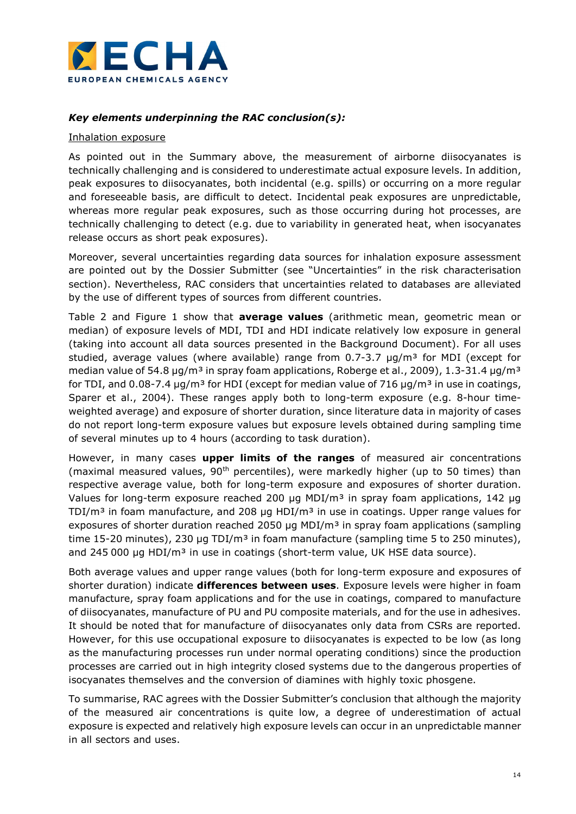

# Key elements underpinning the RAC conclusion(s):

## Inhalation exposure

As pointed out in the Summary above, the measurement of airborne diisocyanates is technically challenging and is considered to underestimate actual exposure levels. In addition, peak exposures to diisocyanates, both incidental (e.g. spills) or occurring on a more regular and foreseeable basis, are difficult to detect. Incidental peak exposures are unpredictable, whereas more regular peak exposures, such as those occurring during hot processes, are technically challenging to detect (e.g. due to variability in generated heat, when isocyanates release occurs as short peak exposures).

Moreover, several uncertainties regarding data sources for inhalation exposure assessment are pointed out by the Dossier Submitter (see "Uncertainties" in the risk characterisation section). Nevertheless, RAC considers that uncertainties related to databases are alleviated by the use of different types of sources from different countries.

Table 2 and Figure 1 show that **average values** (arithmetic mean, geometric mean or median) of exposure levels of MDI, TDI and HDI indicate relatively low exposure in general (taking into account all data sources presented in the Background Document). For all uses studied, average values (where available) range from  $0.7-3.7$   $\mu q/m^3$  for MDI (except for median value of 54.8  $\mu$ g/m<sup>3</sup> in spray foam applications, Roberge et al., 2009), 1.3-31.4  $\mu$ g/m<sup>3</sup> for TDI, and 0.08-7.4  $\mu$ g/m<sup>3</sup> for HDI (except for median value of 716  $\mu$ g/m<sup>3</sup> in use in coatings, Sparer et al., 2004). These ranges apply both to long-term exposure (e.g. 8-hour timeweighted average) and exposure of shorter duration, since literature data in majority of cases do not report long-term exposure values but exposure levels obtained during sampling time of several minutes up to 4 hours (according to task duration).

However, in many cases upper limits of the ranges of measured air concentrations (maximal measured values,  $90<sup>th</sup>$  percentiles), were markedly higher (up to 50 times) than respective average value, both for long-term exposure and exposures of shorter duration. Values for long-term exposure reached 200 µg MDI/ $m<sup>3</sup>$  in spray foam applications, 142 µg TDI/ $m<sup>3</sup>$  in foam manufacture, and 208 µg HDI/ $m<sup>3</sup>$  in use in coatings. Upper range values for exposures of shorter duration reached 2050 µg MDI/ $m<sup>3</sup>$  in spray foam applications (sampling time 15-20 minutes), 230 µg TDI/m<sup>3</sup> in foam manufacture (sampling time 5 to 250 minutes), and 245 000 µg HDI/ $m<sup>3</sup>$  in use in coatings (short-term value, UK HSE data source).

Both average values and upper range values (both for long-term exposure and exposures of shorter duration) indicate differences between uses. Exposure levels were higher in foam manufacture, spray foam applications and for the use in coatings, compared to manufacture of diisocyanates, manufacture of PU and PU composite materials, and for the use in adhesives. It should be noted that for manufacture of diisocyanates only data from CSRs are reported. However, for this use occupational exposure to diisocyanates is expected to be low (as long as the manufacturing processes run under normal operating conditions) since the production processes are carried out in high integrity closed systems due to the dangerous properties of isocyanates themselves and the conversion of diamines with highly toxic phosgene.

To summarise, RAC agrees with the Dossier Submitter's conclusion that although the majority of the measured air concentrations is quite low, a degree of underestimation of actual exposure is expected and relatively high exposure levels can occur in an unpredictable manner in all sectors and uses.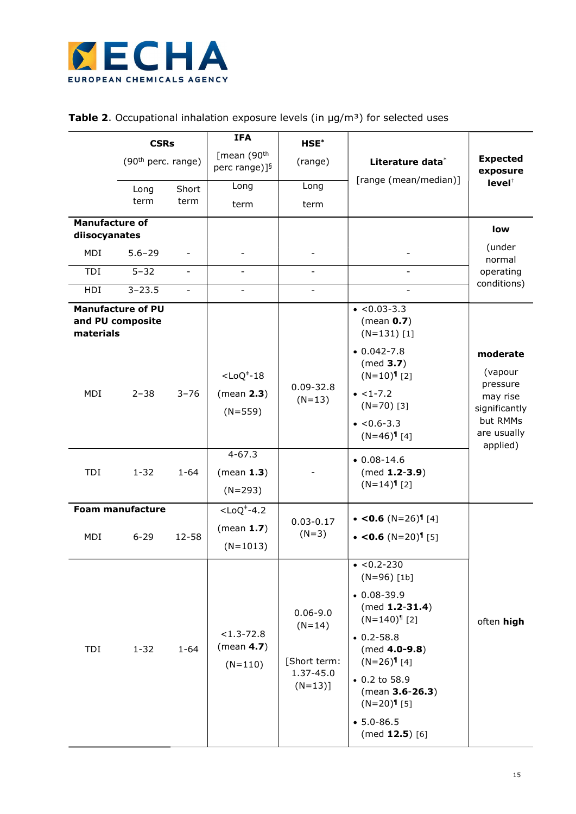

|  | <b>Table 2.</b> Occupational inhalation exposure levels (in $\mu g/m^3$ ) for selected uses |  |  |  |  |  |  |  |  |
|--|---------------------------------------------------------------------------------------------|--|--|--|--|--|--|--|--|
|--|---------------------------------------------------------------------------------------------|--|--|--|--|--|--|--|--|

|                                        | <b>CSRs</b>                                  |                          | <b>IFA</b>                                           | HSE*                                                               |                                                                                                                                                                                                             |                                                                                                     |
|----------------------------------------|----------------------------------------------|--------------------------|------------------------------------------------------|--------------------------------------------------------------------|-------------------------------------------------------------------------------------------------------------------------------------------------------------------------------------------------------------|-----------------------------------------------------------------------------------------------------|
|                                        | (90 <sup>th</sup> perc. range)               |                          | [mean (90 <sup>th</sup><br>perc range)] <sup>§</sup> | (range)                                                            | Literature data*                                                                                                                                                                                            | <b>Expected</b><br>exposure                                                                         |
|                                        | Long                                         | Short                    | Long                                                 | Long                                                               | [range (mean/median)]                                                                                                                                                                                       | level <sup>+</sup>                                                                                  |
|                                        | term                                         | term                     | term                                                 | term                                                               |                                                                                                                                                                                                             |                                                                                                     |
| <b>Manufacture of</b><br>diisocyanates |                                              |                          |                                                      |                                                                    |                                                                                                                                                                                                             | low                                                                                                 |
| MDI                                    | $5.6 - 29$                                   |                          |                                                      |                                                                    |                                                                                                                                                                                                             | (under                                                                                              |
| TDI                                    | $5 - 32$                                     | $\overline{\phantom{a}}$ | $\overline{\phantom{a}}$                             | $\blacksquare$                                                     | $\blacksquare$                                                                                                                                                                                              | normal<br>operating                                                                                 |
| HDI                                    | $3 - 23.5$                                   | $\overline{\phantom{0}}$ | $\overline{\phantom{a}}$                             |                                                                    |                                                                                                                                                                                                             | conditions)                                                                                         |
| materials                              | <b>Manufacture of PU</b><br>and PU composite |                          |                                                      |                                                                    | $\bullet$ <0.03-3.3<br>(mean $0.7$ )<br>$(N=131)$ [1]                                                                                                                                                       |                                                                                                     |
| MDI                                    | $2 - 38$                                     | $3 - 76$                 | $<$ LoQ $†$ -18<br>(mean 2.3)<br>$(N=559)$           | $0.09 - 32.8$<br>$(N=13)$                                          | $0.042 - 7.8$<br>(med 3.7)<br>$(N=10)^{9}$ [2]<br>$\bullet$ <1-7.2<br>$(N=70)$ [3]<br>$\bullet$ <0.6-3.3<br>$(N=46)^{9}$ [4]                                                                                | moderate<br>(vapour<br>pressure<br>may rise<br>significantly<br>but RMMs<br>are usually<br>applied) |
| TDI                                    | $1 - 32$                                     | $1 - 64$                 | $4 - 67.3$<br>(mean 1.3)<br>$(N=293)$                |                                                                    | $0.08 - 14.6$<br>$(med 1.2-3.9)$<br>$(N=14)^{n}$ [2]                                                                                                                                                        |                                                                                                     |
|                                        | <b>Foam manufacture</b>                      |                          | $<$ LoQ $†$ -4.2                                     |                                                                    | • <0.6 $(N=26)^{9}$ [4]                                                                                                                                                                                     |                                                                                                     |
| MDI                                    | $6 - 29$                                     | 12-58                    | (mean $1.7$ )<br>$(N=1013)$                          | $0.03 - 0.17$<br>$(N=3)$                                           | • <0.6 $(N=20)^{9}$ [5]                                                                                                                                                                                     |                                                                                                     |
|                                        |                                              |                          |                                                      |                                                                    | $\bullet$ <0.2-230<br>$(N=96)$ [1b]                                                                                                                                                                         |                                                                                                     |
| TDI                                    | $1 - 32$                                     | $1 - 64$                 | $< 1.3 - 72.8$<br>(mean $4.7$ )<br>$(N=110)$         | $0.06 - 9.0$<br>$(N=14)$<br>[Short term:<br>1.37-45.0<br>$(N=13)]$ | $0.08 - 39.9$<br>$(med 1.2-31.4)$<br>$(N=140)^{9}$ [2]<br>$0.2 - 58.8$<br>$(med 4.0-9.8)$<br>$(N=26)^{9}$ [4]<br>• 0.2 to 58.9<br>(mean 3.6-26.3)<br>$(N=20)^{9}$ [5]<br>$• 5.0 - 86.5$<br>$(med 12.5)$ [6] | often high                                                                                          |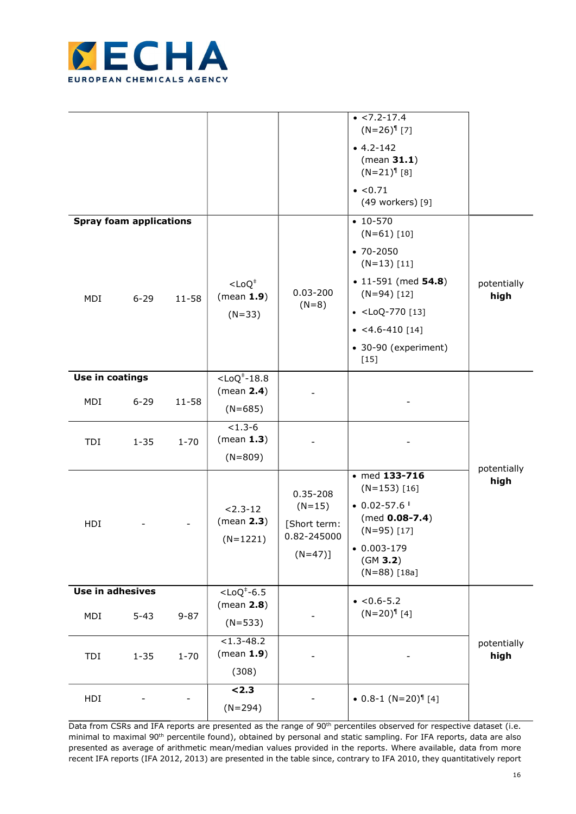

| MDI              | <b>Spray foam applications</b><br>$6 - 29$ | $11 - 58$ | $<$ LoQ <sup><math>+</math></sup><br>(mean 1.9)<br>$(N=33)$ | $0.03 - 200$<br>$(N=8)$                                              | $\bullet$ <7.2-17.4<br>$(N=26)^{9}$ [7]<br>$-4.2 - 142$<br>(mean 31.1)<br>$(N=21)^{9}$ [8]<br>$\bullet$ <0.71<br>(49 workers) [9]<br>$\cdot$ 10-570<br>$(N=61)$ [10]<br>$• 70 - 2050$<br>$(N=13)$ [11]<br>$\bullet$ 11-591 (med 54.8)<br>$(N=94)$ [12]<br>$\bullet$ <loq-770 [13]<br=""><math>\bullet</math> &lt;4.6-410 [14]<br/>• 30-90 (experiment)<br/><math display="block">[15]</math></loq-770> | potentially<br>high |
|------------------|--------------------------------------------|-----------|-------------------------------------------------------------|----------------------------------------------------------------------|--------------------------------------------------------------------------------------------------------------------------------------------------------------------------------------------------------------------------------------------------------------------------------------------------------------------------------------------------------------------------------------------------------|---------------------|
| Use in coatings  |                                            |           | $<$ LoQ $†$ -18.8<br>(mean 2.4)                             |                                                                      |                                                                                                                                                                                                                                                                                                                                                                                                        |                     |
| MDI              | $6 - 29$                                   | $11 - 58$ | $(N=685)$                                                   |                                                                      |                                                                                                                                                                                                                                                                                                                                                                                                        |                     |
| TDI              | $1 - 35$                                   | $1 - 70$  | $< 1.3 - 6$<br>(mean 1.3)<br>$(N=809)$                      |                                                                      |                                                                                                                                                                                                                                                                                                                                                                                                        |                     |
| HDI              |                                            |           | $2.3 - 12$<br>(mean 2.3)<br>$(N=1221)$                      | $0.35 - 208$<br>$(N=15)$<br>[Short term:<br>0.82-245000<br>$(N=47)]$ | $\bullet$ med 133-716<br>$(N=153)$ [16]<br>$\bullet$ 0.02-57.6<br>$(med 0.08-7.4)$<br>$(N=95)$ [17]<br>$0.003 - 179$<br>(GM 3.2)<br>$(N=88)$ [18a]                                                                                                                                                                                                                                                     | potentially<br>high |
| Use in adhesives |                                            |           | $<$ LoQ <sup><math>+</math></sup> -6.5                      |                                                                      | $\bullet$ <0.6-5.2                                                                                                                                                                                                                                                                                                                                                                                     |                     |
| MDI              | $5 - 43$                                   | $9 - 87$  | (mean 2.8)<br>$(N=533)$                                     |                                                                      | $(N=20)^{9}$ [4]                                                                                                                                                                                                                                                                                                                                                                                       |                     |
| TDI              | $1 - 35$                                   | $1 - 70$  | $< 1.3 - 48.2$<br>(mean 1.9)<br>(308)                       |                                                                      |                                                                                                                                                                                                                                                                                                                                                                                                        | potentially<br>high |
| HDI              |                                            |           | < 2.3<br>$(N=294)$                                          |                                                                      | $\bullet$ 0.8-1 (N=20) <sup>1</sup> [4]                                                                                                                                                                                                                                                                                                                                                                |                     |

Data from CSRs and IFA reports are presented as the range of 90<sup>th</sup> percentiles observed for respective dataset (i.e. minimal to maximal 90<sup>th</sup> percentile found), obtained by personal and static sampling. For IFA reports, data are also presented as average of arithmetic mean/median values provided in the reports. Where available, data from more recent IFA reports (IFA 2012, 2013) are presented in the table since, contrary to IFA 2010, they quantitatively report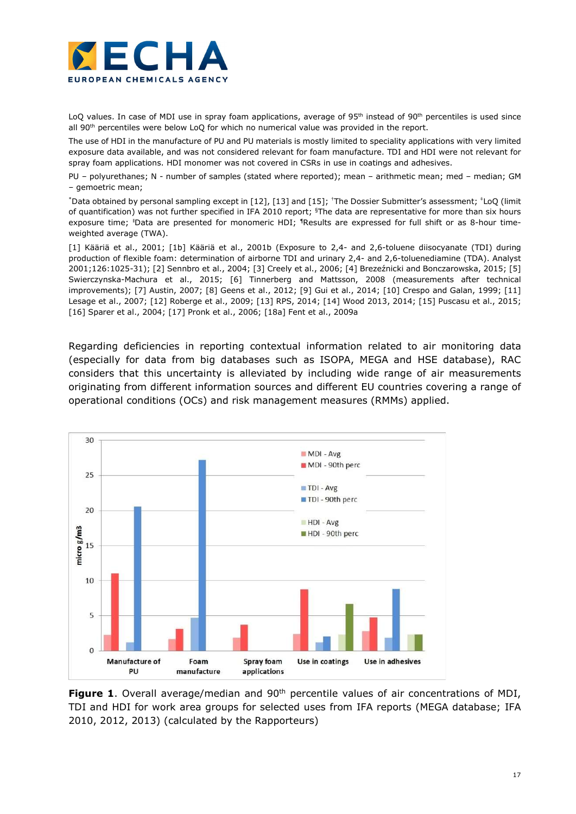

LoQ values. In case of MDI use in spray foam applications, average of 95<sup>th</sup> instead of 90<sup>th</sup> percentiles is used since all 90<sup>th</sup> percentiles were below LoQ for which no numerical value was provided in the report.

The use of HDI in the manufacture of PU and PU materials is mostly limited to speciality applications with very limited exposure data available, and was not considered relevant for foam manufacture. TDI and HDI were not relevant for spray foam applications. HDI monomer was not covered in CSRs in use in coatings and adhesives.

PU – polyurethanes; N - number of samples (stated where reported); mean – arithmetic mean; med – median; GM – gemoetric mean;

\*Data obtained by personal sampling except in [12], [13] and [15]; †The Dossier Submitter's assessment; ‡LoQ (limit of quantification) was not further specified in IFA 2010 report; §The data are representative for more than six hours exposure time; <sup>I</sup>Data are presented for monomeric HDI; <sup>1</sup>Results are expressed for full shift or as 8-hour timeweighted average (TWA).

[1] Kääriä et al., 2001; [1b] Kääriä et al., 2001b (Exposure to 2,4- and 2,6-toluene diisocyanate (TDI) during production of flexible foam: determination of airborne TDI and urinary 2,4- and 2,6-toluenediamine (TDA). Analyst 2001;126:1025-31); [2] Sennbro et al., 2004; [3] Creely et al., 2006; [4] Brezeźnicki and Bonczarowska, 2015; [5] Swierczynska-Machura et al., 2015; [6] Tinnerberg and Mattsson, 2008 (measurements after technical improvements); [7] Austin, 2007; [8] Geens et al., 2012; [9] Gui et al., 2014; [10] Crespo and Galan, 1999; [11] Lesage et al., 2007; [12] Roberge et al., 2009; [13] RPS, 2014; [14] Wood 2013, 2014; [15] Puscasu et al., 2015; [16] Sparer et al., 2004; [17] Pronk et al., 2006; [18a] Fent et al., 2009a

Regarding deficiencies in reporting contextual information related to air monitoring data (especially for data from big databases such as ISOPA, MEGA and HSE database), RAC considers that this uncertainty is alleviated by including wide range of air measurements originating from different information sources and different EU countries covering a range of operational conditions (OCs) and risk management measures (RMMs) applied.



**Figure 1.** Overall average/median and 90<sup>th</sup> percentile values of air concentrations of MDI, TDI and HDI for work area groups for selected uses from IFA reports (MEGA database; IFA 2010, 2012, 2013) (calculated by the Rapporteurs)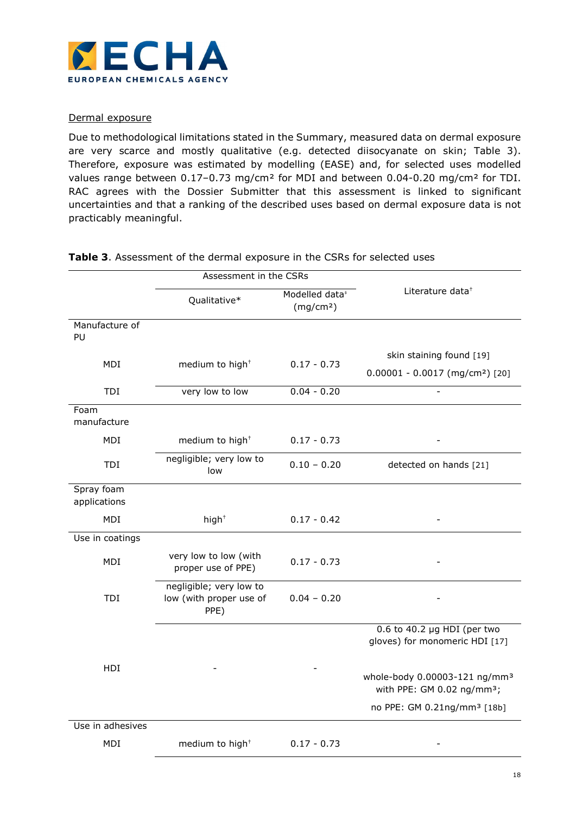

# Dermal exposure

Due to methodological limitations stated in the Summary, measured data on dermal exposure are very scarce and mostly qualitative (e.g. detected diisocyanate on skin; Table 3). Therefore, exposure was estimated by modelling (EASE) and, for selected uses modelled values range between 0.17-0.73 mg/cm<sup>2</sup> for MDI and between 0.04-0.20 mg/cm<sup>2</sup> for TDI. RAC agrees with the Dossier Submitter that this assessment is linked to significant uncertainties and that a ranking of the described uses based on dermal exposure data is not practicably meaningful.

|                            | Assessment in the CSRs                                     |                                                     |                                                                                     |  |
|----------------------------|------------------------------------------------------------|-----------------------------------------------------|-------------------------------------------------------------------------------------|--|
|                            | Qualitative*                                               | Modelled data <sup>#</sup><br>(mg/cm <sup>2</sup> ) | Literature data $^{\dagger}$                                                        |  |
| Manufacture of<br>PU       |                                                            |                                                     |                                                                                     |  |
|                            |                                                            |                                                     | skin staining found [19]                                                            |  |
| MDI                        | medium to high <sup>+</sup>                                | $0.17 - 0.73$                                       | $0.00001 - 0.0017$ (mg/cm <sup>2</sup> ) [20]                                       |  |
| TDI                        | very low to low                                            | $0.04 - 0.20$                                       |                                                                                     |  |
| Foam<br>manufacture        |                                                            |                                                     |                                                                                     |  |
| MDI                        | medium to high <sup>+</sup>                                | $0.17 - 0.73$                                       |                                                                                     |  |
| TDI                        | negligible; very low to<br>low                             | $0.10 - 0.20$                                       | detected on hands [21]                                                              |  |
| Spray foam<br>applications |                                                            |                                                     |                                                                                     |  |
| MDI                        | $high+$                                                    | $0.17 - 0.42$                                       |                                                                                     |  |
| Use in coatings            |                                                            |                                                     |                                                                                     |  |
| MDI                        | very low to low (with<br>proper use of PPE)                | $0.17 - 0.73$                                       |                                                                                     |  |
| TDI                        | negligible; very low to<br>low (with proper use of<br>PPE) | $0.04 - 0.20$                                       |                                                                                     |  |
|                            |                                                            |                                                     | 0.6 to 40.2 $\mu$ g HDI (per two<br>gloves) for monomeric HDI [17]                  |  |
| HDI                        |                                                            |                                                     | whole-body 0.00003-121 ng/mm <sup>3</sup><br>with PPE: GM 0.02 ng/mm <sup>3</sup> ; |  |
|                            |                                                            |                                                     | no PPE: GM 0.21ng/mm <sup>3</sup> [18b]                                             |  |
| Use in adhesives           |                                                            |                                                     |                                                                                     |  |
| MDI                        | medium to high <sup>+</sup>                                | $0.17 - 0.73$                                       |                                                                                     |  |

# Table 3. Assessment of the dermal exposure in the CSRs for selected uses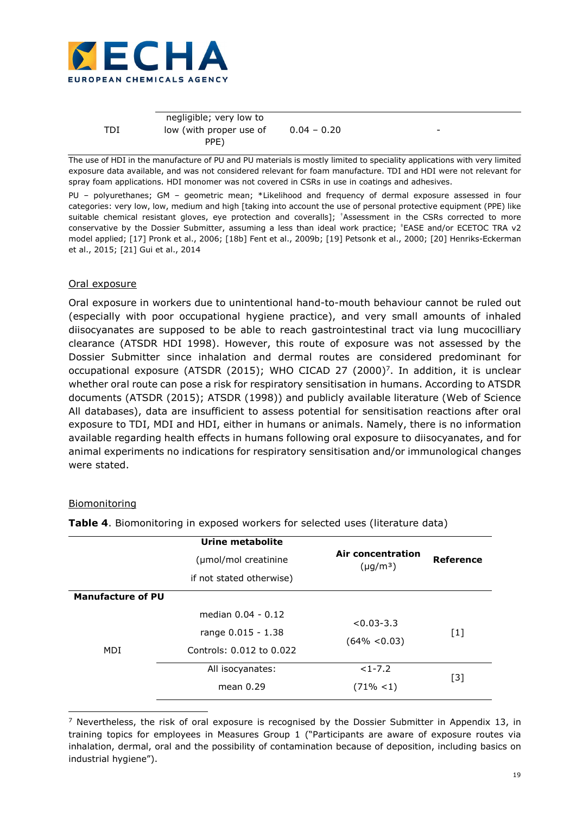

|            | negligible; very low to |               |   |
|------------|-------------------------|---------------|---|
| <b>TDI</b> | low (with proper use of | $0.04 - 0.20$ | - |
|            | PPE)                    |               |   |

The use of HDI in the manufacture of PU and PU materials is mostly limited to speciality applications with very limited exposure data available, and was not considered relevant for foam manufacture. TDI and HDI were not relevant for spray foam applications. HDI monomer was not covered in CSRs in use in coatings and adhesives.

PU - polyurethanes; GM - geometric mean; \*Likelihood and frequency of dermal exposure assessed in four categories: very low, low, medium and high [taking into account the use of personal protective equipment (PPE) like suitable chemical resistant gloves, eye protection and coveralls]; †Assessment in the CSRs corrected to more conservative by the Dossier Submitter, assuming a less than ideal work practice;  $E$ ASE and/or ECETOC TRA v2 model applied; [17] Pronk et al., 2006; [18b] Fent et al., 2009b; [19] Petsonk et al., 2000; [20] Henriks-Eckerman et al., 2015; [21] Gui et al., 2014

# Oral exposure

Oral exposure in workers due to unintentional hand-to-mouth behaviour cannot be ruled out (especially with poor occupational hygiene practice), and very small amounts of inhaled diisocyanates are supposed to be able to reach gastrointestinal tract via lung mucocilliary clearance (ATSDR HDI 1998). However, this route of exposure was not assessed by the Dossier Submitter since inhalation and dermal routes are considered predominant for occupational exposure (ATSDR (2015); WHO CICAD 27 (2000)<sup>7</sup> . In addition, it is unclear whether oral route can pose a risk for respiratory sensitisation in humans. According to ATSDR documents (ATSDR (2015); ATSDR (1998)) and publicly available literature (Web of Science All databases), data are insufficient to assess potential for sensitisation reactions after oral exposure to TDI, MDI and HDI, either in humans or animals. Namely, there is no information available regarding health effects in humans following oral exposure to diisocyanates, and for animal experiments no indications for respiratory sensitisation and/or immunological changes were stated.

## Biomonitoring

-

|                          | Urine metabolite<br>(µmol/mol creatinine<br>if not stated otherwise) | Air concentration<br>$(\mu g/m^3)$ | <b>Reference</b> |
|--------------------------|----------------------------------------------------------------------|------------------------------------|------------------|
| <b>Manufacture of PU</b> | median 0.04 - 0.12                                                   |                                    |                  |
| MDI                      | range 0.015 - 1.38<br>Controls: 0.012 to 0.022                       | $< 0.03 - 3.3$<br>$(64\% < 0.03)$  | $[1]$            |
|                          | All isocyanates:<br>mean $0.29$                                      | $<1 - 7.2$<br>$(71\% < 1)$         | $[3]$            |

Table 4. Biomonitoring in exposed workers for selected uses (literature data)

<sup>&</sup>lt;sup>7</sup> Nevertheless, the risk of oral exposure is recognised by the Dossier Submitter in Appendix 13, in training topics for employees in Measures Group 1 ("Participants are aware of exposure routes via inhalation, dermal, oral and the possibility of contamination because of deposition, including basics on industrial hygiene").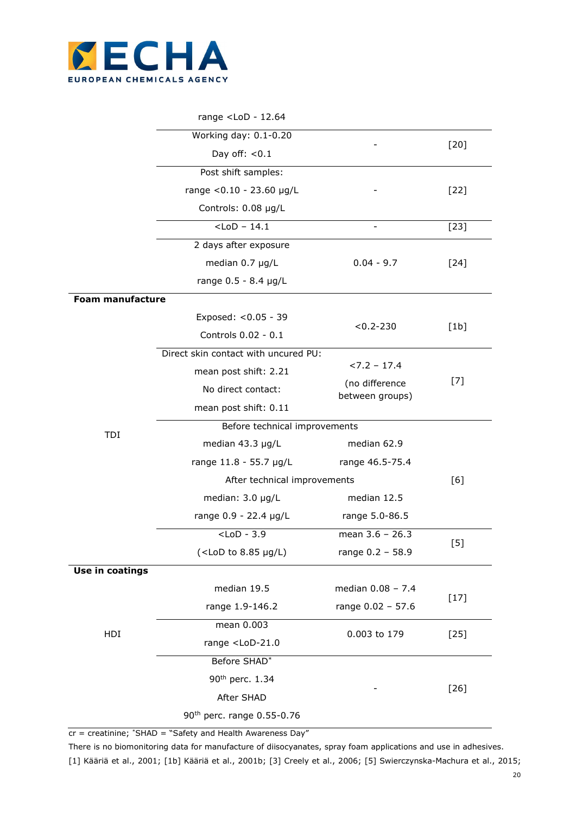

|  | range <lod -="" 12.64<="" th=""><th></th></lod> |  |
|--|-------------------------------------------------|--|
|--|-------------------------------------------------|--|

|                         | Working day: 0.1-0.20                                 |                                   | $[20]$ |  |
|-------------------------|-------------------------------------------------------|-----------------------------------|--------|--|
|                         | Day off: $< 0.1$                                      |                                   |        |  |
|                         | Post shift samples:                                   |                                   |        |  |
|                         | range < 0.10 - 23.60 µg/L                             |                                   | $[22]$ |  |
|                         | Controls: 0.08 µg/L                                   |                                   |        |  |
|                         | $<$ LoD - 14.1                                        |                                   | $[23]$ |  |
|                         | 2 days after exposure                                 |                                   |        |  |
|                         | median 0.7 µg/L                                       | $0.04 - 9.7$                      | $[24]$ |  |
|                         | range 0.5 - 8.4 µg/L                                  |                                   |        |  |
| <b>Foam manufacture</b> |                                                       |                                   |        |  |
|                         | Exposed: < 0.05 - 39                                  | $< 0.2 - 230$                     |        |  |
|                         | Controls 0.02 - 0.1                                   |                                   | [1b]   |  |
|                         | Direct skin contact with uncured PU:                  |                                   |        |  |
|                         | mean post shift: 2.21                                 | $27.2 - 17.4$                     |        |  |
|                         | No direct contact:                                    | (no difference<br>between groups) | $[7]$  |  |
|                         | mean post shift: 0.11                                 |                                   |        |  |
| TDI                     | Before technical improvements                         |                                   |        |  |
|                         | median 43.3 µg/L                                      | median 62.9                       |        |  |
|                         | range 11.8 - 55.7 µg/L<br>range 46.5-75.4             |                                   |        |  |
|                         | After technical improvements                          |                                   | [6]    |  |
|                         | median: 3.0 µg/L                                      | median 12.5                       |        |  |
|                         | range 0.9 - 22.4 µg/L                                 | range 5.0-86.5                    |        |  |
|                         | $<$ LoD - 3.9                                         | mean 3.6 - 26.3                   | $[5]$  |  |
|                         | $(<$ LoD to 8.85 $\mu$ g/L)                           | range 0.2 - 58.9                  |        |  |
| Use in coatings         |                                                       |                                   |        |  |
|                         | median 19.5                                           | median 0.08 - 7.4                 | $[17]$ |  |
|                         | range 1.9-146.2                                       | range 0.02 - 57.6                 |        |  |
| HDI                     | mean 0.003                                            | 0.003 to 179                      | $[25]$ |  |
|                         | range <lod-21.0< td=""><td></td><td></td></lod-21.0<> |                                   |        |  |
|                         | Before SHAD*                                          |                                   |        |  |
|                         | 90 <sup>th</sup> perc. 1.34                           |                                   | $[26]$ |  |
|                         | After SHAD                                            |                                   |        |  |
|                         | 90 <sup>th</sup> perc. range 0.55-0.76                |                                   |        |  |

 $cr$  = creatinine; \*SHAD = "Safety and Health Awareness Day"

There is no biomonitoring data for manufacture of diisocyanates, spray foam applications and use in adhesives. [1] Kääriä et al., 2001; [1b] Kääriä et al., 2001b; [3] Creely et al., 2006; [5] Swierczynska-Machura et al., 2015;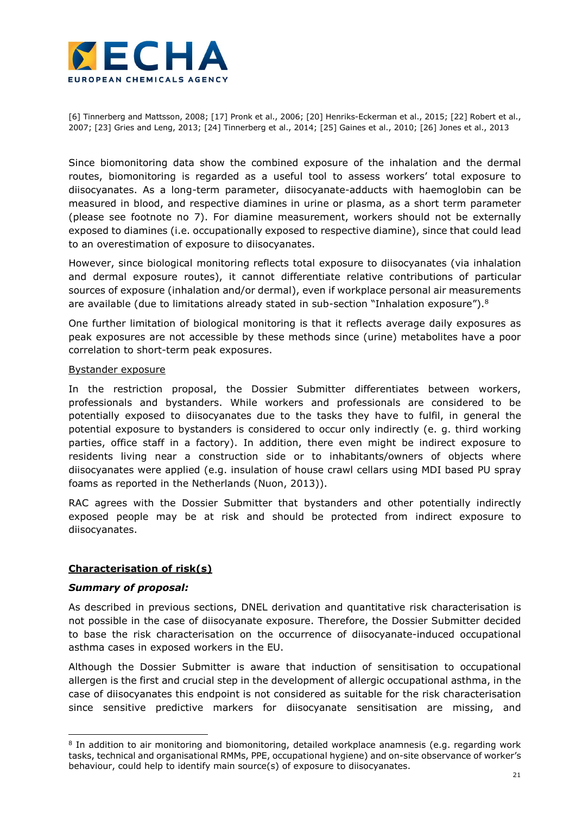

[6] Tinnerberg and Mattsson, 2008; [17] Pronk et al., 2006; [20] Henriks-Eckerman et al., 2015; [22] Robert et al., 2007; [23] Gries and Leng, 2013; [24] Tinnerberg et al., 2014; [25] Gaines et al., 2010; [26] Jones et al., 2013

Since biomonitoring data show the combined exposure of the inhalation and the dermal routes, biomonitoring is regarded as a useful tool to assess workers' total exposure to diisocyanates. As a long-term parameter, diisocyanate-adducts with haemoglobin can be measured in blood, and respective diamines in urine or plasma, as a short term parameter (please see footnote no 7). For diamine measurement, workers should not be externally exposed to diamines (i.e. occupationally exposed to respective diamine), since that could lead to an overestimation of exposure to diisocyanates.

However, since biological monitoring reflects total exposure to diisocyanates (via inhalation and dermal exposure routes), it cannot differentiate relative contributions of particular sources of exposure (inhalation and/or dermal), even if workplace personal air measurements are available (due to limitations already stated in sub-section "Inhalation exposure").<sup>8</sup>

One further limitation of biological monitoring is that it reflects average daily exposures as peak exposures are not accessible by these methods since (urine) metabolites have a poor correlation to short-term peak exposures.

## Bystander exposure

In the restriction proposal, the Dossier Submitter differentiates between workers, professionals and bystanders. While workers and professionals are considered to be potentially exposed to diisocyanates due to the tasks they have to fulfil, in general the potential exposure to bystanders is considered to occur only indirectly (e. g. third working parties, office staff in a factory). In addition, there even might be indirect exposure to residents living near a construction side or to inhabitants/owners of objects where diisocyanates were applied (e.g. insulation of house crawl cellars using MDI based PU spray foams as reported in the Netherlands (Nuon, 2013)).

RAC agrees with the Dossier Submitter that bystanders and other potentially indirectly exposed people may be at risk and should be protected from indirect exposure to diisocyanates.

## Characterisation of risk(s)

## Summary of proposal:

-

As described in previous sections, DNEL derivation and quantitative risk characterisation is not possible in the case of diisocyanate exposure. Therefore, the Dossier Submitter decided to base the risk characterisation on the occurrence of diisocyanate-induced occupational asthma cases in exposed workers in the EU.

Although the Dossier Submitter is aware that induction of sensitisation to occupational allergen is the first and crucial step in the development of allergic occupational asthma, in the case of diisocyanates this endpoint is not considered as suitable for the risk characterisation since sensitive predictive markers for diisocyanate sensitisation are missing, and

<sup>&</sup>lt;sup>8</sup> In addition to air monitoring and biomonitoring, detailed workplace anamnesis (e.g. regarding work tasks, technical and organisational RMMs, PPE, occupational hygiene) and on-site observance of worker's behaviour, could help to identify main source(s) of exposure to diisocyanates.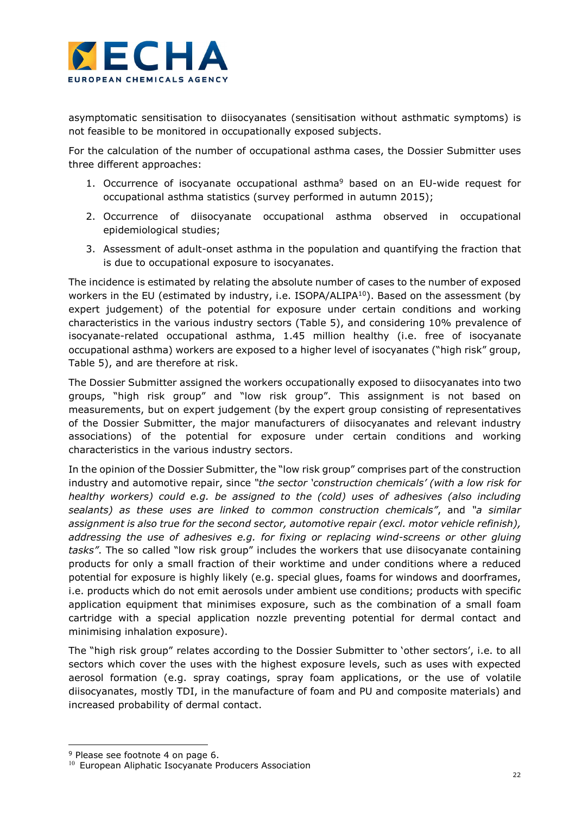

asymptomatic sensitisation to diisocyanates (sensitisation without asthmatic symptoms) is not feasible to be monitored in occupationally exposed subjects.

For the calculation of the number of occupational asthma cases, the Dossier Submitter uses three different approaches:

- 1. Occurrence of isocyanate occupational asthma<sup>9</sup> based on an EU-wide request for occupational asthma statistics (survey performed in autumn 2015);
- 2. Occurrence of diisocyanate occupational asthma observed in occupational epidemiological studies;
- 3. Assessment of adult-onset asthma in the population and quantifying the fraction that is due to occupational exposure to isocyanates.

The incidence is estimated by relating the absolute number of cases to the number of exposed workers in the EU (estimated by industry, i.e. ISOPA/ALIPA<sup>10</sup>). Based on the assessment (by expert judgement) of the potential for exposure under certain conditions and working characteristics in the various industry sectors (Table 5), and considering 10% prevalence of isocyanate-related occupational asthma, 1.45 million healthy (i.e. free of isocyanate occupational asthma) workers are exposed to a higher level of isocyanates ("high risk" group, Table 5), and are therefore at risk.

The Dossier Submitter assigned the workers occupationally exposed to diisocyanates into two groups, "high risk group" and "low risk group". This assignment is not based on measurements, but on expert judgement (by the expert group consisting of representatives of the Dossier Submitter, the major manufacturers of diisocyanates and relevant industry associations) of the potential for exposure under certain conditions and working characteristics in the various industry sectors.

In the opinion of the Dossier Submitter, the "low risk group" comprises part of the construction industry and automotive repair, since "the sector 'construction chemicals' (with a low risk for healthy workers) could e.g. be assigned to the (cold) uses of adhesives (also including sealants) as these uses are linked to common construction chemicals", and "a similar assignment is also true for the second sector, automotive repair (excl. motor vehicle refinish), addressing the use of adhesives e.g. for fixing or replacing wind-screens or other gluing tasks". The so called "low risk group" includes the workers that use diisocyanate containing products for only a small fraction of their worktime and under conditions where a reduced potential for exposure is highly likely (e.g. special glues, foams for windows and doorframes, i.e. products which do not emit aerosols under ambient use conditions; products with specific application equipment that minimises exposure, such as the combination of a small foam cartridge with a special application nozzle preventing potential for dermal contact and minimising inhalation exposure).

The "high risk group" relates according to the Dossier Submitter to 'other sectors', i.e. to all sectors which cover the uses with the highest exposure levels, such as uses with expected aerosol formation (e.g. spray coatings, spray foam applications, or the use of volatile diisocyanates, mostly TDI, in the manufacture of foam and PU and composite materials) and increased probability of dermal contact.

È,

<sup>&</sup>lt;sup>9</sup> Please see footnote 4 on page 6.

<sup>&</sup>lt;sup>10</sup> European Aliphatic Isocyanate Producers Association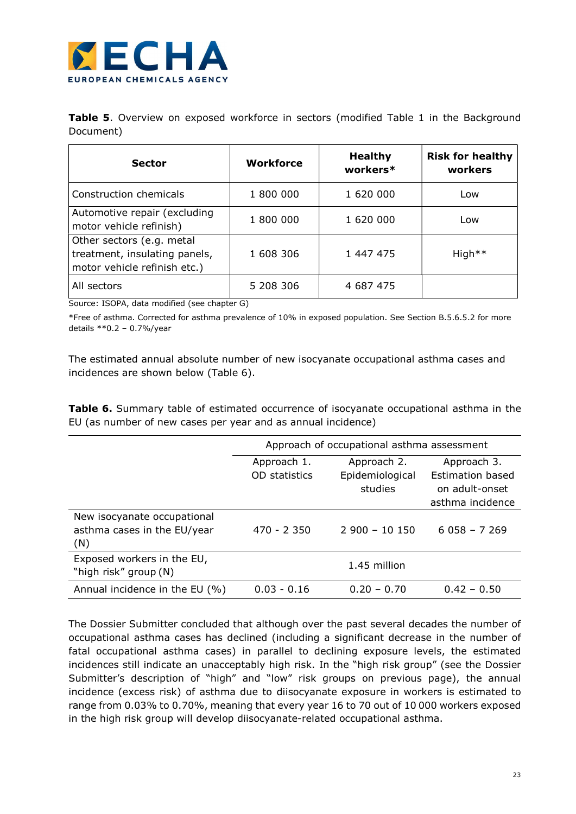

**Table 5.** Overview on exposed workforce in sectors (modified Table 1 in the Background Document)

| <b>Sector</b>                                                                              | <b>Workforce</b> | <b>Healthy</b><br>workers* | <b>Risk for healthy</b><br>workers |
|--------------------------------------------------------------------------------------------|------------------|----------------------------|------------------------------------|
| Construction chemicals                                                                     | 1 800 000        | 1 620 000                  | Low                                |
| Automotive repair (excluding<br>motor vehicle refinish)                                    | 1 800 000        | 1 620 000                  | Low                                |
| Other sectors (e.g. metal<br>treatment, insulating panels,<br>motor vehicle refinish etc.) | 1 608 306        | 1 447 475                  | High <sup>**</sup>                 |
| All sectors                                                                                | 5 208 306        | 4 687 475                  |                                    |

Source: ISOPA, data modified (see chapter G)

\*Free of asthma. Corrected for asthma prevalence of 10% in exposed population. See Section B.5.6.5.2 for more details \*\*0.2 – 0.7%/year

The estimated annual absolute number of new isocyanate occupational asthma cases and incidences are shown below (Table 6).

Table 6. Summary table of estimated occurrence of isocyanate occupational asthma in the EU (as number of new cases per year and as annual incidence)

|                                            | Approach of occupational asthma assessment |                 |                         |
|--------------------------------------------|--------------------------------------------|-----------------|-------------------------|
|                                            | Approach 1.                                | Approach 2.     | Approach 3.             |
|                                            | OD statistics                              | Epidemiological | <b>Estimation based</b> |
|                                            |                                            | studies         | on adult-onset          |
|                                            |                                            |                 | asthma incidence        |
| New isocyanate occupational                |                                            |                 |                         |
| asthma cases in the EU/year                | $470 - 2350$                               | $2900 - 10150$  | $6058 - 7269$           |
| (N)                                        |                                            |                 |                         |
| Exposed workers in the EU,<br>1.45 million |                                            |                 |                         |
| "high risk" group (N)                      |                                            |                 |                         |
| Annual incidence in the EU (%)             | $0.03 - 0.16$                              | $0.20 - 0.70$   | $0.42 - 0.50$           |

The Dossier Submitter concluded that although over the past several decades the number of occupational asthma cases has declined (including a significant decrease in the number of fatal occupational asthma cases) in parallel to declining exposure levels, the estimated incidences still indicate an unacceptably high risk. In the "high risk group" (see the Dossier Submitter's description of "high" and "low" risk groups on previous page), the annual incidence (excess risk) of asthma due to diisocyanate exposure in workers is estimated to range from 0.03% to 0.70%, meaning that every year 16 to 70 out of 10 000 workers exposed in the high risk group will develop diisocyanate-related occupational asthma.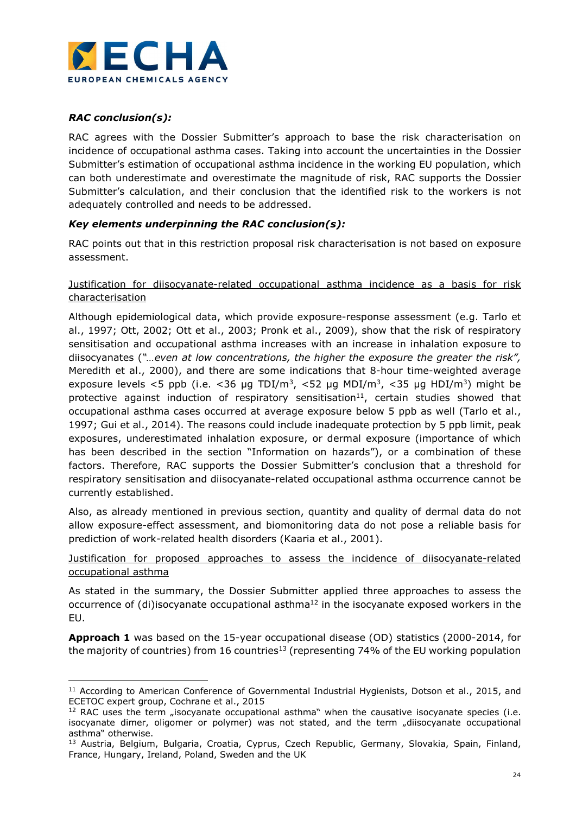

# RAC conclusion(s):

È,

RAC agrees with the Dossier Submitter's approach to base the risk characterisation on incidence of occupational asthma cases. Taking into account the uncertainties in the Dossier Submitter's estimation of occupational asthma incidence in the working EU population, which can both underestimate and overestimate the magnitude of risk, RAC supports the Dossier Submitter's calculation, and their conclusion that the identified risk to the workers is not adequately controlled and needs to be addressed.

# Key elements underpinning the RAC conclusion(s):

RAC points out that in this restriction proposal risk characterisation is not based on exposure assessment.

# Justification for diisocyanate-related occupational asthma incidence as a basis for risk characterisation

Although epidemiological data, which provide exposure-response assessment (e.g. Tarlo et al., 1997; Ott, 2002; Ott et al., 2003; Pronk et al., 2009), show that the risk of respiratory sensitisation and occupational asthma increases with an increase in inhalation exposure to diisocyanates ("...even at low concentrations, the higher the exposure the greater the risk", Meredith et al., 2000), and there are some indications that 8-hour time-weighted average exposure levels <5 ppb (i.e. <36 µg TDI/m<sup>3</sup>, <52 µg MDI/m<sup>3</sup>, <35 µg HDI/m<sup>3</sup>) might be protective against induction of respiratory sensitisation $11$ , certain studies showed that occupational asthma cases occurred at average exposure below 5 ppb as well (Tarlo et al., 1997; Gui et al., 2014). The reasons could include inadequate protection by 5 ppb limit, peak exposures, underestimated inhalation exposure, or dermal exposure (importance of which has been described in the section "Information on hazards"), or a combination of these factors. Therefore, RAC supports the Dossier Submitter's conclusion that a threshold for respiratory sensitisation and diisocyanate-related occupational asthma occurrence cannot be currently established.

Also, as already mentioned in previous section, quantity and quality of dermal data do not allow exposure-effect assessment, and biomonitoring data do not pose a reliable basis for prediction of work-related health disorders (Kaaria et al., 2001).

# Justification for proposed approaches to assess the incidence of diisocyanate-related occupational asthma

As stated in the summary, the Dossier Submitter applied three approaches to assess the occurrence of (di)isocyanate occupational asthma<sup>12</sup> in the isocyanate exposed workers in the EU.

Approach 1 was based on the 15-year occupational disease (OD) statistics (2000-2014, for the majority of countries) from 16 countries<sup>13</sup> (representing 74% of the EU working population

<sup>&</sup>lt;sup>11</sup> According to American Conference of Governmental Industrial Hygienists, Dotson et al., 2015, and ECETOC expert group, Cochrane et al., 2015

 $12$  RAC uses the term "isocyanate occupational asthma" when the causative isocyanate species (i.e. isocyanate dimer, oligomer or polymer) was not stated, and the term "diisocyanate occupational asthma" otherwise.

<sup>&</sup>lt;sup>13</sup> Austria, Belgium, Bulgaria, Croatia, Cyprus, Czech Republic, Germany, Slovakia, Spain, Finland, France, Hungary, Ireland, Poland, Sweden and the UK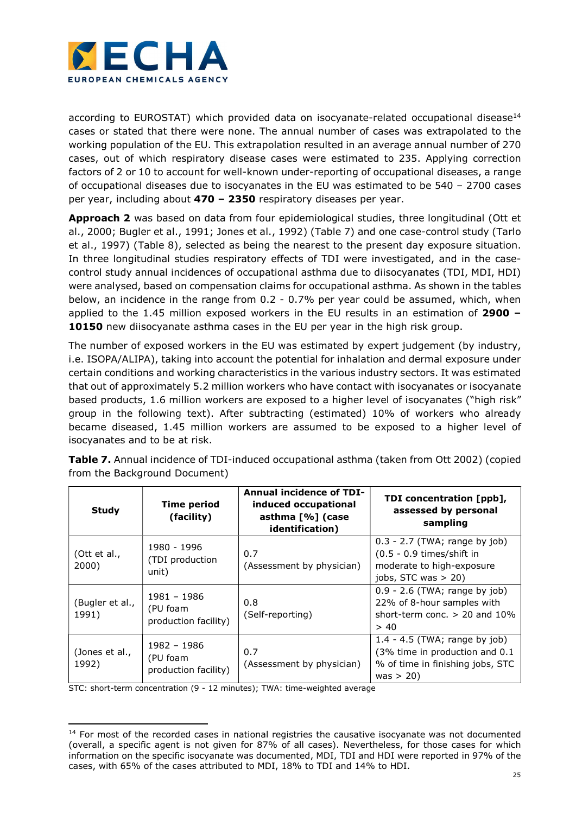

according to EUROSTAT) which provided data on isocyanate-related occupational disease<sup>14</sup> cases or stated that there were none. The annual number of cases was extrapolated to the working population of the EU. This extrapolation resulted in an average annual number of 270 cases, out of which respiratory disease cases were estimated to 235. Applying correction factors of 2 or 10 to account for well-known under-reporting of occupational diseases, a range of occupational diseases due to isocyanates in the EU was estimated to be 540 – 2700 cases per year, including about 470 – 2350 respiratory diseases per year.

Approach 2 was based on data from four epidemiological studies, three longitudinal (Ott et al., 2000; Bugler et al., 1991; Jones et al., 1992) (Table 7) and one case-control study (Tarlo et al., 1997) (Table 8), selected as being the nearest to the present day exposure situation. In three longitudinal studies respiratory effects of TDI were investigated, and in the casecontrol study annual incidences of occupational asthma due to diisocyanates (TDI, MDI, HDI) were analysed, based on compensation claims for occupational asthma. As shown in the tables below, an incidence in the range from 0.2 - 0.7% per year could be assumed, which, when applied to the 1.45 million exposed workers in the EU results in an estimation of  $2900 -$ 10150 new diisocyanate asthma cases in the EU per year in the high risk group.

The number of exposed workers in the EU was estimated by expert judgement (by industry, i.e. ISOPA/ALIPA), taking into account the potential for inhalation and dermal exposure under certain conditions and working characteristics in the various industry sectors. It was estimated that out of approximately 5.2 million workers who have contact with isocyanates or isocyanate based products, 1.6 million workers are exposed to a higher level of isocyanates ("high risk" group in the following text). After subtracting (estimated) 10% of workers who already became diseased, 1.45 million workers are assumed to be exposed to a higher level of isocyanates and to be at risk.

| <b>Study</b>             | <b>Time period</b><br>(facility)                | <b>Annual incidence of TDI-</b><br>induced occupational<br>asthma [%] (case<br>identification) | TDI concentration [ppb],<br>assessed by personal<br>sampling                                                        |
|--------------------------|-------------------------------------------------|------------------------------------------------------------------------------------------------|---------------------------------------------------------------------------------------------------------------------|
| (Ott et al.,<br>2000)    | 1980 - 1996<br>(TDI production<br>unit)         | 0.7<br>(Assessment by physician)                                                               | $0.3 - 2.7$ (TWA; range by job)<br>(0.5 - 0.9 times/shift in<br>moderate to high-exposure<br>jobs, STC was $> 20$ ) |
| (Bugler et al.,<br>1991) | 1981 - 1986<br>(PU foam<br>production facility) | 0.8<br>(Self-reporting)                                                                        | $0.9 - 2.6$ (TWA; range by job)<br>22% of 8-hour samples with<br>short-term conc. $> 20$ and 10%<br>> 40            |
| (Jones et al.,<br>1992)  | 1982 - 1986<br>(PU foam<br>production facility) | 0.7<br>(Assessment by physician)                                                               | $1.4 - 4.5$ (TWA; range by job)<br>(3% time in production and 0.1<br>% of time in finishing jobs, STC<br>was $> 20$ |

Table 7. Annual incidence of TDI-induced occupational asthma (taken from Ott 2002) (copied from the Background Document)

STC: short-term concentration (9 - 12 minutes); TWA: time-weighted average

È,

<sup>&</sup>lt;sup>14</sup> For most of the recorded cases in national registries the causative isocyanate was not documented (overall, a specific agent is not given for 87% of all cases). Nevertheless, for those cases for which information on the specific isocyanate was documented, MDI, TDI and HDI were reported in 97% of the cases, with 65% of the cases attributed to MDI, 18% to TDI and 14% to HDI.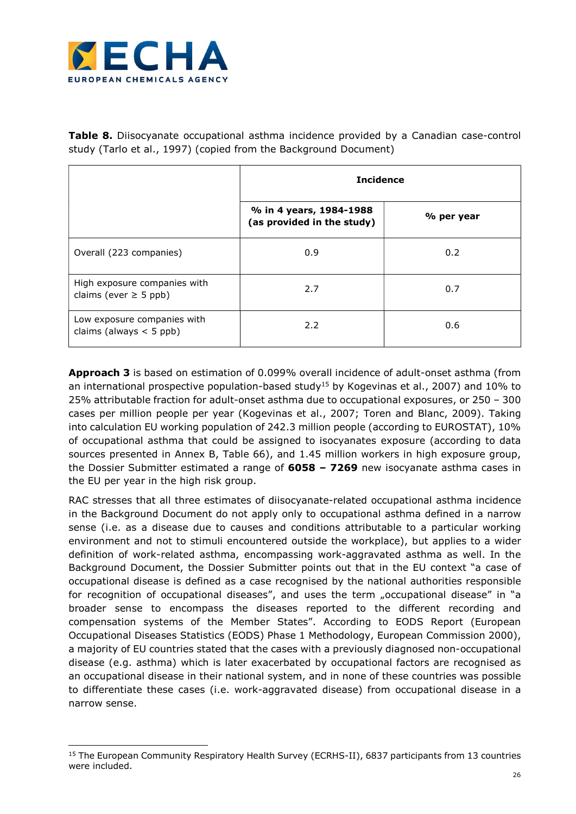

-

**Table 8.** Diisocyanate occupational asthma incidence provided by a Canadian case-control study (Tarlo et al., 1997) (copied from the Background Document)

|                                                            | <b>Incidence</b>                                      |            |  |
|------------------------------------------------------------|-------------------------------------------------------|------------|--|
|                                                            | % in 4 years, 1984-1988<br>(as provided in the study) | % per year |  |
| Overall (223 companies)                                    | 0.9                                                   | 0.2        |  |
| High exposure companies with<br>claims (ever $\geq$ 5 ppb) | 2.7                                                   | 0.7        |  |
| Low exposure companies with<br>claims (always $<$ 5 ppb)   | 2.2                                                   | 0.6        |  |

Approach 3 is based on estimation of 0.099% overall incidence of adult-onset asthma (from an international prospective population-based study<sup>15</sup> by Kogevinas et al., 2007) and 10% to 25% attributable fraction for adult-onset asthma due to occupational exposures, or 250 – 300 cases per million people per year (Kogevinas et al., 2007; Toren and Blanc, 2009). Taking into calculation EU working population of 242.3 million people (according to EUROSTAT), 10% of occupational asthma that could be assigned to isocyanates exposure (according to data sources presented in Annex B, Table 66), and 1.45 million workers in high exposure group, the Dossier Submitter estimated a range of 6058 - 7269 new isocyanate asthma cases in the EU per year in the high risk group.

RAC stresses that all three estimates of diisocyanate-related occupational asthma incidence in the Background Document do not apply only to occupational asthma defined in a narrow sense (i.e. as a disease due to causes and conditions attributable to a particular working environment and not to stimuli encountered outside the workplace), but applies to a wider definition of work-related asthma, encompassing work-aggravated asthma as well. In the Background Document, the Dossier Submitter points out that in the EU context "a case of occupational disease is defined as a case recognised by the national authorities responsible for recognition of occupational diseases", and uses the term "occupational disease" in "a broader sense to encompass the diseases reported to the different recording and compensation systems of the Member States". According to EODS Report (European Occupational Diseases Statistics (EODS) Phase 1 Methodology, European Commission 2000), a majority of EU countries stated that the cases with a previously diagnosed non-occupational disease (e.g. asthma) which is later exacerbated by occupational factors are recognised as an occupational disease in their national system, and in none of these countries was possible to differentiate these cases (i.e. work-aggravated disease) from occupational disease in a narrow sense.

<sup>&</sup>lt;sup>15</sup> The European Community Respiratory Health Survey (ECRHS-II), 6837 participants from 13 countries were included.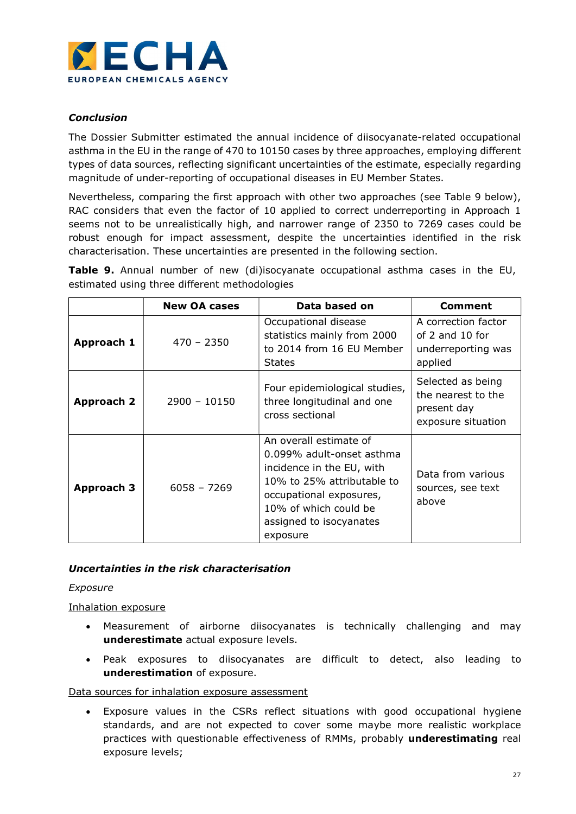

# Conclusion

The Dossier Submitter estimated the annual incidence of diisocyanate-related occupational asthma in the EU in the range of 470 to 10150 cases by three approaches, employing different types of data sources, reflecting significant uncertainties of the estimate, especially regarding magnitude of under-reporting of occupational diseases in EU Member States.

Nevertheless, comparing the first approach with other two approaches (see Table 9 below), RAC considers that even the factor of 10 applied to correct underreporting in Approach 1 seems not to be unrealistically high, and narrower range of 2350 to 7269 cases could be robust enough for impact assessment, despite the uncertainties identified in the risk characterisation. These uncertainties are presented in the following section.

**Table 9.** Annual number of new (di)isocyanate occupational asthma cases in the EU, estimated using three different methodologies

|                   | <b>New OA cases</b> | Data based on                                                                                                                                                                                             | Comment                                                                      |
|-------------------|---------------------|-----------------------------------------------------------------------------------------------------------------------------------------------------------------------------------------------------------|------------------------------------------------------------------------------|
| Approach 1        | $470 - 2350$        | Occupational disease<br>statistics mainly from 2000<br>to 2014 from 16 EU Member<br><b>States</b>                                                                                                         | A correction factor<br>of 2 and 10 for<br>underreporting was<br>applied      |
| Approach 2        | $2900 - 10150$      | Four epidemiological studies,<br>three longitudinal and one<br>cross sectional                                                                                                                            | Selected as being<br>the nearest to the<br>present day<br>exposure situation |
| <b>Approach 3</b> | $6058 - 7269$       | An overall estimate of<br>0.099% adult-onset asthma<br>incidence in the EU, with<br>10% to 25% attributable to<br>occupational exposures,<br>10% of which could be<br>assigned to isocyanates<br>exposure | Data from various<br>sources, see text<br>above                              |

# Uncertainties in the risk characterisation

## Exposure

# Inhalation exposure

- Measurement of airborne diisocyanates is technically challenging and may underestimate actual exposure levels.
- Peak exposures to diisocyanates are difficult to detect, also leading to underestimation of exposure.

## Data sources for inhalation exposure assessment

 Exposure values in the CSRs reflect situations with good occupational hygiene standards, and are not expected to cover some maybe more realistic workplace practices with questionable effectiveness of RMMs, probably underestimating real exposure levels;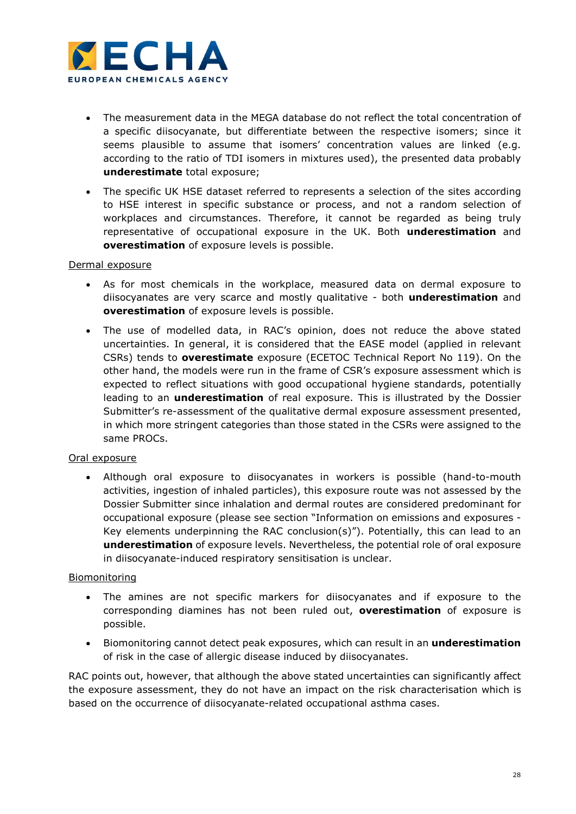

- The measurement data in the MEGA database do not reflect the total concentration of a specific diisocyanate, but differentiate between the respective isomers; since it seems plausible to assume that isomers' concentration values are linked (e.g. according to the ratio of TDI isomers in mixtures used), the presented data probably underestimate total exposure;
- The specific UK HSE dataset referred to represents a selection of the sites according to HSE interest in specific substance or process, and not a random selection of workplaces and circumstances. Therefore, it cannot be regarded as being truly representative of occupational exposure in the UK. Both underestimation and overestimation of exposure levels is possible.

# Dermal exposure

- As for most chemicals in the workplace, measured data on dermal exposure to diisocyanates are very scarce and mostly qualitative - both underestimation and overestimation of exposure levels is possible.
- The use of modelled data, in RAC's opinion, does not reduce the above stated uncertainties. In general, it is considered that the EASE model (applied in relevant CSRs) tends to overestimate exposure (ECETOC Technical Report No 119). On the other hand, the models were run in the frame of CSR's exposure assessment which is expected to reflect situations with good occupational hygiene standards, potentially leading to an **underestimation** of real exposure. This is illustrated by the Dossier Submitter's re-assessment of the qualitative dermal exposure assessment presented, in which more stringent categories than those stated in the CSRs were assigned to the same PROCs.

## Oral exposure

 Although oral exposure to diisocyanates in workers is possible (hand-to-mouth activities, ingestion of inhaled particles), this exposure route was not assessed by the Dossier Submitter since inhalation and dermal routes are considered predominant for occupational exposure (please see section "Information on emissions and exposures - Key elements underpinning the RAC conclusion(s)"). Potentially, this can lead to an underestimation of exposure levels. Nevertheless, the potential role of oral exposure in diisocyanate-induced respiratory sensitisation is unclear.

## Biomonitoring

- The amines are not specific markers for diisocyanates and if exposure to the corresponding diamines has not been ruled out, **overestimation** of exposure is possible.
- Biomonitoring cannot detect peak exposures, which can result in an **underestimation** of risk in the case of allergic disease induced by diisocyanates.

RAC points out, however, that although the above stated uncertainties can significantly affect the exposure assessment, they do not have an impact on the risk characterisation which is based on the occurrence of diisocyanate-related occupational asthma cases.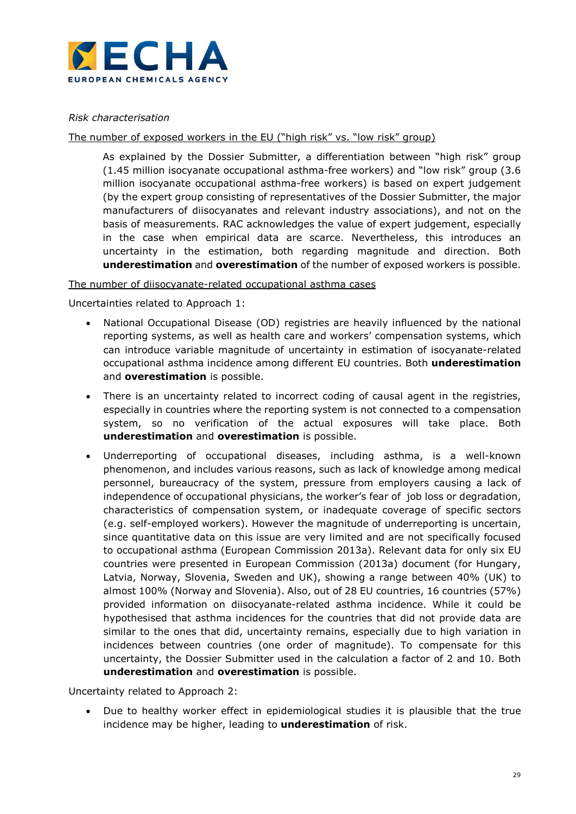

# Risk characterisation

## The number of exposed workers in the EU ("high risk" vs. "low risk" group)

As explained by the Dossier Submitter, a differentiation between "high risk" group (1.45 million isocyanate occupational asthma-free workers) and "low risk" group (3.6 million isocyanate occupational asthma-free workers) is based on expert judgement (by the expert group consisting of representatives of the Dossier Submitter, the major manufacturers of diisocyanates and relevant industry associations), and not on the basis of measurements. RAC acknowledges the value of expert judgement, especially in the case when empirical data are scarce. Nevertheless, this introduces an uncertainty in the estimation, both regarding magnitude and direction. Both underestimation and overestimation of the number of exposed workers is possible.

## The number of diisocyanate-related occupational asthma cases

Uncertainties related to Approach 1:

- National Occupational Disease (OD) registries are heavily influenced by the national reporting systems, as well as health care and workers' compensation systems, which can introduce variable magnitude of uncertainty in estimation of isocyanate-related occupational asthma incidence among different EU countries. Both underestimation and overestimation is possible.
- There is an uncertainty related to incorrect coding of causal agent in the registries, especially in countries where the reporting system is not connected to a compensation system, so no verification of the actual exposures will take place. Both underestimation and overestimation is possible.
- Underreporting of occupational diseases, including asthma, is a well-known phenomenon, and includes various reasons, such as lack of knowledge among medical personnel, bureaucracy of the system, pressure from employers causing a lack of independence of occupational physicians, the worker's fear of job loss or degradation, characteristics of compensation system, or inadequate coverage of specific sectors (e.g. self-employed workers). However the magnitude of underreporting is uncertain, since quantitative data on this issue are very limited and are not specifically focused to occupational asthma (European Commission 2013a). Relevant data for only six EU countries were presented in European Commission (2013a) document (for Hungary, Latvia, Norway, Slovenia, Sweden and UK), showing a range between 40% (UK) to almost 100% (Norway and Slovenia). Also, out of 28 EU countries, 16 countries (57%) provided information on diisocyanate-related asthma incidence. While it could be hypothesised that asthma incidences for the countries that did not provide data are similar to the ones that did, uncertainty remains, especially due to high variation in incidences between countries (one order of magnitude). To compensate for this uncertainty, the Dossier Submitter used in the calculation a factor of 2 and 10. Both underestimation and overestimation is possible.

Uncertainty related to Approach 2:

 Due to healthy worker effect in epidemiological studies it is plausible that the true incidence may be higher, leading to underestimation of risk.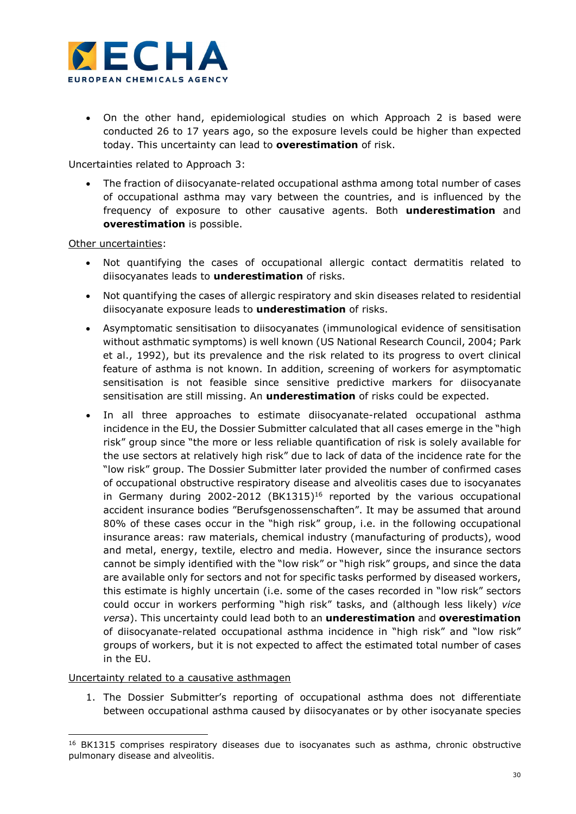

 On the other hand, epidemiological studies on which Approach 2 is based were conducted 26 to 17 years ago, so the exposure levels could be higher than expected today. This uncertainty can lead to **overestimation** of risk.

Uncertainties related to Approach 3:

 The fraction of diisocyanate-related occupational asthma among total number of cases of occupational asthma may vary between the countries, and is influenced by the frequency of exposure to other causative agents. Both underestimation and overestimation is possible.

Other uncertainties:

- Not quantifying the cases of occupational allergic contact dermatitis related to diisocyanates leads to underestimation of risks.
- Not quantifying the cases of allergic respiratory and skin diseases related to residential diisocyanate exposure leads to **underestimation** of risks.
- Asymptomatic sensitisation to diisocyanates (immunological evidence of sensitisation without asthmatic symptoms) is well known (US National Research Council, 2004; Park et al., 1992), but its prevalence and the risk related to its progress to overt clinical feature of asthma is not known. In addition, screening of workers for asymptomatic sensitisation is not feasible since sensitive predictive markers for diisocyanate sensitisation are still missing. An *underestimation* of risks could be expected.
- In all three approaches to estimate diisocyanate-related occupational asthma incidence in the EU, the Dossier Submitter calculated that all cases emerge in the "high risk" group since "the more or less reliable quantification of risk is solely available for the use sectors at relatively high risk" due to lack of data of the incidence rate for the "low risk" group. The Dossier Submitter later provided the number of confirmed cases of occupational obstructive respiratory disease and alveolitis cases due to isocyanates in Germany during 2002-2012 (BK1315)<sup>16</sup> reported by the various occupational accident insurance bodies "Berufsgenossenschaften". It may be assumed that around 80% of these cases occur in the "high risk" group, i.e. in the following occupational insurance areas: raw materials, chemical industry (manufacturing of products), wood and metal, energy, textile, electro and media. However, since the insurance sectors cannot be simply identified with the "low risk" or "high risk" groups, and since the data are available only for sectors and not for specific tasks performed by diseased workers, this estimate is highly uncertain (i.e. some of the cases recorded in "low risk" sectors could occur in workers performing "high risk" tasks, and (although less likely) vice versa). This uncertainty could lead both to an *underestimation* and overestimation of diisocyanate-related occupational asthma incidence in "high risk" and "low risk" groups of workers, but it is not expected to affect the estimated total number of cases in the EU.

## Uncertainty related to a causative asthmagen

-

1. The Dossier Submitter's reporting of occupational asthma does not differentiate between occupational asthma caused by diisocyanates or by other isocyanate species

<sup>&</sup>lt;sup>16</sup> BK1315 comprises respiratory diseases due to isocyanates such as asthma, chronic obstructive pulmonary disease and alveolitis.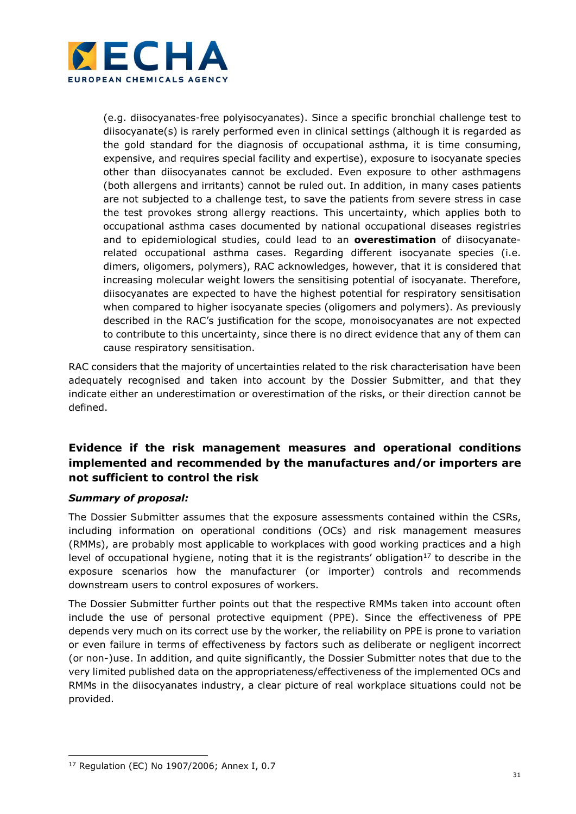

(e.g. diisocyanates-free polyisocyanates). Since a specific bronchial challenge test to diisocyanate(s) is rarely performed even in clinical settings (although it is regarded as the gold standard for the diagnosis of occupational asthma, it is time consuming, expensive, and requires special facility and expertise), exposure to isocyanate species other than diisocyanates cannot be excluded. Even exposure to other asthmagens (both allergens and irritants) cannot be ruled out. In addition, in many cases patients are not subjected to a challenge test, to save the patients from severe stress in case the test provokes strong allergy reactions. This uncertainty, which applies both to occupational asthma cases documented by national occupational diseases registries and to epidemiological studies, could lead to an **overestimation** of diisocyanaterelated occupational asthma cases. Regarding different isocyanate species (i.e. dimers, oligomers, polymers), RAC acknowledges, however, that it is considered that increasing molecular weight lowers the sensitising potential of isocyanate. Therefore, diisocyanates are expected to have the highest potential for respiratory sensitisation when compared to higher isocyanate species (oligomers and polymers). As previously described in the RAC's justification for the scope, monoisocyanates are not expected to contribute to this uncertainty, since there is no direct evidence that any of them can cause respiratory sensitisation.

RAC considers that the majority of uncertainties related to the risk characterisation have been adequately recognised and taken into account by the Dossier Submitter, and that they indicate either an underestimation or overestimation of the risks, or their direction cannot be defined.

# Evidence if the risk management measures and operational conditions implemented and recommended by the manufactures and/or importers are not sufficient to control the risk

# Summary of proposal:

The Dossier Submitter assumes that the exposure assessments contained within the CSRs, including information on operational conditions (OCs) and risk management measures (RMMs), are probably most applicable to workplaces with good working practices and a high level of occupational hygiene, noting that it is the registrants' obligation<sup>17</sup> to describe in the exposure scenarios how the manufacturer (or importer) controls and recommends downstream users to control exposures of workers.

The Dossier Submitter further points out that the respective RMMs taken into account often include the use of personal protective equipment (PPE). Since the effectiveness of PPE depends very much on its correct use by the worker, the reliability on PPE is prone to variation or even failure in terms of effectiveness by factors such as deliberate or negligent incorrect (or non-)use. In addition, and quite significantly, the Dossier Submitter notes that due to the very limited published data on the appropriateness/effectiveness of the implemented OCs and RMMs in the diisocyanates industry, a clear picture of real workplace situations could not be provided.

-

<sup>17</sup> Regulation (EC) No 1907/2006; Annex I, 0.7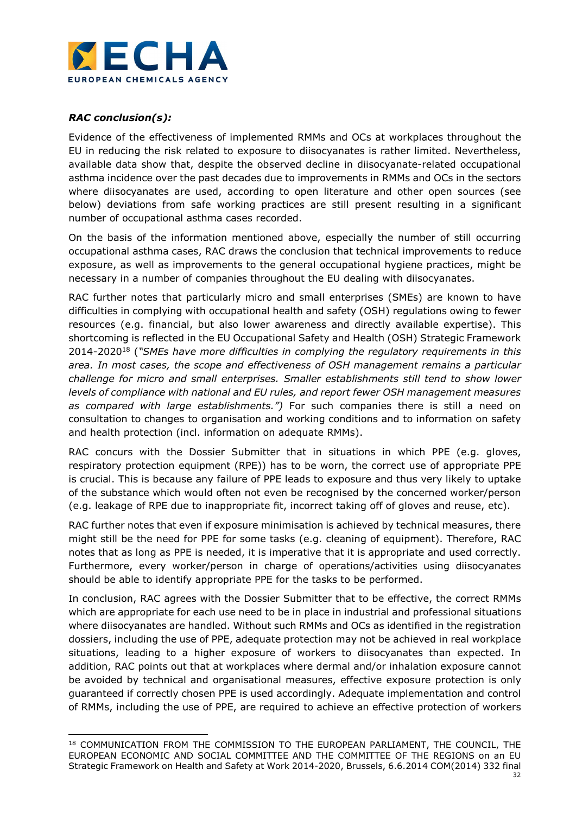

### RAC conclusion(s):

Evidence of the effectiveness of implemented RMMs and OCs at workplaces throughout the EU in reducing the risk related to exposure to diisocyanates is rather limited. Nevertheless, available data show that, despite the observed decline in diisocyanate-related occupational asthma incidence over the past decades due to improvements in RMMs and OCs in the sectors where diisocyanates are used, according to open literature and other open sources (see below) deviations from safe working practices are still present resulting in a significant number of occupational asthma cases recorded.

On the basis of the information mentioned above, especially the number of still occurring occupational asthma cases, RAC draws the conclusion that technical improvements to reduce exposure, as well as improvements to the general occupational hygiene practices, might be necessary in a number of companies throughout the EU dealing with diisocyanates.

RAC further notes that particularly micro and small enterprises (SMEs) are known to have difficulties in complying with occupational health and safety (OSH) regulations owing to fewer resources (e.g. financial, but also lower awareness and directly available expertise). This shortcoming is reflected in the EU Occupational Safety and Health (OSH) Strategic Framework 2014-2020<sup>18</sup> ("SMEs have more difficulties in complying the regulatory requirements in this area. In most cases, the scope and effectiveness of OSH management remains a particular challenge for micro and small enterprises. Smaller establishments still tend to show lower levels of compliance with national and EU rules, and report fewer OSH management measures as compared with large establishments.") For such companies there is still a need on consultation to changes to organisation and working conditions and to information on safety and health protection (incl. information on adequate RMMs).

RAC concurs with the Dossier Submitter that in situations in which PPE (e.g. gloves, respiratory protection equipment (RPE)) has to be worn, the correct use of appropriate PPE is crucial. This is because any failure of PPE leads to exposure and thus very likely to uptake of the substance which would often not even be recognised by the concerned worker/person (e.g. leakage of RPE due to inappropriate fit, incorrect taking off of gloves and reuse, etc).

RAC further notes that even if exposure minimisation is achieved by technical measures, there might still be the need for PPE for some tasks (e.g. cleaning of equipment). Therefore, RAC notes that as long as PPE is needed, it is imperative that it is appropriate and used correctly. Furthermore, every worker/person in charge of operations/activities using diisocyanates should be able to identify appropriate PPE for the tasks to be performed.

In conclusion, RAC agrees with the Dossier Submitter that to be effective, the correct RMMs which are appropriate for each use need to be in place in industrial and professional situations where diisocyanates are handled. Without such RMMs and OCs as identified in the registration dossiers, including the use of PPE, adequate protection may not be achieved in real workplace situations, leading to a higher exposure of workers to diisocyanates than expected. In addition, RAC points out that at workplaces where dermal and/or inhalation exposure cannot be avoided by technical and organisational measures, effective exposure protection is only guaranteed if correctly chosen PPE is used accordingly. Adequate implementation and control of RMMs, including the use of PPE, are required to achieve an effective protection of workers

<sup>-</sup><sup>18</sup> COMMUNICATION FROM THE COMMISSION TO THE EUROPEAN PARLIAMENT, THE COUNCIL, THE EUROPEAN ECONOMIC AND SOCIAL COMMITTEE AND THE COMMITTEE OF THE REGIONS on an EU Strategic Framework on Health and Safety at Work 2014-2020, Brussels, 6.6.2014 COM(2014) 332 final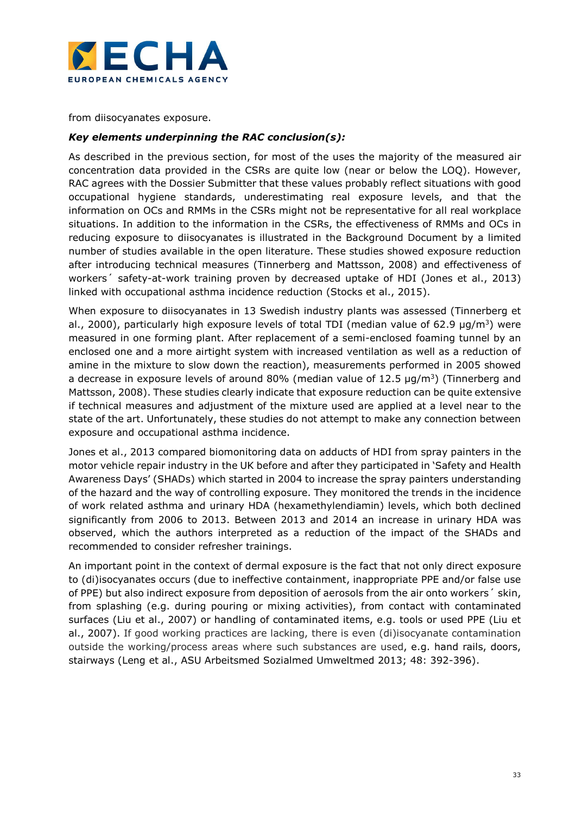

from diisocyanates exposure.

### Key elements underpinning the RAC conclusion(s):

As described in the previous section, for most of the uses the majority of the measured air concentration data provided in the CSRs are quite low (near or below the LOQ). However, RAC agrees with the Dossier Submitter that these values probably reflect situations with good occupational hygiene standards, underestimating real exposure levels, and that the information on OCs and RMMs in the CSRs might not be representative for all real workplace situations. In addition to the information in the CSRs, the effectiveness of RMMs and OCs in reducing exposure to diisocyanates is illustrated in the Background Document by a limited number of studies available in the open literature. These studies showed exposure reduction after introducing technical measures (Tinnerberg and Mattsson, 2008) and effectiveness of workers´ safety-at-work training proven by decreased uptake of HDI (Jones et al., 2013) linked with occupational asthma incidence reduction (Stocks et al., 2015).

When exposure to diisocyanates in 13 Swedish industry plants was assessed (Tinnerberg et al., 2000), particularly high exposure levels of total TDI (median value of 62.9  $\mu q/m^3$ ) were measured in one forming plant. After replacement of a semi-enclosed foaming tunnel by an enclosed one and a more airtight system with increased ventilation as well as a reduction of amine in the mixture to slow down the reaction), measurements performed in 2005 showed a decrease in exposure levels of around 80% (median value of 12.5  $\mu$ g/m<sup>3</sup>) (Tinnerberg and Mattsson, 2008). These studies clearly indicate that exposure reduction can be quite extensive if technical measures and adjustment of the mixture used are applied at a level near to the state of the art. Unfortunately, these studies do not attempt to make any connection between exposure and occupational asthma incidence.

Jones et al., 2013 compared biomonitoring data on adducts of HDI from spray painters in the motor vehicle repair industry in the UK before and after they participated in 'Safety and Health Awareness Days' (SHADs) which started in 2004 to increase the spray painters understanding of the hazard and the way of controlling exposure. They monitored the trends in the incidence of work related asthma and urinary HDA (hexamethylendiamin) levels, which both declined significantly from 2006 to 2013. Between 2013 and 2014 an increase in urinary HDA was observed, which the authors interpreted as a reduction of the impact of the SHADs and recommended to consider refresher trainings.

An important point in the context of dermal exposure is the fact that not only direct exposure to (di)isocyanates occurs (due to ineffective containment, inappropriate PPE and/or false use of PPE) but also indirect exposure from deposition of aerosols from the air onto workers´ skin, from splashing (e.g. during pouring or mixing activities), from contact with contaminated surfaces (Liu et al., 2007) or handling of contaminated items, e.g. tools or used PPE (Liu et al., 2007). If good working practices are lacking, there is even (di)isocyanate contamination outside the working/process areas where such substances are used, e.g. hand rails, doors, stairways (Leng et al., ASU Arbeitsmed Sozialmed Umweltmed 2013; 48: 392-396).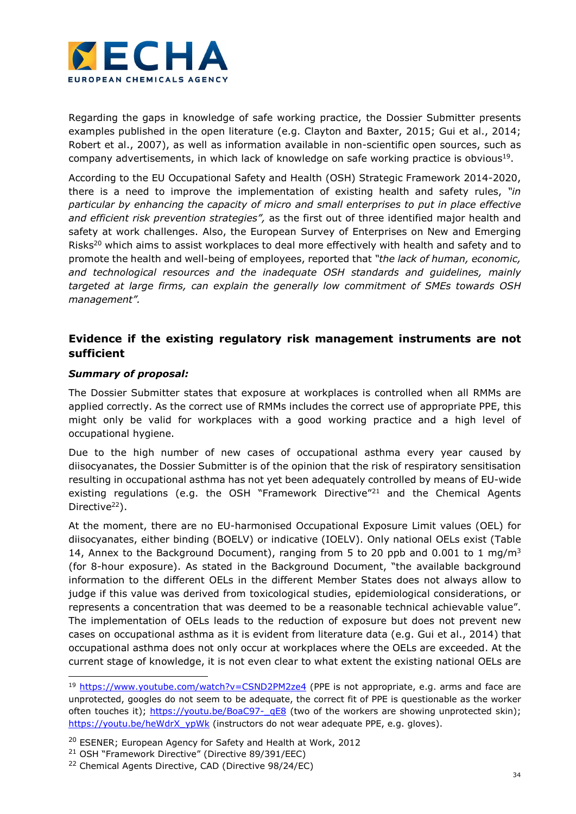

Regarding the gaps in knowledge of safe working practice, the Dossier Submitter presents examples published in the open literature (e.g. Clayton and Baxter, 2015; Gui et al., 2014; Robert et al., 2007), as well as information available in non-scientific open sources, such as company advertisements, in which lack of knowledge on safe working practice is obvious<sup>19</sup>.

According to the EU Occupational Safety and Health (OSH) Strategic Framework 2014-2020, there is a need to improve the implementation of existing health and safety rules, "in particular by enhancing the capacity of micro and small enterprises to put in place effective and efficient risk prevention strategies", as the first out of three identified major health and safety at work challenges. Also, the European Survey of Enterprises on New and Emerging Risks<sup>20</sup> which aims to assist workplaces to deal more effectively with health and safety and to promote the health and well-being of employees, reported that "the lack of human, economic, and technological resources and the inadequate OSH standards and guidelines, mainly targeted at large firms, can explain the generally low commitment of SMEs towards OSH management".

## Evidence if the existing regulatory risk management instruments are not sufficient

#### Summary of proposal:

-

The Dossier Submitter states that exposure at workplaces is controlled when all RMMs are applied correctly. As the correct use of RMMs includes the correct use of appropriate PPE, this might only be valid for workplaces with a good working practice and a high level of occupational hygiene.

Due to the high number of new cases of occupational asthma every year caused by diisocyanates, the Dossier Submitter is of the opinion that the risk of respiratory sensitisation resulting in occupational asthma has not yet been adequately controlled by means of EU-wide existing regulations (e.g. the OSH "Framework Directive"<sup>21</sup> and the Chemical Agents Directive<sup>22</sup>).

At the moment, there are no EU-harmonised Occupational Exposure Limit values (OEL) for diisocyanates, either binding (BOELV) or indicative (IOELV). Only national OELs exist (Table 14, Annex to the Background Document), ranging from 5 to 20 ppb and 0.001 to 1 mg/m<sup>3</sup> (for 8-hour exposure). As stated in the Background Document, "the available background information to the different OELs in the different Member States does not always allow to judge if this value was derived from toxicological studies, epidemiological considerations, or represents a concentration that was deemed to be a reasonable technical achievable value". The implementation of OELs leads to the reduction of exposure but does not prevent new cases on occupational asthma as it is evident from literature data (e.g. Gui et al., 2014) that occupational asthma does not only occur at workplaces where the OELs are exceeded. At the current stage of knowledge, it is not even clear to what extent the existing national OELs are

<sup>&</sup>lt;sup>19</sup> https://www.youtube.com/watch?v=CSND2PM2ze4 (PPE is not appropriate, e.g. arms and face are unprotected, googles do not seem to be adequate, the correct fit of PPE is questionable as the worker often touches it); https://youtu.be/BoaC97-\_qE8 (two of the workers are showing unprotected skin); https://youtu.be/heWdrX\_ypWk (instructors do not wear adequate PPE, e.g. gloves).

<sup>&</sup>lt;sup>20</sup> ESENER; European Agency for Safety and Health at Work, 2012

<sup>21</sup> OSH "Framework Directive" (Directive 89/391/EEC)

<sup>22</sup> Chemical Agents Directive, CAD (Directive 98/24/EC)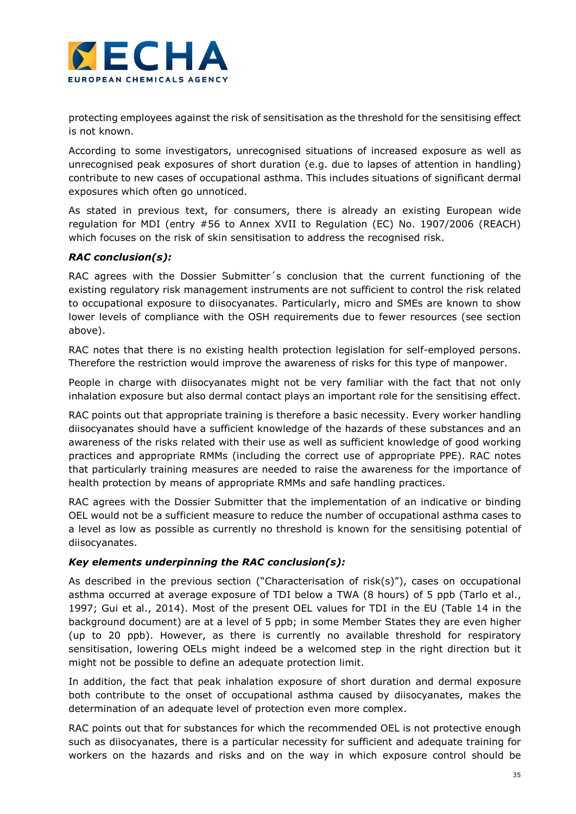

protecting employees against the risk of sensitisation as the threshold for the sensitising effect is not known.

According to some investigators, unrecognised situations of increased exposure as well as unrecognised peak exposures of short duration (e.g. due to lapses of attention in handling) contribute to new cases of occupational asthma. This includes situations of significant dermal exposures which often go unnoticed.

As stated in previous text, for consumers, there is already an existing European wide regulation for MDI (entry #56 to Annex XVII to Regulation (EC) No. 1907/2006 (REACH) which focuses on the risk of skin sensitisation to address the recognised risk.

### RAC conclusion(s):

RAC agrees with the Dossier Submitter´s conclusion that the current functioning of the existing regulatory risk management instruments are not sufficient to control the risk related to occupational exposure to diisocyanates. Particularly, micro and SMEs are known to show lower levels of compliance with the OSH requirements due to fewer resources (see section above).

RAC notes that there is no existing health protection legislation for self-employed persons. Therefore the restriction would improve the awareness of risks for this type of manpower.

People in charge with diisocyanates might not be very familiar with the fact that not only inhalation exposure but also dermal contact plays an important role for the sensitising effect.

RAC points out that appropriate training is therefore a basic necessity. Every worker handling diisocyanates should have a sufficient knowledge of the hazards of these substances and an awareness of the risks related with their use as well as sufficient knowledge of good working practices and appropriate RMMs (including the correct use of appropriate PPE). RAC notes that particularly training measures are needed to raise the awareness for the importance of health protection by means of appropriate RMMs and safe handling practices.

RAC agrees with the Dossier Submitter that the implementation of an indicative or binding OEL would not be a sufficient measure to reduce the number of occupational asthma cases to a level as low as possible as currently no threshold is known for the sensitising potential of diisocyanates.

### Key elements underpinning the RAC conclusion(s):

As described in the previous section ("Characterisation of risk(s)"), cases on occupational asthma occurred at average exposure of TDI below a TWA (8 hours) of 5 ppb (Tarlo et al., 1997; Gui et al., 2014). Most of the present OEL values for TDI in the EU (Table 14 in the background document) are at a level of 5 ppb; in some Member States they are even higher (up to 20 ppb). However, as there is currently no available threshold for respiratory sensitisation, lowering OELs might indeed be a welcomed step in the right direction but it might not be possible to define an adequate protection limit.

In addition, the fact that peak inhalation exposure of short duration and dermal exposure both contribute to the onset of occupational asthma caused by diisocyanates, makes the determination of an adequate level of protection even more complex.

RAC points out that for substances for which the recommended OEL is not protective enough such as diisocyanates, there is a particular necessity for sufficient and adequate training for workers on the hazards and risks and on the way in which exposure control should be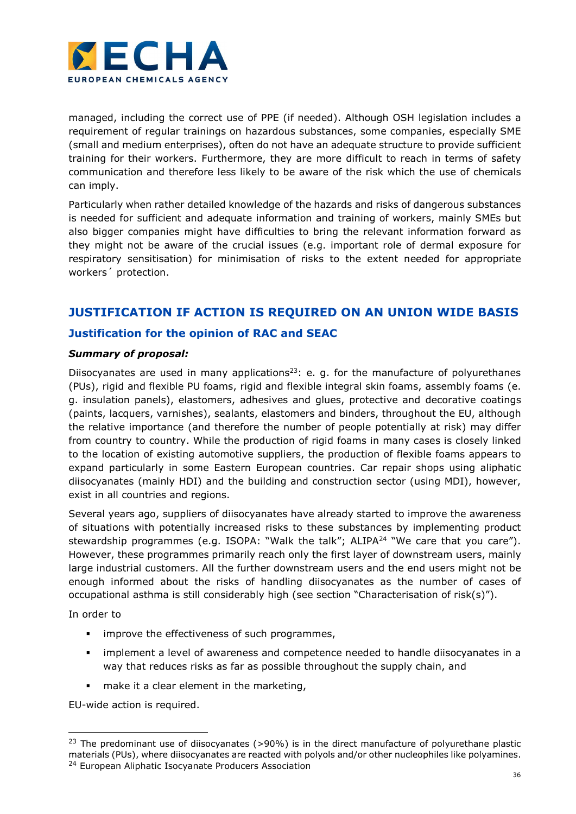

managed, including the correct use of PPE (if needed). Although OSH legislation includes a requirement of regular trainings on hazardous substances, some companies, especially SME (small and medium enterprises), often do not have an adequate structure to provide sufficient training for their workers. Furthermore, they are more difficult to reach in terms of safety communication and therefore less likely to be aware of the risk which the use of chemicals can imply.

Particularly when rather detailed knowledge of the hazards and risks of dangerous substances is needed for sufficient and adequate information and training of workers, mainly SMEs but also bigger companies might have difficulties to bring the relevant information forward as they might not be aware of the crucial issues (e.g. important role of dermal exposure for respiratory sensitisation) for minimisation of risks to the extent needed for appropriate workers´ protection.

# JUSTIFICATION IF ACTION IS REQUIRED ON AN UNION WIDE BASIS

## Justification for the opinion of RAC and SEAC

### Summary of proposal:

Diisocyanates are used in many applications<sup>23</sup>: e. g. for the manufacture of polyurethanes (PUs), rigid and flexible PU foams, rigid and flexible integral skin foams, assembly foams (e. g. insulation panels), elastomers, adhesives and glues, protective and decorative coatings (paints, lacquers, varnishes), sealants, elastomers and binders, throughout the EU, although the relative importance (and therefore the number of people potentially at risk) may differ from country to country. While the production of rigid foams in many cases is closely linked to the location of existing automotive suppliers, the production of flexible foams appears to expand particularly in some Eastern European countries. Car repair shops using aliphatic diisocyanates (mainly HDI) and the building and construction sector (using MDI), however, exist in all countries and regions.

Several years ago, suppliers of diisocyanates have already started to improve the awareness of situations with potentially increased risks to these substances by implementing product stewardship programmes (e.g. ISOPA: "Walk the talk";  $ALIPA^{24}$  "We care that you care"). However, these programmes primarily reach only the first layer of downstream users, mainly large industrial customers. All the further downstream users and the end users might not be enough informed about the risks of handling diisocyanates as the number of cases of occupational asthma is still considerably high (see section "Characterisation of risk(s)").

In order to

-

- **improve the effectiveness of such programmes,**
- implement a level of awareness and competence needed to handle diisocyanates in a way that reduces risks as far as possible throughout the supply chain, and
- make it a clear element in the marketing,

EU-wide action is required.

<sup>&</sup>lt;sup>23</sup> The predominant use of diisocyanates ( $>90\%$ ) is in the direct manufacture of polyurethane plastic materials (PUs), where diisocyanates are reacted with polyols and/or other nucleophiles like polyamines. <sup>24</sup> European Aliphatic Isocyanate Producers Association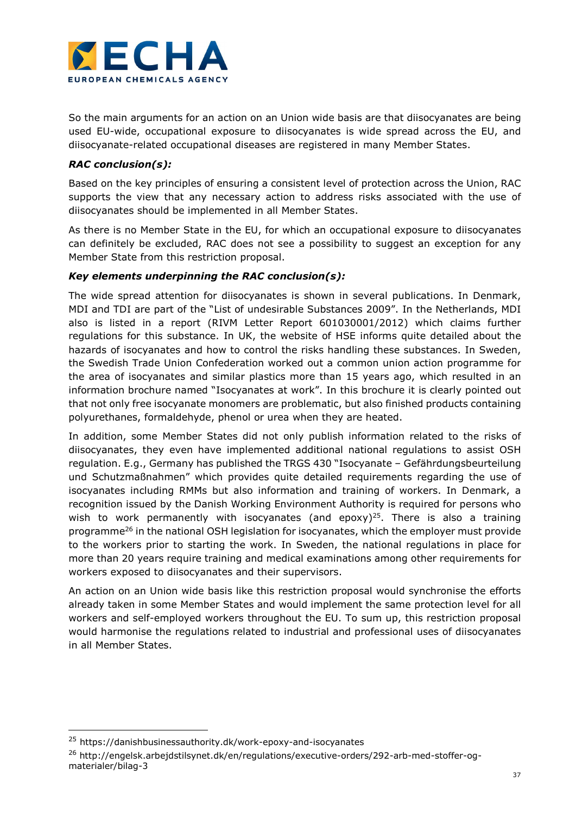

So the main arguments for an action on an Union wide basis are that diisocyanates are being used EU-wide, occupational exposure to diisocyanates is wide spread across the EU, and diisocyanate-related occupational diseases are registered in many Member States.

### RAC conclusion(s):

Based on the key principles of ensuring a consistent level of protection across the Union, RAC supports the view that any necessary action to address risks associated with the use of diisocyanates should be implemented in all Member States.

As there is no Member State in the EU, for which an occupational exposure to diisocyanates can definitely be excluded, RAC does not see a possibility to suggest an exception for any Member State from this restriction proposal.

### Key elements underpinning the RAC conclusion(s):

The wide spread attention for diisocyanates is shown in several publications. In Denmark, MDI and TDI are part of the "List of undesirable Substances 2009". In the Netherlands, MDI also is listed in a report (RIVM Letter Report 601030001/2012) which claims further regulations for this substance. In UK, the website of HSE informs quite detailed about the hazards of isocyanates and how to control the risks handling these substances. In Sweden, the Swedish Trade Union Confederation worked out a common union action programme for the area of isocyanates and similar plastics more than 15 years ago, which resulted in an information brochure named "Isocyanates at work". In this brochure it is clearly pointed out that not only free isocyanate monomers are problematic, but also finished products containing polyurethanes, formaldehyde, phenol or urea when they are heated.

In addition, some Member States did not only publish information related to the risks of diisocyanates, they even have implemented additional national regulations to assist OSH regulation. E.g., Germany has published the TRGS 430 "Isocyanate – Gefährdungsbeurteilung und Schutzmaßnahmen" which provides quite detailed requirements regarding the use of isocyanates including RMMs but also information and training of workers. In Denmark, a recognition issued by the Danish Working Environment Authority is required for persons who wish to work permanently with isocyanates (and epoxy)<sup>25</sup>. There is also a training programme<sup>26</sup> in the national OSH legislation for isocyanates, which the employer must provide to the workers prior to starting the work. In Sweden, the national regulations in place for more than 20 years require training and medical examinations among other requirements for workers exposed to diisocyanates and their supervisors.

An action on an Union wide basis like this restriction proposal would synchronise the efforts already taken in some Member States and would implement the same protection level for all workers and self-employed workers throughout the EU. To sum up, this restriction proposal would harmonise the regulations related to industrial and professional uses of diisocyanates in all Member States.

È,

<sup>25</sup> https://danishbusinessauthority.dk/work-epoxy-and-isocyanates

<sup>&</sup>lt;sup>26</sup> http://engelsk.arbejdstilsynet.dk/en/regulations/executive-orders/292-arb-med-stoffer-ogmaterialer/bilag-3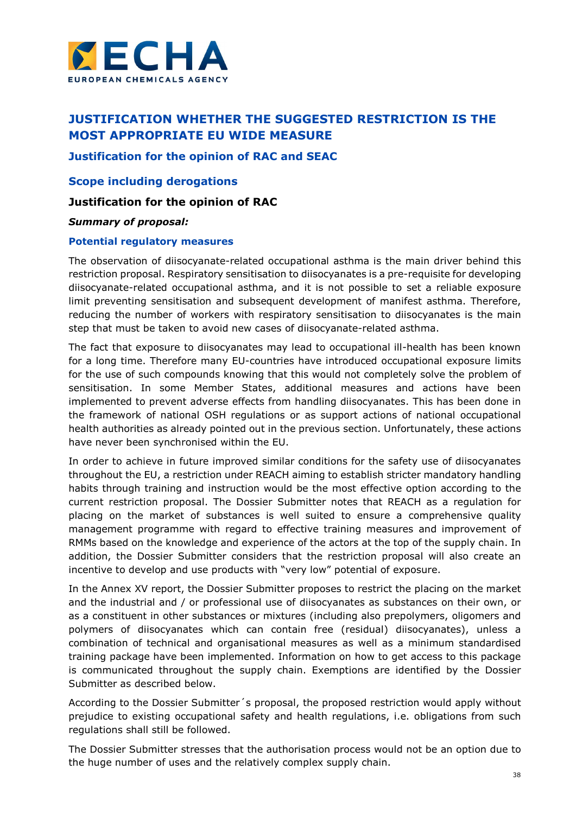

# JUSTIFICATION WHETHER THE SUGGESTED RESTRICTION IS THE MOST APPROPRIATE EU WIDE MEASURE

Justification for the opinion of RAC and SEAC

Scope including derogations

### Justification for the opinion of RAC

#### Summary of proposal:

#### Potential regulatory measures

The observation of diisocyanate-related occupational asthma is the main driver behind this restriction proposal. Respiratory sensitisation to diisocyanates is a pre-requisite for developing diisocyanate-related occupational asthma, and it is not possible to set a reliable exposure limit preventing sensitisation and subsequent development of manifest asthma. Therefore, reducing the number of workers with respiratory sensitisation to diisocyanates is the main step that must be taken to avoid new cases of diisocyanate-related asthma.

The fact that exposure to diisocyanates may lead to occupational ill-health has been known for a long time. Therefore many EU-countries have introduced occupational exposure limits for the use of such compounds knowing that this would not completely solve the problem of sensitisation. In some Member States, additional measures and actions have been implemented to prevent adverse effects from handling diisocyanates. This has been done in the framework of national OSH regulations or as support actions of national occupational health authorities as already pointed out in the previous section. Unfortunately, these actions have never been synchronised within the EU.

In order to achieve in future improved similar conditions for the safety use of diisocyanates throughout the EU, a restriction under REACH aiming to establish stricter mandatory handling habits through training and instruction would be the most effective option according to the current restriction proposal. The Dossier Submitter notes that REACH as a regulation for placing on the market of substances is well suited to ensure a comprehensive quality management programme with regard to effective training measures and improvement of RMMs based on the knowledge and experience of the actors at the top of the supply chain. In addition, the Dossier Submitter considers that the restriction proposal will also create an incentive to develop and use products with "very low" potential of exposure.

In the Annex XV report, the Dossier Submitter proposes to restrict the placing on the market and the industrial and / or professional use of diisocyanates as substances on their own, or as a constituent in other substances or mixtures (including also prepolymers, oligomers and polymers of diisocyanates which can contain free (residual) diisocyanates), unless a combination of technical and organisational measures as well as a minimum standardised training package have been implemented. Information on how to get access to this package is communicated throughout the supply chain. Exemptions are identified by the Dossier Submitter as described below.

According to the Dossier Submitter´s proposal, the proposed restriction would apply without prejudice to existing occupational safety and health regulations, i.e. obligations from such regulations shall still be followed.

The Dossier Submitter stresses that the authorisation process would not be an option due to the huge number of uses and the relatively complex supply chain.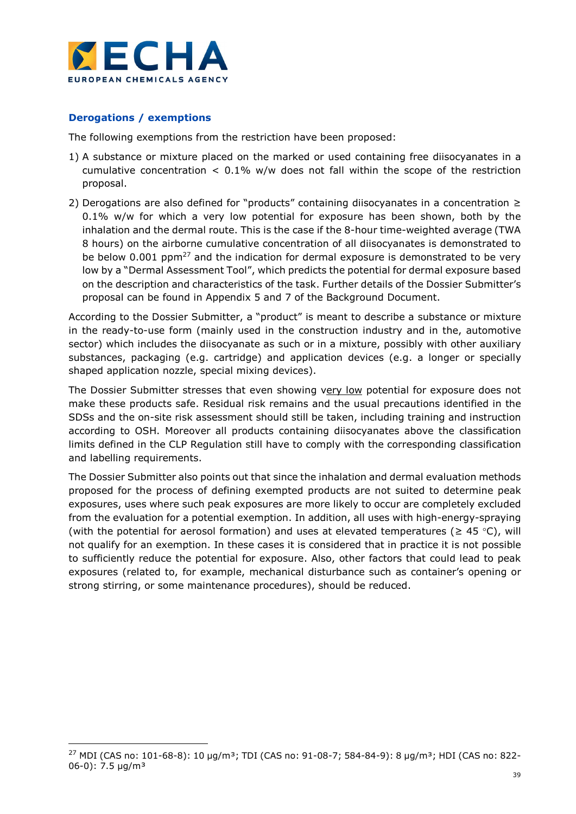

### Derogations / exemptions

È,

The following exemptions from the restriction have been proposed:

- 1) A substance or mixture placed on the marked or used containing free diisocyanates in a cumulative concentration  $< 0.1\%$  w/w does not fall within the scope of the restriction proposal.
- 2) Derogations are also defined for "products" containing diisocyanates in a concentration ≥ 0.1% w/w for which a very low potential for exposure has been shown, both by the inhalation and the dermal route. This is the case if the 8-hour time-weighted average (TWA 8 hours) on the airborne cumulative concentration of all diisocyanates is demonstrated to be below 0.001 ppm<sup>27</sup> and the indication for dermal exposure is demonstrated to be very low by a "Dermal Assessment Tool", which predicts the potential for dermal exposure based on the description and characteristics of the task. Further details of the Dossier Submitter's proposal can be found in Appendix 5 and 7 of the Background Document.

According to the Dossier Submitter, a "product" is meant to describe a substance or mixture in the ready-to-use form (mainly used in the construction industry and in the, automotive sector) which includes the diisocyanate as such or in a mixture, possibly with other auxiliary substances, packaging (e.g. cartridge) and application devices (e.g. a longer or specially shaped application nozzle, special mixing devices).

The Dossier Submitter stresses that even showing very low potential for exposure does not make these products safe. Residual risk remains and the usual precautions identified in the SDSs and the on-site risk assessment should still be taken, including training and instruction according to OSH. Moreover all products containing diisocyanates above the classification limits defined in the CLP Regulation still have to comply with the corresponding classification and labelling requirements.

The Dossier Submitter also points out that since the inhalation and dermal evaluation methods proposed for the process of defining exempted products are not suited to determine peak exposures, uses where such peak exposures are more likely to occur are completely excluded from the evaluation for a potential exemption. In addition, all uses with high-energy-spraying (with the potential for aerosol formation) and uses at elevated temperatures ( $\geq 45$  °C), will not qualify for an exemption. In these cases it is considered that in practice it is not possible to sufficiently reduce the potential for exposure. Also, other factors that could lead to peak exposures (related to, for example, mechanical disturbance such as container's opening or strong stirring, or some maintenance procedures), should be reduced.

<sup>27</sup> MDI (CAS no: 101-68-8): 10 µg/m<sup>3</sup>; TDI (CAS no: 91-08-7; 584-84-9): 8 µg/m<sup>3</sup>; HDI (CAS no: 822-06-0): 7.5 µg/m³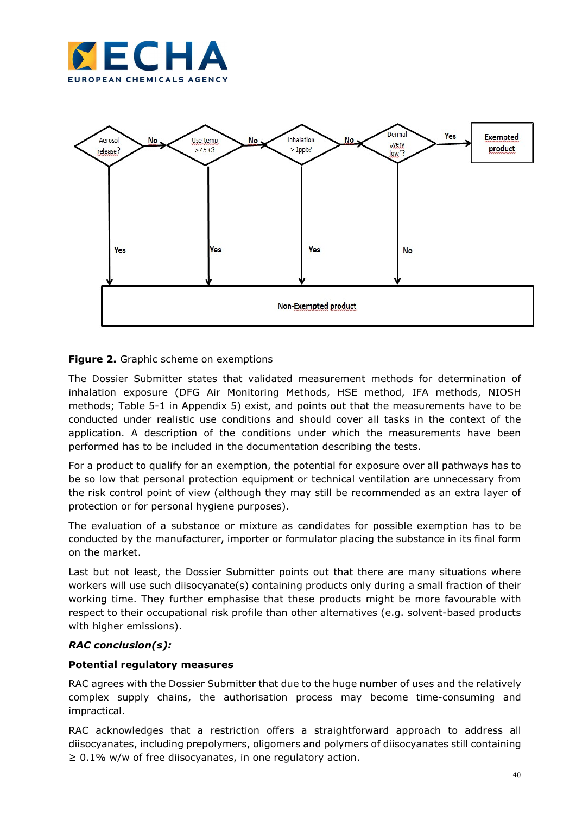



**Figure 2.** Graphic scheme on exemptions

The Dossier Submitter states that validated measurement methods for determination of inhalation exposure (DFG Air Monitoring Methods, HSE method, IFA methods, NIOSH methods; Table 5-1 in Appendix 5) exist, and points out that the measurements have to be conducted under realistic use conditions and should cover all tasks in the context of the application. A description of the conditions under which the measurements have been performed has to be included in the documentation describing the tests.

For a product to qualify for an exemption, the potential for exposure over all pathways has to be so low that personal protection equipment or technical ventilation are unnecessary from the risk control point of view (although they may still be recommended as an extra layer of protection or for personal hygiene purposes).

The evaluation of a substance or mixture as candidates for possible exemption has to be conducted by the manufacturer, importer or formulator placing the substance in its final form on the market.

Last but not least, the Dossier Submitter points out that there are many situations where workers will use such diisocyanate(s) containing products only during a small fraction of their working time. They further emphasise that these products might be more favourable with respect to their occupational risk profile than other alternatives (e.g. solvent-based products with higher emissions).

## RAC conclusion(s):

### Potential regulatory measures

RAC agrees with the Dossier Submitter that due to the huge number of uses and the relatively complex supply chains, the authorisation process may become time-consuming and impractical.

RAC acknowledges that a restriction offers a straightforward approach to address all diisocyanates, including prepolymers, oligomers and polymers of diisocyanates still containing  $\geq 0.1\%$  w/w of free diisocyanates, in one regulatory action.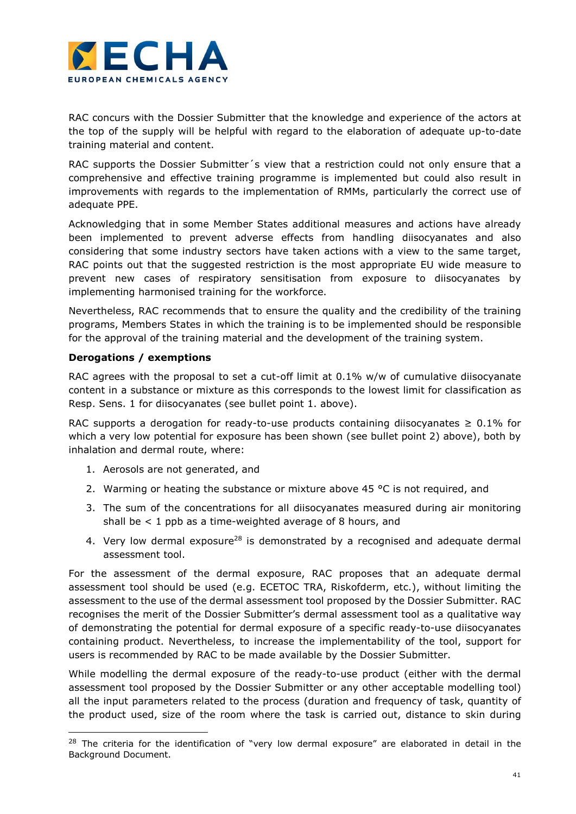

RAC concurs with the Dossier Submitter that the knowledge and experience of the actors at the top of the supply will be helpful with regard to the elaboration of adequate up-to-date training material and content.

RAC supports the Dossier Submitter's view that a restriction could not only ensure that a comprehensive and effective training programme is implemented but could also result in improvements with regards to the implementation of RMMs, particularly the correct use of adequate PPE.

Acknowledging that in some Member States additional measures and actions have already been implemented to prevent adverse effects from handling diisocyanates and also considering that some industry sectors have taken actions with a view to the same target, RAC points out that the suggested restriction is the most appropriate EU wide measure to prevent new cases of respiratory sensitisation from exposure to diisocyanates by implementing harmonised training for the workforce.

Nevertheless, RAC recommends that to ensure the quality and the credibility of the training programs, Members States in which the training is to be implemented should be responsible for the approval of the training material and the development of the training system.

#### Derogations / exemptions

-

RAC agrees with the proposal to set a cut-off limit at 0.1% w/w of cumulative diisocyanate content in a substance or mixture as this corresponds to the lowest limit for classification as Resp. Sens. 1 for diisocyanates (see bullet point 1. above).

RAC supports a derogation for ready-to-use products containing diisocyanates  $\geq 0.1\%$  for which a very low potential for exposure has been shown (see bullet point 2) above), both by inhalation and dermal route, where:

- 1. Aerosols are not generated, and
- 2. Warming or heating the substance or mixture above 45  $\degree$ C is not required, and
- 3. The sum of the concentrations for all diisocyanates measured during air monitoring shall be  $\leq 1$  ppb as a time-weighted average of 8 hours, and
- 4. Very low dermal exposure<sup>28</sup> is demonstrated by a recognised and adequate dermal assessment tool.

For the assessment of the dermal exposure, RAC proposes that an adequate dermal assessment tool should be used (e.g. ECETOC TRA, Riskofderm, etc.), without limiting the assessment to the use of the dermal assessment tool proposed by the Dossier Submitter. RAC recognises the merit of the Dossier Submitter's dermal assessment tool as a qualitative way of demonstrating the potential for dermal exposure of a specific ready-to-use diisocyanates containing product. Nevertheless, to increase the implementability of the tool, support for users is recommended by RAC to be made available by the Dossier Submitter.

While modelling the dermal exposure of the ready-to-use product (either with the dermal assessment tool proposed by the Dossier Submitter or any other acceptable modelling tool) all the input parameters related to the process (duration and frequency of task, quantity of the product used, size of the room where the task is carried out, distance to skin during

<sup>&</sup>lt;sup>28</sup> The criteria for the identification of "very low dermal exposure" are elaborated in detail in the Background Document.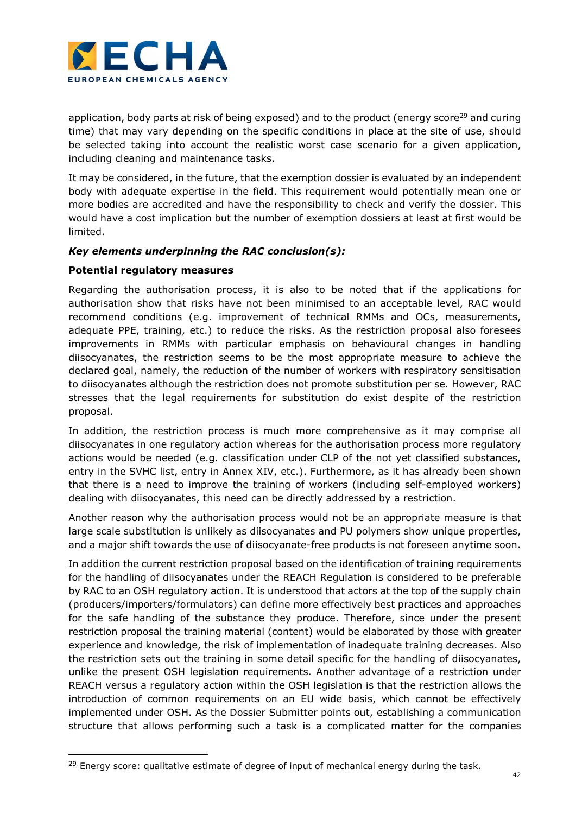

application, body parts at risk of being exposed) and to the product (energy score<sup>29</sup> and curing time) that may vary depending on the specific conditions in place at the site of use, should be selected taking into account the realistic worst case scenario for a given application, including cleaning and maintenance tasks.

It may be considered, in the future, that the exemption dossier is evaluated by an independent body with adequate expertise in the field. This requirement would potentially mean one or more bodies are accredited and have the responsibility to check and verify the dossier. This would have a cost implication but the number of exemption dossiers at least at first would be limited.

### Key elements underpinning the RAC conclusion(s):

### Potential regulatory measures

-

Regarding the authorisation process, it is also to be noted that if the applications for authorisation show that risks have not been minimised to an acceptable level, RAC would recommend conditions (e.g. improvement of technical RMMs and OCs, measurements, adequate PPE, training, etc.) to reduce the risks. As the restriction proposal also foresees improvements in RMMs with particular emphasis on behavioural changes in handling diisocyanates, the restriction seems to be the most appropriate measure to achieve the declared goal, namely, the reduction of the number of workers with respiratory sensitisation to diisocyanates although the restriction does not promote substitution per se. However, RAC stresses that the legal requirements for substitution do exist despite of the restriction proposal.

In addition, the restriction process is much more comprehensive as it may comprise all diisocyanates in one regulatory action whereas for the authorisation process more regulatory actions would be needed (e.g. classification under CLP of the not yet classified substances, entry in the SVHC list, entry in Annex XIV, etc.). Furthermore, as it has already been shown that there is a need to improve the training of workers (including self-employed workers) dealing with diisocyanates, this need can be directly addressed by a restriction.

Another reason why the authorisation process would not be an appropriate measure is that large scale substitution is unlikely as diisocyanates and PU polymers show unique properties, and a major shift towards the use of diisocyanate-free products is not foreseen anytime soon.

In addition the current restriction proposal based on the identification of training requirements for the handling of diisocyanates under the REACH Regulation is considered to be preferable by RAC to an OSH regulatory action. It is understood that actors at the top of the supply chain (producers/importers/formulators) can define more effectively best practices and approaches for the safe handling of the substance they produce. Therefore, since under the present restriction proposal the training material (content) would be elaborated by those with greater experience and knowledge, the risk of implementation of inadequate training decreases. Also the restriction sets out the training in some detail specific for the handling of diisocyanates, unlike the present OSH legislation requirements. Another advantage of a restriction under REACH versus a regulatory action within the OSH legislation is that the restriction allows the introduction of common requirements on an EU wide basis, which cannot be effectively implemented under OSH. As the Dossier Submitter points out, establishing a communication structure that allows performing such a task is a complicated matter for the companies

 $29$  Energy score: qualitative estimate of degree of input of mechanical energy during the task.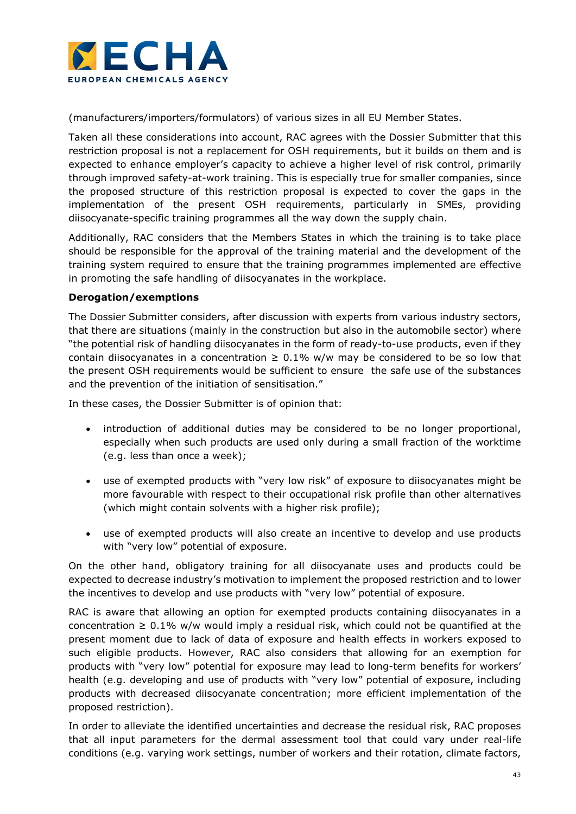

(manufacturers/importers/formulators) of various sizes in all EU Member States.

Taken all these considerations into account, RAC agrees with the Dossier Submitter that this restriction proposal is not a replacement for OSH requirements, but it builds on them and is expected to enhance employer's capacity to achieve a higher level of risk control, primarily through improved safety-at-work training. This is especially true for smaller companies, since the proposed structure of this restriction proposal is expected to cover the gaps in the implementation of the present OSH requirements, particularly in SMEs, providing diisocyanate-specific training programmes all the way down the supply chain.

Additionally, RAC considers that the Members States in which the training is to take place should be responsible for the approval of the training material and the development of the training system required to ensure that the training programmes implemented are effective in promoting the safe handling of diisocyanates in the workplace.

### Derogation/exemptions

The Dossier Submitter considers, after discussion with experts from various industry sectors, that there are situations (mainly in the construction but also in the automobile sector) where "the potential risk of handling diisocyanates in the form of ready-to-use products, even if they contain diisocyanates in a concentration  $\geq 0.1\%$  w/w may be considered to be so low that the present OSH requirements would be sufficient to ensure the safe use of the substances and the prevention of the initiation of sensitisation."

In these cases, the Dossier Submitter is of opinion that:

- introduction of additional duties may be considered to be no longer proportional, especially when such products are used only during a small fraction of the worktime (e.g. less than once a week);
- use of exempted products with "very low risk" of exposure to diisocyanates might be more favourable with respect to their occupational risk profile than other alternatives (which might contain solvents with a higher risk profile);
- use of exempted products will also create an incentive to develop and use products with "very low" potential of exposure.

On the other hand, obligatory training for all diisocyanate uses and products could be expected to decrease industry's motivation to implement the proposed restriction and to lower the incentives to develop and use products with "very low" potential of exposure.

RAC is aware that allowing an option for exempted products containing diisocyanates in a concentration  $\geq 0.1\%$  w/w would imply a residual risk, which could not be quantified at the present moment due to lack of data of exposure and health effects in workers exposed to such eligible products. However, RAC also considers that allowing for an exemption for products with "very low" potential for exposure may lead to long-term benefits for workers' health (e.g. developing and use of products with "very low" potential of exposure, including products with decreased diisocyanate concentration; more efficient implementation of the proposed restriction).

In order to alleviate the identified uncertainties and decrease the residual risk, RAC proposes that all input parameters for the dermal assessment tool that could vary under real-life conditions (e.g. varying work settings, number of workers and their rotation, climate factors,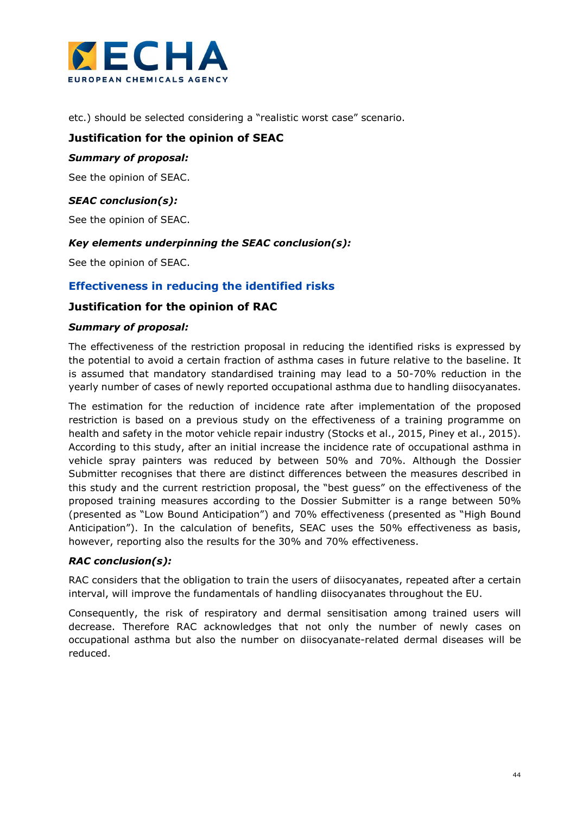

etc.) should be selected considering a "realistic worst case" scenario.

### Justification for the opinion of SEAC

#### Summary of proposal:

See the opinion of SEAC.

### SEAC conclusion(s):

See the opinion of SEAC.

#### Key elements underpinning the SEAC conclusion(s):

See the opinion of SEAC.

### Effectiveness in reducing the identified risks

### Justification for the opinion of RAC

#### Summary of proposal:

The effectiveness of the restriction proposal in reducing the identified risks is expressed by the potential to avoid a certain fraction of asthma cases in future relative to the baseline. It is assumed that mandatory standardised training may lead to a 50-70% reduction in the yearly number of cases of newly reported occupational asthma due to handling diisocyanates.

The estimation for the reduction of incidence rate after implementation of the proposed restriction is based on a previous study on the effectiveness of a training programme on health and safety in the motor vehicle repair industry (Stocks et al., 2015, Piney et al., 2015). According to this study, after an initial increase the incidence rate of occupational asthma in vehicle spray painters was reduced by between 50% and 70%. Although the Dossier Submitter recognises that there are distinct differences between the measures described in this study and the current restriction proposal, the "best guess" on the effectiveness of the proposed training measures according to the Dossier Submitter is a range between 50% (presented as "Low Bound Anticipation") and 70% effectiveness (presented as "High Bound Anticipation"). In the calculation of benefits, SEAC uses the 50% effectiveness as basis, however, reporting also the results for the 30% and 70% effectiveness.

### RAC conclusion(s):

RAC considers that the obligation to train the users of diisocyanates, repeated after a certain interval, will improve the fundamentals of handling diisocyanates throughout the EU.

Consequently, the risk of respiratory and dermal sensitisation among trained users will decrease. Therefore RAC acknowledges that not only the number of newly cases on occupational asthma but also the number on diisocyanate-related dermal diseases will be reduced.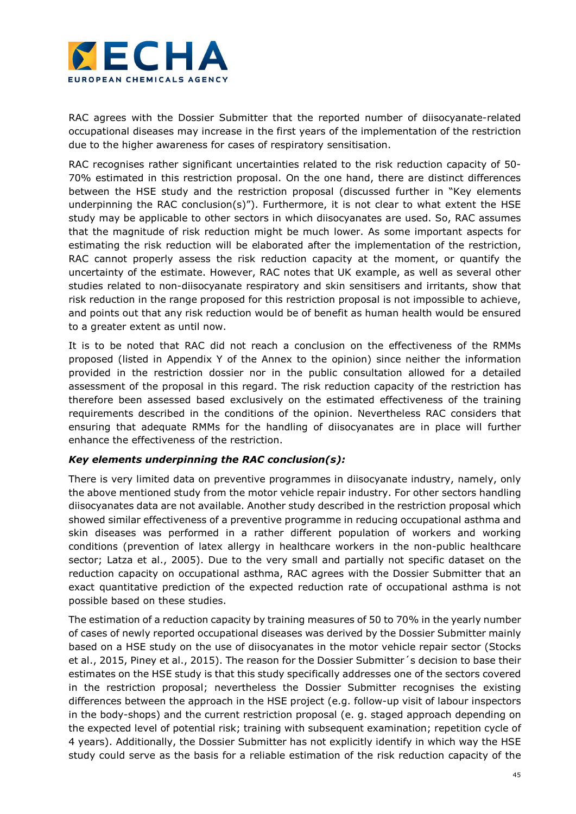

RAC agrees with the Dossier Submitter that the reported number of diisocyanate-related occupational diseases may increase in the first years of the implementation of the restriction due to the higher awareness for cases of respiratory sensitisation.

RAC recognises rather significant uncertainties related to the risk reduction capacity of 50- 70% estimated in this restriction proposal. On the one hand, there are distinct differences between the HSE study and the restriction proposal (discussed further in "Key elements underpinning the RAC conclusion(s)"). Furthermore, it is not clear to what extent the HSE study may be applicable to other sectors in which diisocyanates are used. So, RAC assumes that the magnitude of risk reduction might be much lower. As some important aspects for estimating the risk reduction will be elaborated after the implementation of the restriction, RAC cannot properly assess the risk reduction capacity at the moment, or quantify the uncertainty of the estimate. However, RAC notes that UK example, as well as several other studies related to non-diisocyanate respiratory and skin sensitisers and irritants, show that risk reduction in the range proposed for this restriction proposal is not impossible to achieve, and points out that any risk reduction would be of benefit as human health would be ensured to a greater extent as until now.

It is to be noted that RAC did not reach a conclusion on the effectiveness of the RMMs proposed (listed in Appendix Y of the Annex to the opinion) since neither the information provided in the restriction dossier nor in the public consultation allowed for a detailed assessment of the proposal in this regard. The risk reduction capacity of the restriction has therefore been assessed based exclusively on the estimated effectiveness of the training requirements described in the conditions of the opinion. Nevertheless RAC considers that ensuring that adequate RMMs for the handling of diisocyanates are in place will further enhance the effectiveness of the restriction.

### Key elements underpinning the RAC conclusion(s):

There is very limited data on preventive programmes in diisocyanate industry, namely, only the above mentioned study from the motor vehicle repair industry. For other sectors handling diisocyanates data are not available. Another study described in the restriction proposal which showed similar effectiveness of a preventive programme in reducing occupational asthma and skin diseases was performed in a rather different population of workers and working conditions (prevention of latex allergy in healthcare workers in the non-public healthcare sector; Latza et al., 2005). Due to the very small and partially not specific dataset on the reduction capacity on occupational asthma, RAC agrees with the Dossier Submitter that an exact quantitative prediction of the expected reduction rate of occupational asthma is not possible based on these studies.

The estimation of a reduction capacity by training measures of 50 to 70% in the yearly number of cases of newly reported occupational diseases was derived by the Dossier Submitter mainly based on a HSE study on the use of diisocyanates in the motor vehicle repair sector (Stocks et al., 2015, Piney et al., 2015). The reason for the Dossier Submitter´s decision to base their estimates on the HSE study is that this study specifically addresses one of the sectors covered in the restriction proposal; nevertheless the Dossier Submitter recognises the existing differences between the approach in the HSE project (e.g. follow-up visit of labour inspectors in the body-shops) and the current restriction proposal (e. g. staged approach depending on the expected level of potential risk; training with subsequent examination; repetition cycle of 4 years). Additionally, the Dossier Submitter has not explicitly identify in which way the HSE study could serve as the basis for a reliable estimation of the risk reduction capacity of the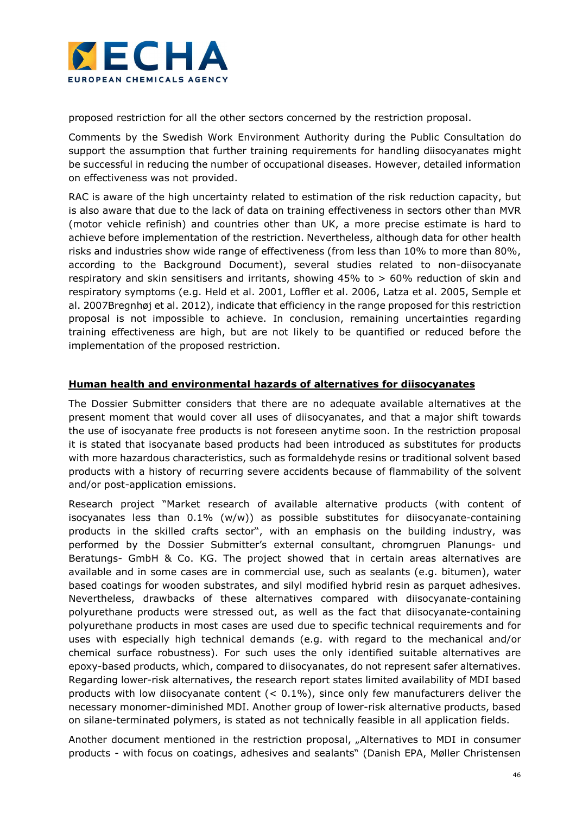

proposed restriction for all the other sectors concerned by the restriction proposal.

Comments by the Swedish Work Environment Authority during the Public Consultation do support the assumption that further training requirements for handling diisocyanates might be successful in reducing the number of occupational diseases. However, detailed information on effectiveness was not provided.

RAC is aware of the high uncertainty related to estimation of the risk reduction capacity, but is also aware that due to the lack of data on training effectiveness in sectors other than MVR (motor vehicle refinish) and countries other than UK, a more precise estimate is hard to achieve before implementation of the restriction. Nevertheless, although data for other health risks and industries show wide range of effectiveness (from less than 10% to more than 80%, according to the Background Document), several studies related to non-diisocyanate respiratory and skin sensitisers and irritants, showing 45% to > 60% reduction of skin and respiratory symptoms (e.g. Held et al. 2001, Loffler et al. 2006, Latza et al. 2005, Semple et al. 2007Bregnhøj et al. 2012), indicate that efficiency in the range proposed for this restriction proposal is not impossible to achieve. In conclusion, remaining uncertainties regarding training effectiveness are high, but are not likely to be quantified or reduced before the implementation of the proposed restriction.

### Human health and environmental hazards of alternatives for diisocyanates

The Dossier Submitter considers that there are no adequate available alternatives at the present moment that would cover all uses of diisocyanates, and that a major shift towards the use of isocyanate free products is not foreseen anytime soon. In the restriction proposal it is stated that isocyanate based products had been introduced as substitutes for products with more hazardous characteristics, such as formaldehyde resins or traditional solvent based products with a history of recurring severe accidents because of flammability of the solvent and/or post-application emissions.

Research project "Market research of available alternative products (with content of isocyanates less than  $0.1\%$  (w/w)) as possible substitutes for diisocyanate-containing products in the skilled crafts sector", with an emphasis on the building industry, was performed by the Dossier Submitter's external consultant, chromgruen Planungs- und Beratungs- GmbH & Co. KG. The project showed that in certain areas alternatives are available and in some cases are in commercial use, such as sealants (e.g. bitumen), water based coatings for wooden substrates, and silyl modified hybrid resin as parquet adhesives. Nevertheless, drawbacks of these alternatives compared with diisocyanate-containing polyurethane products were stressed out, as well as the fact that diisocyanate-containing polyurethane products in most cases are used due to specific technical requirements and for uses with especially high technical demands (e.g. with regard to the mechanical and/or chemical surface robustness). For such uses the only identified suitable alternatives are epoxy-based products, which, compared to diisocyanates, do not represent safer alternatives. Regarding lower-risk alternatives, the research report states limited availability of MDI based products with low diisocyanate content  $($  < 0.1%), since only few manufacturers deliver the necessary monomer-diminished MDI. Another group of lower-risk alternative products, based on silane-terminated polymers, is stated as not technically feasible in all application fields.

Another document mentioned in the restriction proposal, "Alternatives to MDI in consumer products - with focus on coatings, adhesives and sealants" (Danish EPA, Møller Christensen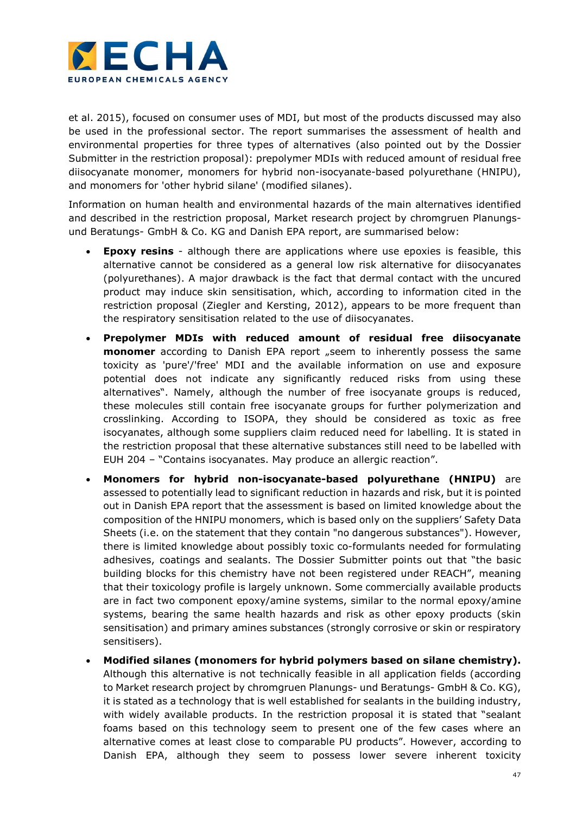

et al. 2015), focused on consumer uses of MDI, but most of the products discussed may also be used in the professional sector. The report summarises the assessment of health and environmental properties for three types of alternatives (also pointed out by the Dossier Submitter in the restriction proposal): prepolymer MDIs with reduced amount of residual free diisocyanate monomer, monomers for hybrid non-isocyanate-based polyurethane (HNIPU), and monomers for 'other hybrid silane' (modified silanes).

Information on human health and environmental hazards of the main alternatives identified and described in the restriction proposal, Market research project by chromgruen Planungsund Beratungs- GmbH & Co. KG and Danish EPA report, are summarised below:

- Epoxy resins although there are applications where use epoxies is feasible, this alternative cannot be considered as a general low risk alternative for diisocyanates (polyurethanes). A major drawback is the fact that dermal contact with the uncured product may induce skin sensitisation, which, according to information cited in the restriction proposal (Ziegler and Kersting, 2012), appears to be more frequent than the respiratory sensitisation related to the use of diisocyanates.
- Prepolymer MDIs with reduced amount of residual free diisocyanate monomer according to Danish EPA report "seem to inherently possess the same toxicity as 'pure'/'free' MDI and the available information on use and exposure potential does not indicate any significantly reduced risks from using these alternatives". Namely, although the number of free isocyanate groups is reduced, these molecules still contain free isocyanate groups for further polymerization and crosslinking. According to ISOPA, they should be considered as toxic as free isocyanates, although some suppliers claim reduced need for labelling. It is stated in the restriction proposal that these alternative substances still need to be labelled with EUH 204 – "Contains isocyanates. May produce an allergic reaction".
- Monomers for hybrid non-isocyanate-based polyurethane (HNIPU) are assessed to potentially lead to significant reduction in hazards and risk, but it is pointed out in Danish EPA report that the assessment is based on limited knowledge about the composition of the HNIPU monomers, which is based only on the suppliers' Safety Data Sheets (i.e. on the statement that they contain "no dangerous substances"). However, there is limited knowledge about possibly toxic co-formulants needed for formulating adhesives, coatings and sealants. The Dossier Submitter points out that "the basic building blocks for this chemistry have not been registered under REACH", meaning that their toxicology profile is largely unknown. Some commercially available products are in fact two component epoxy/amine systems, similar to the normal epoxy/amine systems, bearing the same health hazards and risk as other epoxy products (skin sensitisation) and primary amines substances (strongly corrosive or skin or respiratory sensitisers).
- Modified silanes (monomers for hybrid polymers based on silane chemistry). Although this alternative is not technically feasible in all application fields (according to Market research project by chromgruen Planungs- und Beratungs- GmbH & Co. KG), it is stated as a technology that is well established for sealants in the building industry, with widely available products. In the restriction proposal it is stated that "sealant foams based on this technology seem to present one of the few cases where an alternative comes at least close to comparable PU products". However, according to Danish EPA, although they seem to possess lower severe inherent toxicity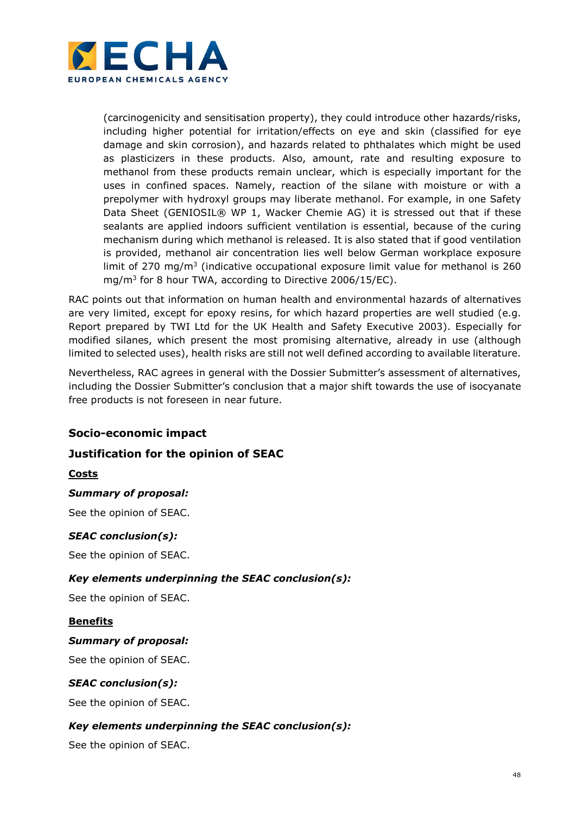

(carcinogenicity and sensitisation property), they could introduce other hazards/risks, including higher potential for irritation/effects on eye and skin (classified for eye damage and skin corrosion), and hazards related to phthalates which might be used as plasticizers in these products. Also, amount, rate and resulting exposure to methanol from these products remain unclear, which is especially important for the uses in confined spaces. Namely, reaction of the silane with moisture or with a prepolymer with hydroxyl groups may liberate methanol. For example, in one Safety Data Sheet (GENIOSIL® WP 1, Wacker Chemie AG) it is stressed out that if these sealants are applied indoors sufficient ventilation is essential, because of the curing mechanism during which methanol is released. It is also stated that if good ventilation is provided, methanol air concentration lies well below German workplace exposure limit of 270 mg/m<sup>3</sup> (indicative occupational exposure limit value for methanol is 260 mg/m<sup>3</sup> for 8 hour TWA, according to Directive 2006/15/EC).

RAC points out that information on human health and environmental hazards of alternatives are very limited, except for epoxy resins, for which hazard properties are well studied (e.g. Report prepared by TWI Ltd for the UK Health and Safety Executive 2003). Especially for modified silanes, which present the most promising alternative, already in use (although limited to selected uses), health risks are still not well defined according to available literature.

Nevertheless, RAC agrees in general with the Dossier Submitter's assessment of alternatives, including the Dossier Submitter's conclusion that a major shift towards the use of isocyanate free products is not foreseen in near future.

## Socio-economic impact

## Justification for the opinion of SEAC

### Costs

### Summary of proposal:

See the opinion of SEAC.

### SEAC conclusion(s):

See the opinion of SEAC.

### Key elements underpinning the SEAC conclusion(s):

See the opinion of SEAC.

#### Benefits

#### Summary of proposal:

See the opinion of SEAC.

### SEAC conclusion(s):

See the opinion of SEAC.

### Key elements underpinning the SEAC conclusion(s):

See the opinion of SEAC.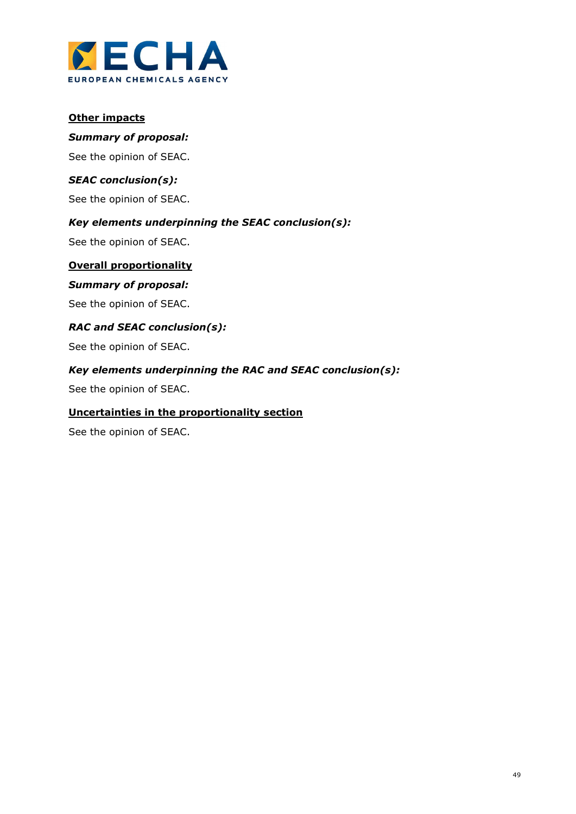

### **Other impacts**

#### Summary of proposal:

See the opinion of SEAC.

### SEAC conclusion(s):

See the opinion of SEAC.

### Key elements underpinning the SEAC conclusion(s):

See the opinion of SEAC.

### Overall proportionality

## Summary of proposal:

See the opinion of SEAC.

### RAC and SEAC conclusion(s):

See the opinion of SEAC.

### Key elements underpinning the RAC and SEAC conclusion(s):

See the opinion of SEAC.

#### Uncertainties in the proportionality section

See the opinion of SEAC.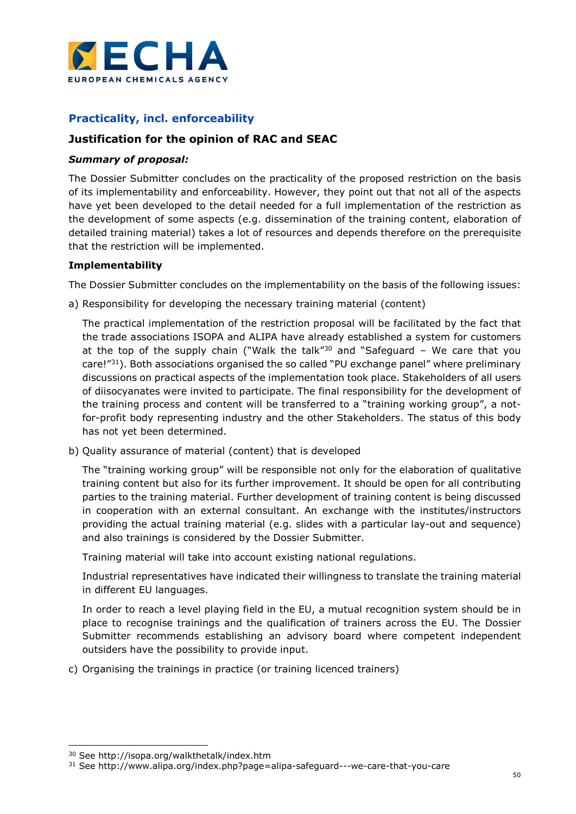

## Practicality, incl. enforceability

## Justification for the opinion of RAC and SEAC

### Summary of proposal:

The Dossier Submitter concludes on the practicality of the proposed restriction on the basis of its implementability and enforceability. However, they point out that not all of the aspects have yet been developed to the detail needed for a full implementation of the restriction as the development of some aspects (e.g. dissemination of the training content, elaboration of detailed training material) takes a lot of resources and depends therefore on the prerequisite that the restriction will be implemented.

### Implementability

The Dossier Submitter concludes on the implementability on the basis of the following issues:

a) Responsibility for developing the necessary training material (content)

The practical implementation of the restriction proposal will be facilitated by the fact that the trade associations ISOPA and ALIPA have already established a system for customers at the top of the supply chain ("Walk the talk" $30$  and "Safeguard - We care that you care!"<sup>31</sup>). Both associations organised the so called "PU exchange panel" where preliminary discussions on practical aspects of the implementation took place. Stakeholders of all users of diisocyanates were invited to participate. The final responsibility for the development of the training process and content will be transferred to a "training working group", a notfor-profit body representing industry and the other Stakeholders. The status of this body has not yet been determined.

b) Quality assurance of material (content) that is developed

The "training working group" will be responsible not only for the elaboration of qualitative training content but also for its further improvement. It should be open for all contributing parties to the training material. Further development of training content is being discussed in cooperation with an external consultant. An exchange with the institutes/instructors providing the actual training material (e.g. slides with a particular lay-out and sequence) and also trainings is considered by the Dossier Submitter.

Training material will take into account existing national regulations.

Industrial representatives have indicated their willingness to translate the training material in different EU languages.

In order to reach a level playing field in the EU, a mutual recognition system should be in place to recognise trainings and the qualification of trainers across the EU. The Dossier Submitter recommends establishing an advisory board where competent independent outsiders have the possibility to provide input.

c) Organising the trainings in practice (or training licenced trainers)

-

<sup>30</sup> See http://isopa.org/walkthetalk/index.htm

<sup>31</sup> See http://www.alipa.org/index.php?page=alipa-safeguard---we-care-that-you-care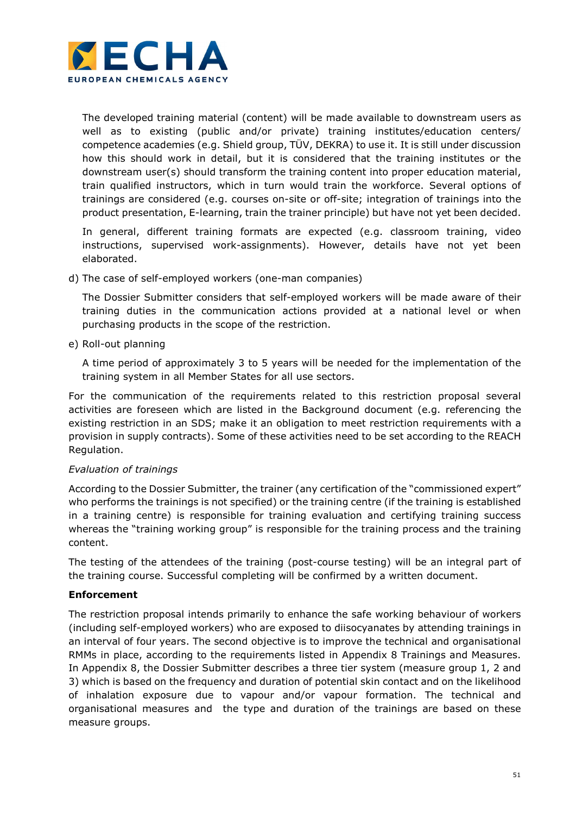

The developed training material (content) will be made available to downstream users as well as to existing (public and/or private) training institutes/education centers/ competence academies (e.g. Shield group, TÜV, DEKRA) to use it. It is still under discussion how this should work in detail, but it is considered that the training institutes or the downstream user(s) should transform the training content into proper education material, train qualified instructors, which in turn would train the workforce. Several options of trainings are considered (e.g. courses on-site or off-site; integration of trainings into the product presentation, E-learning, train the trainer principle) but have not yet been decided.

In general, different training formats are expected (e.g. classroom training, video instructions, supervised work-assignments). However, details have not yet been elaborated.

d) The case of self-employed workers (one-man companies)

The Dossier Submitter considers that self-employed workers will be made aware of their training duties in the communication actions provided at a national level or when purchasing products in the scope of the restriction.

e) Roll-out planning

A time period of approximately 3 to 5 years will be needed for the implementation of the training system in all Member States for all use sectors.

For the communication of the requirements related to this restriction proposal several activities are foreseen which are listed in the Background document (e.g. referencing the existing restriction in an SDS; make it an obligation to meet restriction requirements with a provision in supply contracts). Some of these activities need to be set according to the REACH Regulation.

### Evaluation of trainings

According to the Dossier Submitter, the trainer (any certification of the "commissioned expert" who performs the trainings is not specified) or the training centre (if the training is established in a training centre) is responsible for training evaluation and certifying training success whereas the "training working group" is responsible for the training process and the training content.

The testing of the attendees of the training (post-course testing) will be an integral part of the training course. Successful completing will be confirmed by a written document.

### Enforcement

The restriction proposal intends primarily to enhance the safe working behaviour of workers (including self-employed workers) who are exposed to diisocyanates by attending trainings in an interval of four years. The second objective is to improve the technical and organisational RMMs in place, according to the requirements listed in Appendix 8 Trainings and Measures. In Appendix 8, the Dossier Submitter describes a three tier system (measure group 1, 2 and 3) which is based on the frequency and duration of potential skin contact and on the likelihood of inhalation exposure due to vapour and/or vapour formation. The technical and organisational measures and the type and duration of the trainings are based on these measure groups.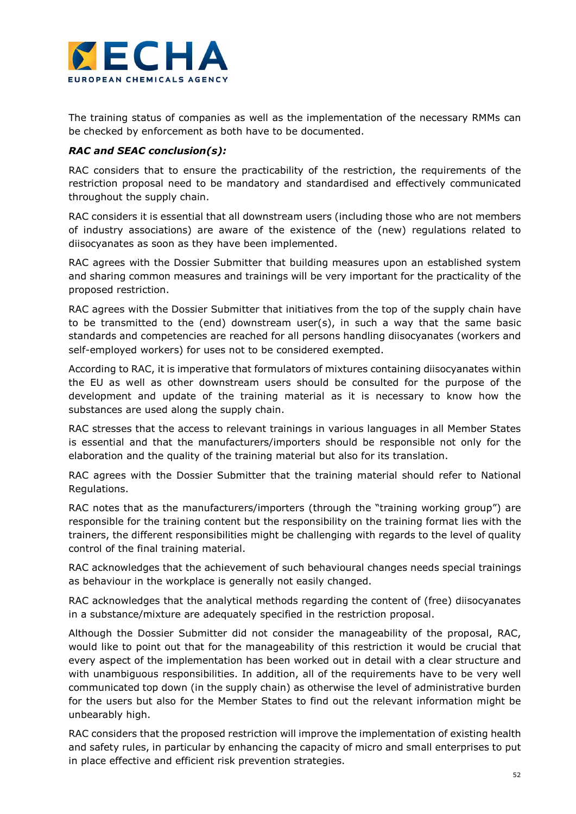

The training status of companies as well as the implementation of the necessary RMMs can be checked by enforcement as both have to be documented.

### RAC and SEAC conclusion(s):

RAC considers that to ensure the practicability of the restriction, the requirements of the restriction proposal need to be mandatory and standardised and effectively communicated throughout the supply chain.

RAC considers it is essential that all downstream users (including those who are not members of industry associations) are aware of the existence of the (new) regulations related to diisocyanates as soon as they have been implemented.

RAC agrees with the Dossier Submitter that building measures upon an established system and sharing common measures and trainings will be very important for the practicality of the proposed restriction.

RAC agrees with the Dossier Submitter that initiatives from the top of the supply chain have to be transmitted to the (end) downstream user(s), in such a way that the same basic standards and competencies are reached for all persons handling diisocyanates (workers and self-employed workers) for uses not to be considered exempted.

According to RAC, it is imperative that formulators of mixtures containing diisocyanates within the EU as well as other downstream users should be consulted for the purpose of the development and update of the training material as it is necessary to know how the substances are used along the supply chain.

RAC stresses that the access to relevant trainings in various languages in all Member States is essential and that the manufacturers/importers should be responsible not only for the elaboration and the quality of the training material but also for its translation.

RAC agrees with the Dossier Submitter that the training material should refer to National Regulations.

RAC notes that as the manufacturers/importers (through the "training working group") are responsible for the training content but the responsibility on the training format lies with the trainers, the different responsibilities might be challenging with regards to the level of quality control of the final training material.

RAC acknowledges that the achievement of such behavioural changes needs special trainings as behaviour in the workplace is generally not easily changed.

RAC acknowledges that the analytical methods regarding the content of (free) diisocyanates in a substance/mixture are adequately specified in the restriction proposal.

Although the Dossier Submitter did not consider the manageability of the proposal, RAC, would like to point out that for the manageability of this restriction it would be crucial that every aspect of the implementation has been worked out in detail with a clear structure and with unambiguous responsibilities. In addition, all of the requirements have to be very well communicated top down (in the supply chain) as otherwise the level of administrative burden for the users but also for the Member States to find out the relevant information might be unbearably high.

RAC considers that the proposed restriction will improve the implementation of existing health and safety rules, in particular by enhancing the capacity of micro and small enterprises to put in place effective and efficient risk prevention strategies.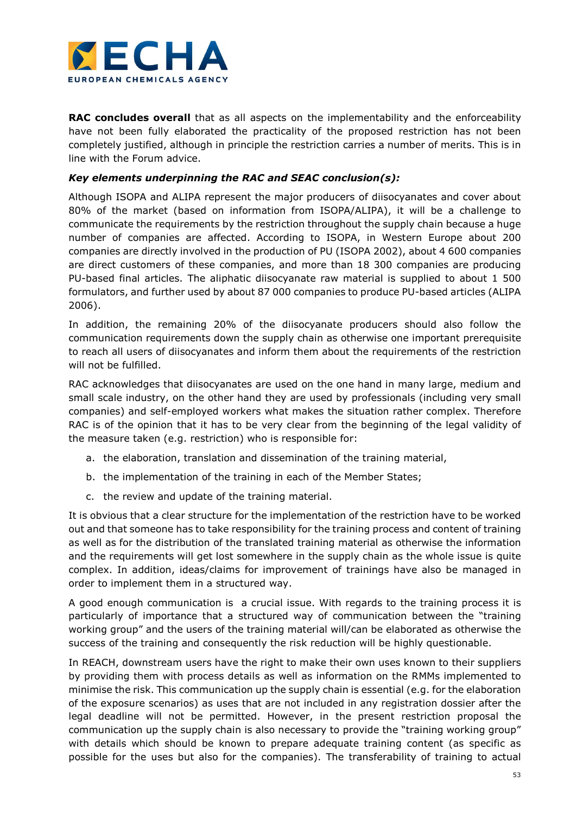

**RAC concludes overall** that as all aspects on the implementability and the enforceability have not been fully elaborated the practicality of the proposed restriction has not been completely justified, although in principle the restriction carries a number of merits. This is in line with the Forum advice.

### Key elements underpinning the RAC and SEAC conclusion(s):

Although ISOPA and ALIPA represent the major producers of diisocyanates and cover about 80% of the market (based on information from ISOPA/ALIPA), it will be a challenge to communicate the requirements by the restriction throughout the supply chain because a huge number of companies are affected. According to ISOPA, in Western Europe about 200 companies are directly involved in the production of PU (ISOPA 2002), about 4 600 companies are direct customers of these companies, and more than 18 300 companies are producing PU-based final articles. The aliphatic diisocyanate raw material is supplied to about 1 500 formulators, and further used by about 87 000 companies to produce PU-based articles (ALIPA 2006).

In addition, the remaining 20% of the diisocyanate producers should also follow the communication requirements down the supply chain as otherwise one important prerequisite to reach all users of diisocyanates and inform them about the requirements of the restriction will not be fulfilled.

RAC acknowledges that diisocyanates are used on the one hand in many large, medium and small scale industry, on the other hand they are used by professionals (including very small companies) and self-employed workers what makes the situation rather complex. Therefore RAC is of the opinion that it has to be very clear from the beginning of the legal validity of the measure taken (e.g. restriction) who is responsible for:

- a. the elaboration, translation and dissemination of the training material,
- b. the implementation of the training in each of the Member States;
- c. the review and update of the training material.

It is obvious that a clear structure for the implementation of the restriction have to be worked out and that someone has to take responsibility for the training process and content of training as well as for the distribution of the translated training material as otherwise the information and the requirements will get lost somewhere in the supply chain as the whole issue is quite complex. In addition, ideas/claims for improvement of trainings have also be managed in order to implement them in a structured way.

A good enough communication is a crucial issue. With regards to the training process it is particularly of importance that a structured way of communication between the "training working group" and the users of the training material will/can be elaborated as otherwise the success of the training and consequently the risk reduction will be highly questionable.

In REACH, downstream users have the right to make their own uses known to their suppliers by providing them with process details as well as information on the RMMs implemented to minimise the risk. This communication up the supply chain is essential (e.g. for the elaboration of the exposure scenarios) as uses that are not included in any registration dossier after the legal deadline will not be permitted. However, in the present restriction proposal the communication up the supply chain is also necessary to provide the "training working group" with details which should be known to prepare adequate training content (as specific as possible for the uses but also for the companies). The transferability of training to actual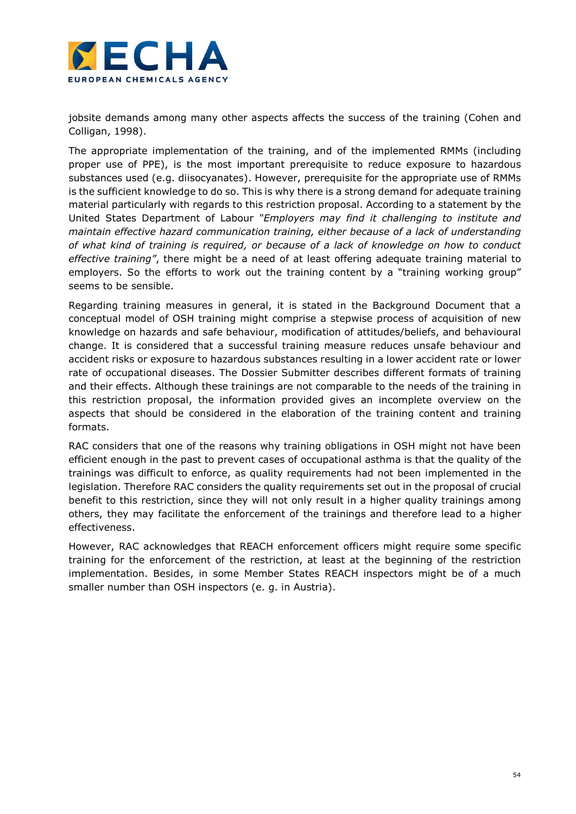

jobsite demands among many other aspects affects the success of the training (Cohen and Colligan, 1998).

The appropriate implementation of the training, and of the implemented RMMs (including proper use of PPE), is the most important prerequisite to reduce exposure to hazardous substances used (e.g. diisocyanates). However, prerequisite for the appropriate use of RMMs is the sufficient knowledge to do so. This is why there is a strong demand for adequate training material particularly with regards to this restriction proposal. According to a statement by the United States Department of Labour "Employers may find it challenging to institute and maintain effective hazard communication training, either because of a lack of understanding of what kind of training is required, or because of a lack of knowledge on how to conduct effective training", there might be a need of at least offering adequate training material to employers. So the efforts to work out the training content by a "training working group" seems to be sensible.

Regarding training measures in general, it is stated in the Background Document that a conceptual model of OSH training might comprise a stepwise process of acquisition of new knowledge on hazards and safe behaviour, modification of attitudes/beliefs, and behavioural change. It is considered that a successful training measure reduces unsafe behaviour and accident risks or exposure to hazardous substances resulting in a lower accident rate or lower rate of occupational diseases. The Dossier Submitter describes different formats of training and their effects. Although these trainings are not comparable to the needs of the training in this restriction proposal, the information provided gives an incomplete overview on the aspects that should be considered in the elaboration of the training content and training formats.

RAC considers that one of the reasons why training obligations in OSH might not have been efficient enough in the past to prevent cases of occupational asthma is that the quality of the trainings was difficult to enforce, as quality requirements had not been implemented in the legislation. Therefore RAC considers the quality requirements set out in the proposal of crucial benefit to this restriction, since they will not only result in a higher quality trainings among others, they may facilitate the enforcement of the trainings and therefore lead to a higher effectiveness.

However, RAC acknowledges that REACH enforcement officers might require some specific training for the enforcement of the restriction, at least at the beginning of the restriction implementation. Besides, in some Member States REACH inspectors might be of a much smaller number than OSH inspectors (e. g. in Austria).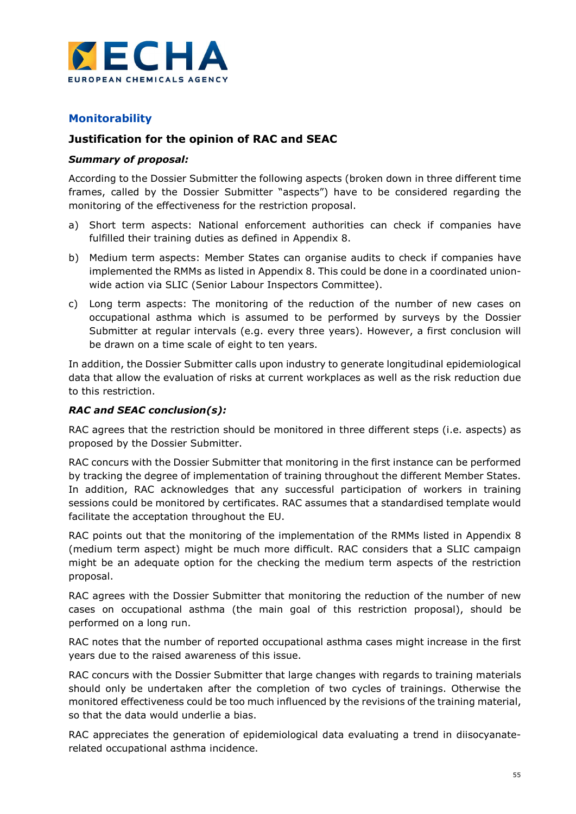

## Monitorability

## Justification for the opinion of RAC and SEAC

### Summary of proposal:

According to the Dossier Submitter the following aspects (broken down in three different time frames, called by the Dossier Submitter "aspects") have to be considered regarding the monitoring of the effectiveness for the restriction proposal.

- a) Short term aspects: National enforcement authorities can check if companies have fulfilled their training duties as defined in Appendix 8.
- b) Medium term aspects: Member States can organise audits to check if companies have implemented the RMMs as listed in Appendix 8. This could be done in a coordinated unionwide action via SLIC (Senior Labour Inspectors Committee).
- c) Long term aspects: The monitoring of the reduction of the number of new cases on occupational asthma which is assumed to be performed by surveys by the Dossier Submitter at regular intervals (e.g. every three years). However, a first conclusion will be drawn on a time scale of eight to ten years.

In addition, the Dossier Submitter calls upon industry to generate longitudinal epidemiological data that allow the evaluation of risks at current workplaces as well as the risk reduction due to this restriction.

### RAC and SEAC conclusion(s):

RAC agrees that the restriction should be monitored in three different steps (i.e. aspects) as proposed by the Dossier Submitter.

RAC concurs with the Dossier Submitter that monitoring in the first instance can be performed by tracking the degree of implementation of training throughout the different Member States. In addition, RAC acknowledges that any successful participation of workers in training sessions could be monitored by certificates. RAC assumes that a standardised template would facilitate the acceptation throughout the EU.

RAC points out that the monitoring of the implementation of the RMMs listed in Appendix 8 (medium term aspect) might be much more difficult. RAC considers that a SLIC campaign might be an adequate option for the checking the medium term aspects of the restriction proposal.

RAC agrees with the Dossier Submitter that monitoring the reduction of the number of new cases on occupational asthma (the main goal of this restriction proposal), should be performed on a long run.

RAC notes that the number of reported occupational asthma cases might increase in the first years due to the raised awareness of this issue.

RAC concurs with the Dossier Submitter that large changes with regards to training materials should only be undertaken after the completion of two cycles of trainings. Otherwise the monitored effectiveness could be too much influenced by the revisions of the training material, so that the data would underlie a bias.

RAC appreciates the generation of epidemiological data evaluating a trend in diisocyanaterelated occupational asthma incidence.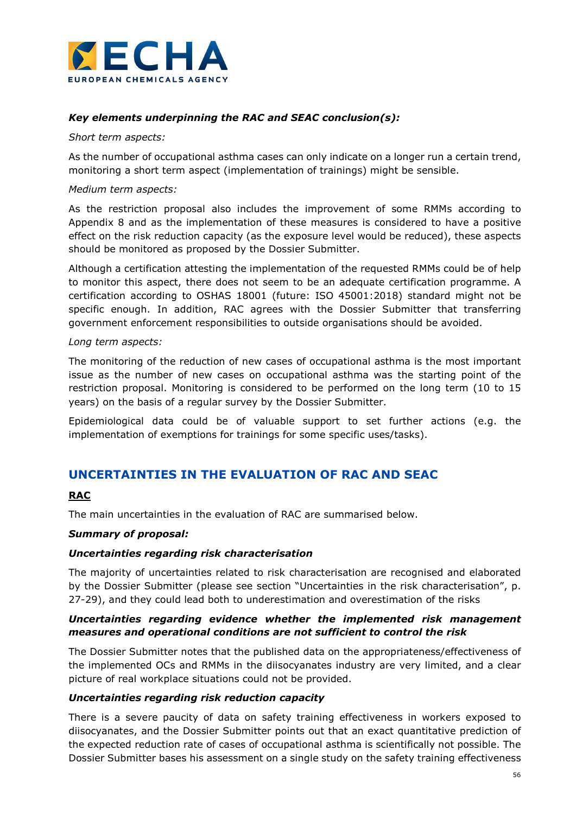

### Key elements underpinning the RAC and SEAC conclusion(s):

#### Short term aspects:

As the number of occupational asthma cases can only indicate on a longer run a certain trend, monitoring a short term aspect (implementation of trainings) might be sensible.

#### Medium term aspects:

As the restriction proposal also includes the improvement of some RMMs according to Appendix 8 and as the implementation of these measures is considered to have a positive effect on the risk reduction capacity (as the exposure level would be reduced), these aspects should be monitored as proposed by the Dossier Submitter.

Although a certification attesting the implementation of the requested RMMs could be of help to monitor this aspect, there does not seem to be an adequate certification programme. A certification according to OSHAS 18001 (future: ISO 45001:2018) standard might not be specific enough. In addition, RAC agrees with the Dossier Submitter that transferring government enforcement responsibilities to outside organisations should be avoided.

#### Long term aspects:

The monitoring of the reduction of new cases of occupational asthma is the most important issue as the number of new cases on occupational asthma was the starting point of the restriction proposal. Monitoring is considered to be performed on the long term (10 to 15 years) on the basis of a regular survey by the Dossier Submitter.

Epidemiological data could be of valuable support to set further actions (e.g. the implementation of exemptions for trainings for some specific uses/tasks).

## UNCERTAINTIES IN THE EVALUATION OF RAC AND SEAC

### RAC

The main uncertainties in the evaluation of RAC are summarised below.

### Summary of proposal:

#### Uncertainties regarding risk characterisation

The majority of uncertainties related to risk characterisation are recognised and elaborated by the Dossier Submitter (please see section "Uncertainties in the risk characterisation", p. 27-29), and they could lead both to underestimation and overestimation of the risks

### Uncertainties regarding evidence whether the implemented risk management measures and operational conditions are not sufficient to control the risk

The Dossier Submitter notes that the published data on the appropriateness/effectiveness of the implemented OCs and RMMs in the diisocyanates industry are very limited, and a clear picture of real workplace situations could not be provided.

### Uncertainties regarding risk reduction capacity

There is a severe paucity of data on safety training effectiveness in workers exposed to diisocyanates, and the Dossier Submitter points out that an exact quantitative prediction of the expected reduction rate of cases of occupational asthma is scientifically not possible. The Dossier Submitter bases his assessment on a single study on the safety training effectiveness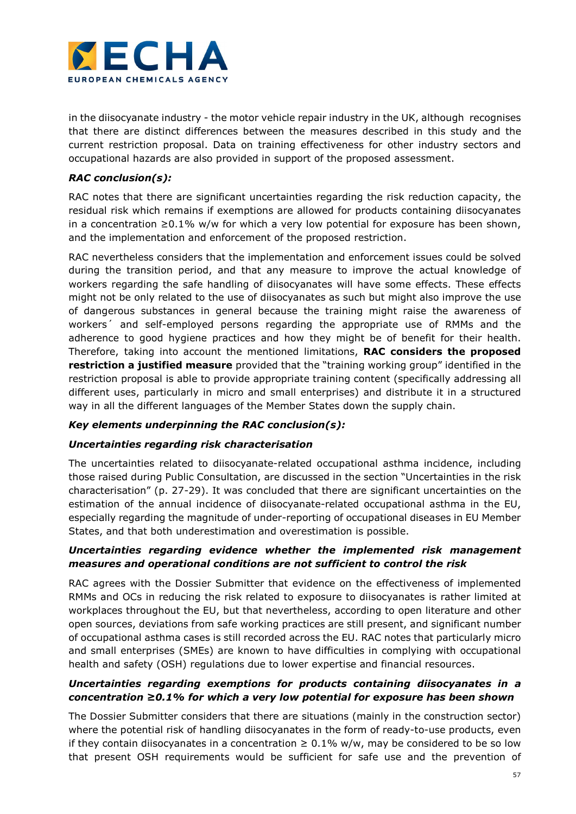

in the diisocyanate industry - the motor vehicle repair industry in the UK, although recognises that there are distinct differences between the measures described in this study and the current restriction proposal. Data on training effectiveness for other industry sectors and occupational hazards are also provided in support of the proposed assessment.

### RAC conclusion(s):

RAC notes that there are significant uncertainties regarding the risk reduction capacity, the residual risk which remains if exemptions are allowed for products containing diisocyanates in a concentration ≥0.1% w/w for which a very low potential for exposure has been shown, and the implementation and enforcement of the proposed restriction.

RAC nevertheless considers that the implementation and enforcement issues could be solved during the transition period, and that any measure to improve the actual knowledge of workers regarding the safe handling of diisocyanates will have some effects. These effects might not be only related to the use of diisocyanates as such but might also improve the use of dangerous substances in general because the training might raise the awareness of workers´ and self-employed persons regarding the appropriate use of RMMs and the adherence to good hygiene practices and how they might be of benefit for their health. Therefore, taking into account the mentioned limitations, RAC considers the proposed restriction a justified measure provided that the "training working group" identified in the restriction proposal is able to provide appropriate training content (specifically addressing all different uses, particularly in micro and small enterprises) and distribute it in a structured way in all the different languages of the Member States down the supply chain.

### Key elements underpinning the RAC conclusion(s):

### Uncertainties regarding risk characterisation

The uncertainties related to diisocyanate-related occupational asthma incidence, including those raised during Public Consultation, are discussed in the section "Uncertainties in the risk characterisation" (p. 27-29). It was concluded that there are significant uncertainties on the estimation of the annual incidence of diisocyanate-related occupational asthma in the EU, especially regarding the magnitude of under-reporting of occupational diseases in EU Member States, and that both underestimation and overestimation is possible.

### Uncertainties regarding evidence whether the implemented risk management measures and operational conditions are not sufficient to control the risk

RAC agrees with the Dossier Submitter that evidence on the effectiveness of implemented RMMs and OCs in reducing the risk related to exposure to diisocyanates is rather limited at workplaces throughout the EU, but that nevertheless, according to open literature and other open sources, deviations from safe working practices are still present, and significant number of occupational asthma cases is still recorded across the EU. RAC notes that particularly micro and small enterprises (SMEs) are known to have difficulties in complying with occupational health and safety (OSH) regulations due to lower expertise and financial resources.

### Uncertainties regarding exemptions for products containing diisocyanates in a concentration ≥0.1% for which a very low potential for exposure has been shown

The Dossier Submitter considers that there are situations (mainly in the construction sector) where the potential risk of handling diisocyanates in the form of ready-to-use products, even if they contain diisocyanates in a concentration  $\geq 0.1\%$  w/w, may be considered to be so low that present OSH requirements would be sufficient for safe use and the prevention of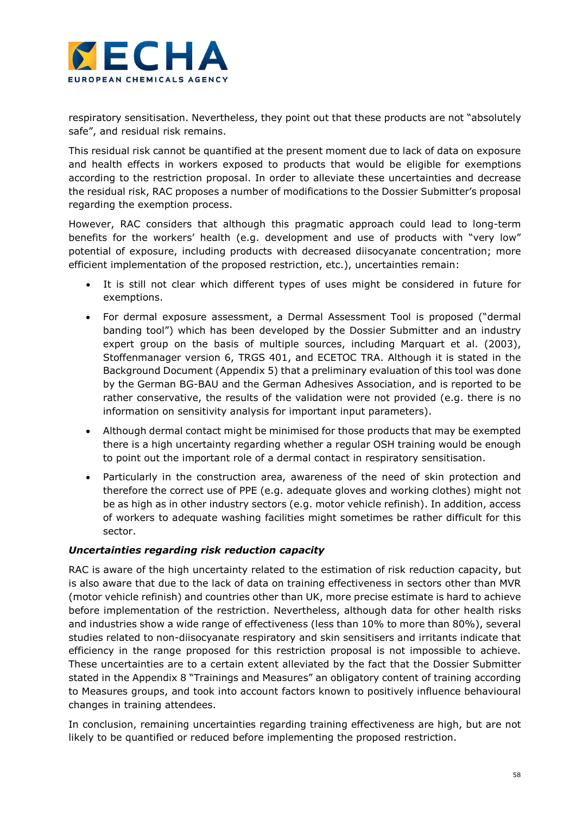

respiratory sensitisation. Nevertheless, they point out that these products are not "absolutely safe", and residual risk remains.

This residual risk cannot be quantified at the present moment due to lack of data on exposure and health effects in workers exposed to products that would be eligible for exemptions according to the restriction proposal. In order to alleviate these uncertainties and decrease the residual risk, RAC proposes a number of modifications to the Dossier Submitter's proposal regarding the exemption process.

However, RAC considers that although this pragmatic approach could lead to long-term benefits for the workers' health (e.g. development and use of products with "very low" potential of exposure, including products with decreased diisocyanate concentration; more efficient implementation of the proposed restriction, etc.), uncertainties remain:

- It is still not clear which different types of uses might be considered in future for exemptions.
- For dermal exposure assessment, a Dermal Assessment Tool is proposed ("dermal banding tool") which has been developed by the Dossier Submitter and an industry expert group on the basis of multiple sources, including Marquart et al. (2003), Stoffenmanager version 6, TRGS 401, and ECETOC TRA. Although it is stated in the Background Document (Appendix 5) that a preliminary evaluation of this tool was done by the German BG-BAU and the German Adhesives Association, and is reported to be rather conservative, the results of the validation were not provided (e.g. there is no information on sensitivity analysis for important input parameters).
- Although dermal contact might be minimised for those products that may be exempted there is a high uncertainty regarding whether a regular OSH training would be enough to point out the important role of a dermal contact in respiratory sensitisation.
- Particularly in the construction area, awareness of the need of skin protection and therefore the correct use of PPE (e.g. adequate gloves and working clothes) might not be as high as in other industry sectors (e.g. motor vehicle refinish). In addition, access of workers to adequate washing facilities might sometimes be rather difficult for this sector.

### Uncertainties regarding risk reduction capacity

RAC is aware of the high uncertainty related to the estimation of risk reduction capacity, but is also aware that due to the lack of data on training effectiveness in sectors other than MVR (motor vehicle refinish) and countries other than UK, more precise estimate is hard to achieve before implementation of the restriction. Nevertheless, although data for other health risks and industries show a wide range of effectiveness (less than 10% to more than 80%), several studies related to non-diisocyanate respiratory and skin sensitisers and irritants indicate that efficiency in the range proposed for this restriction proposal is not impossible to achieve. These uncertainties are to a certain extent alleviated by the fact that the Dossier Submitter stated in the Appendix 8 "Trainings and Measures" an obligatory content of training according to Measures groups, and took into account factors known to positively influence behavioural changes in training attendees.

In conclusion, remaining uncertainties regarding training effectiveness are high, but are not likely to be quantified or reduced before implementing the proposed restriction.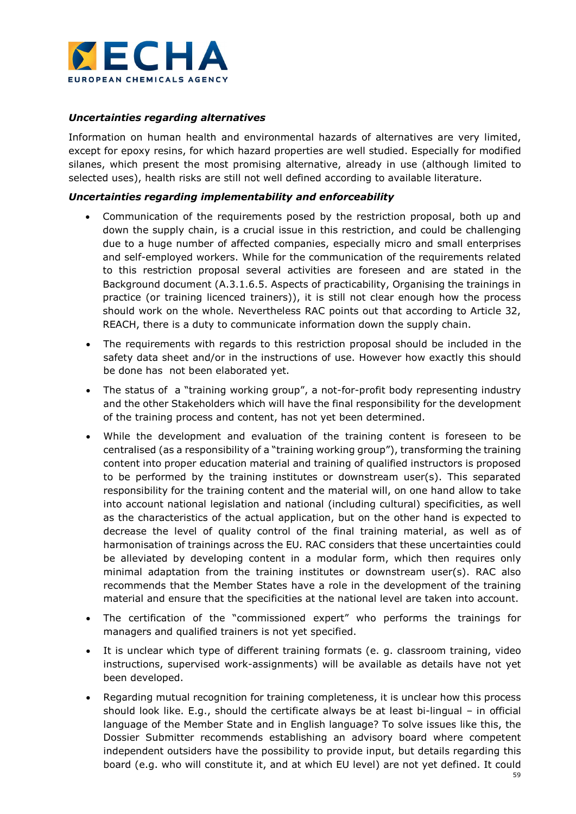

### Uncertainties regarding alternatives

Information on human health and environmental hazards of alternatives are very limited, except for epoxy resins, for which hazard properties are well studied. Especially for modified silanes, which present the most promising alternative, already in use (although limited to selected uses), health risks are still not well defined according to available literature.

#### Uncertainties regarding implementability and enforceability

- Communication of the requirements posed by the restriction proposal, both up and down the supply chain, is a crucial issue in this restriction, and could be challenging due to a huge number of affected companies, especially micro and small enterprises and self-employed workers. While for the communication of the requirements related to this restriction proposal several activities are foreseen and are stated in the Background document (A.3.1.6.5. Aspects of practicability, Organising the trainings in practice (or training licenced trainers)), it is still not clear enough how the process should work on the whole. Nevertheless RAC points out that according to Article 32, REACH, there is a duty to communicate information down the supply chain.
- The requirements with regards to this restriction proposal should be included in the safety data sheet and/or in the instructions of use. However how exactly this should be done has not been elaborated yet.
- The status of a "training working group", a not-for-profit body representing industry and the other Stakeholders which will have the final responsibility for the development of the training process and content, has not yet been determined.
- While the development and evaluation of the training content is foreseen to be centralised (as a responsibility of a "training working group"), transforming the training content into proper education material and training of qualified instructors is proposed to be performed by the training institutes or downstream user(s). This separated responsibility for the training content and the material will, on one hand allow to take into account national legislation and national (including cultural) specificities, as well as the characteristics of the actual application, but on the other hand is expected to decrease the level of quality control of the final training material, as well as of harmonisation of trainings across the EU. RAC considers that these uncertainties could be alleviated by developing content in a modular form, which then requires only minimal adaptation from the training institutes or downstream user(s). RAC also recommends that the Member States have a role in the development of the training material and ensure that the specificities at the national level are taken into account.
- The certification of the "commissioned expert" who performs the trainings for managers and qualified trainers is not yet specified.
- It is unclear which type of different training formats (e. g. classroom training, video instructions, supervised work-assignments) will be available as details have not yet been developed.
- Regarding mutual recognition for training completeness, it is unclear how this process should look like. E.g., should the certificate always be at least bi-lingual – in official language of the Member State and in English language? To solve issues like this, the Dossier Submitter recommends establishing an advisory board where competent independent outsiders have the possibility to provide input, but details regarding this board (e.g. who will constitute it, and at which EU level) are not yet defined. It could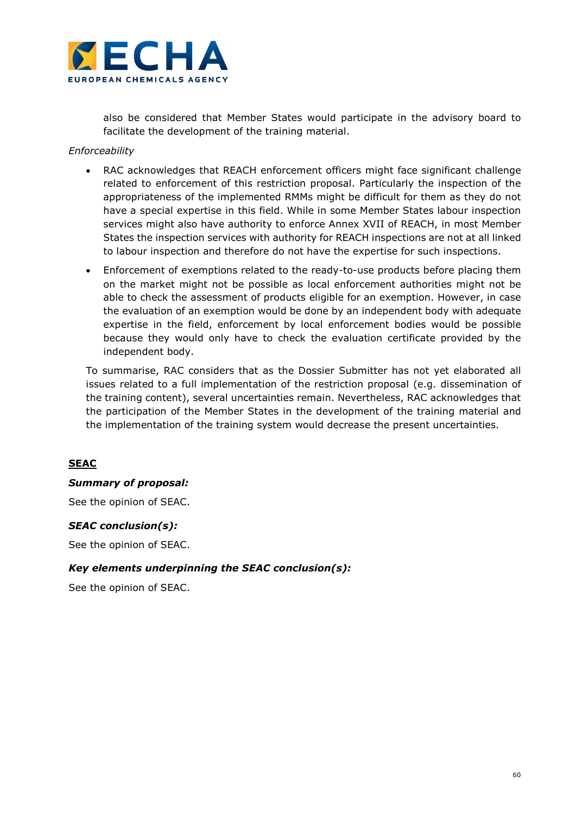

also be considered that Member States would participate in the advisory board to facilitate the development of the training material.

#### Enforceability

- RAC acknowledges that REACH enforcement officers might face significant challenge related to enforcement of this restriction proposal. Particularly the inspection of the appropriateness of the implemented RMMs might be difficult for them as they do not have a special expertise in this field. While in some Member States labour inspection services might also have authority to enforce Annex XVII of REACH, in most Member States the inspection services with authority for REACH inspections are not at all linked to labour inspection and therefore do not have the expertise for such inspections.
- Enforcement of exemptions related to the ready-to-use products before placing them on the market might not be possible as local enforcement authorities might not be able to check the assessment of products eligible for an exemption. However, in case the evaluation of an exemption would be done by an independent body with adequate expertise in the field, enforcement by local enforcement bodies would be possible because they would only have to check the evaluation certificate provided by the independent body.

To summarise, RAC considers that as the Dossier Submitter has not yet elaborated all issues related to a full implementation of the restriction proposal (e.g. dissemination of the training content), several uncertainties remain. Nevertheless, RAC acknowledges that the participation of the Member States in the development of the training material and the implementation of the training system would decrease the present uncertainties.

## **SEAC**

#### Summary of proposal:

See the opinion of SEAC.

#### SEAC conclusion(s):

See the opinion of SEAC.

### Key elements underpinning the SEAC conclusion(s):

See the opinion of SEAC.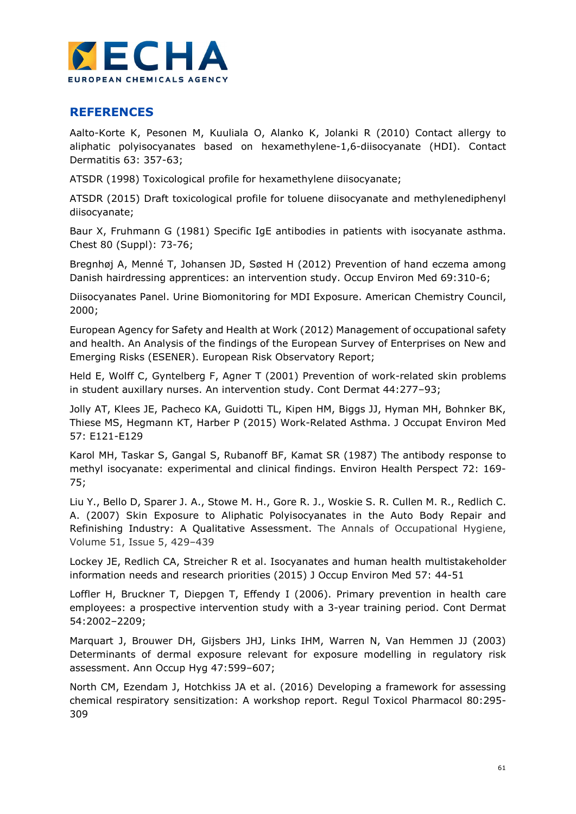

## REFERENCES

Aalto-Korte K, Pesonen M, Kuuliala O, Alanko K, Jolanki R (2010) Contact allergy to aliphatic polyisocyanates based on hexamethylene-1,6-diisocyanate (HDI). Contact Dermatitis 63: 357-63;

ATSDR (1998) Toxicological profile for hexamethylene diisocyanate;

ATSDR (2015) Draft toxicological profile for toluene diisocyanate and methylenediphenyl diisocyanate;

Baur X, Fruhmann G (1981) Specific IgE antibodies in patients with isocyanate asthma. Chest 80 (Suppl): 73-76;

Bregnhøj A, Menné T, Johansen JD, Søsted H (2012) Prevention of hand eczema among Danish hairdressing apprentices: an intervention study. Occup Environ Med 69:310-6;

Diisocyanates Panel. Urine Biomonitoring for MDI Exposure. American Chemistry Council, 2000;

European Agency for Safety and Health at Work (2012) Management of occupational safety and health. An Analysis of the findings of the European Survey of Enterprises on New and Emerging Risks (ESENER). European Risk Observatory Report;

Held E, Wolff C, Gyntelberg F, Agner T (2001) Prevention of work-related skin problems in student auxillary nurses. An intervention study. Cont Dermat 44:277–93;

Jolly AT, Klees JE, Pacheco KA, Guidotti TL, Kipen HM, Biggs JJ, Hyman MH, Bohnker BK, Thiese MS, Hegmann KT, Harber P (2015) Work-Related Asthma. J Occupat Environ Med 57: E121-E129

Karol MH, Taskar S, Gangal S, Rubanoff BF, Kamat SR (1987) The antibody response to methyl isocyanate: experimental and clinical findings. Environ Health Perspect 72: 169- 75;

Liu Y., Bello D, Sparer J. A., Stowe M. H., Gore R. J., Woskie S. R. Cullen M. R., Redlich C. A. (2007) Skin Exposure to Aliphatic Polyisocyanates in the Auto Body Repair and Refinishing Industry: A Qualitative Assessment. The Annals of Occupational Hygiene, Volume 51, Issue 5, 429–439

Lockey JE, Redlich CA, Streicher R et al. Isocyanates and human health multistakeholder information needs and research priorities (2015) J Occup Environ Med 57: 44-51

Loffler H, Bruckner T, Diepgen T, Effendy I (2006). Primary prevention in health care employees: a prospective intervention study with a 3-year training period. Cont Dermat 54:2002–2209;

Marquart J, Brouwer DH, Gijsbers JHJ, Links IHM, Warren N, Van Hemmen JJ (2003) Determinants of dermal exposure relevant for exposure modelling in regulatory risk assessment. Ann Occup Hyg 47:599–607;

North CM, Ezendam J, Hotchkiss JA et al. (2016) Developing a framework for assessing chemical respiratory sensitization: A workshop report. Regul Toxicol Pharmacol 80:295- 309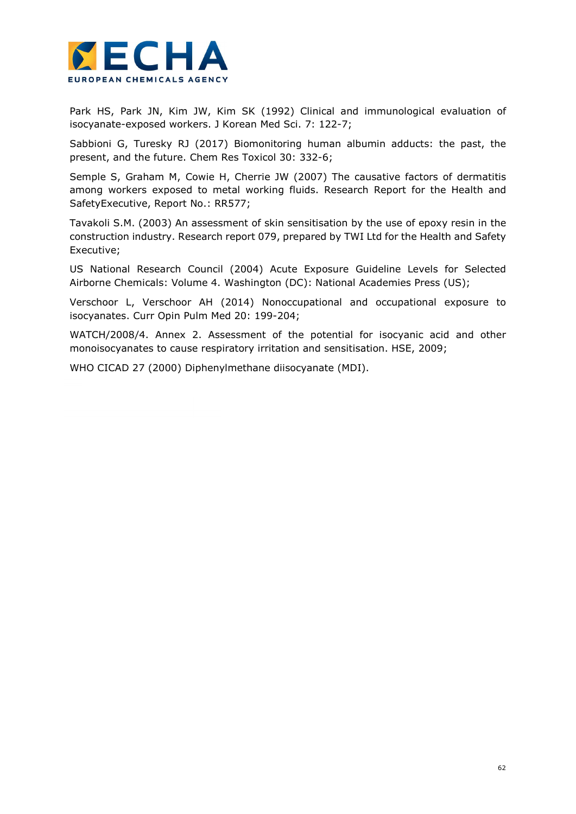

Park HS, Park JN, Kim JW, Kim SK (1992) Clinical and immunological evaluation of isocyanate-exposed workers. J Korean Med Sci. 7: 122-7;

Sabbioni G, Turesky RJ (2017) Biomonitoring human albumin adducts: the past, the present, and the future. Chem Res Toxicol 30: 332-6;

Semple S, Graham M, Cowie H, Cherrie JW (2007) The causative factors of dermatitis among workers exposed to metal working fluids. Research Report for the Health and SafetyExecutive, Report No.: RR577;

Tavakoli S.M. (2003) An assessment of skin sensitisation by the use of epoxy resin in the construction industry. Research report 079, prepared by TWI Ltd for the Health and Safety Executive;

US National Research Council (2004) Acute Exposure Guideline Levels for Selected Airborne Chemicals: Volume 4. Washington (DC): National Academies Press (US);

Verschoor L, Verschoor AH (2014) Nonoccupational and occupational exposure to isocyanates. Curr Opin Pulm Med 20: 199-204;

WATCH/2008/4. Annex 2. Assessment of the potential for isocyanic acid and other monoisocyanates to cause respiratory irritation and sensitisation. HSE, 2009;

WHO CICAD 27 (2000) Diphenylmethane diisocyanate (MDI).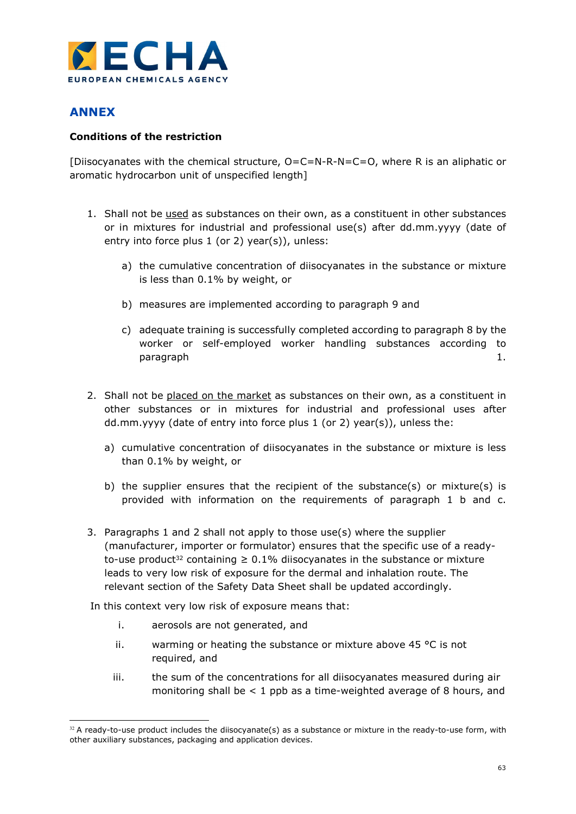

# ANNEX

### Conditions of the restriction

[Diisocyanates with the chemical structure, O=C=N-R-N=C=O, where R is an aliphatic or aromatic hydrocarbon unit of unspecified length]

- 1. Shall not be used as substances on their own, as a constituent in other substances or in mixtures for industrial and professional use(s) after dd.mm.yyyy (date of entry into force plus 1 (or 2) year(s)), unless:
	- a) the cumulative concentration of diisocyanates in the substance or mixture is less than 0.1% by weight, or
	- b) measures are implemented according to paragraph 9 and
	- c) adequate training is successfully completed according to paragraph 8 by the worker or self-employed worker handling substances according to paragraph 1.
- 2. Shall not be placed on the market as substances on their own, as a constituent in other substances or in mixtures for industrial and professional uses after dd.mm.yyyy (date of entry into force plus 1 (or 2) year(s)), unless the:
	- a) cumulative concentration of diisocyanates in the substance or mixture is less than 0.1% by weight, or
	- b) the supplier ensures that the recipient of the substance(s) or mixture(s) is provided with information on the requirements of paragraph 1 b and c.
- 3. Paragraphs 1 and 2 shall not apply to those use(s) where the supplier (manufacturer, importer or formulator) ensures that the specific use of a readyto-use product<sup>32</sup> containing  $\geq 0.1\%$  diisocyanates in the substance or mixture leads to very low risk of exposure for the dermal and inhalation route. The relevant section of the Safety Data Sheet shall be updated accordingly.

In this context very low risk of exposure means that:

- i. aerosols are not generated, and
- ii. warming or heating the substance or mixture above 45 °C is not required, and
- iii. the sum of the concentrations for all diisocyanates measured during air monitoring shall be  $< 1$  ppb as a time-weighted average of 8 hours, and

<sup>-</sup> $32$  A ready-to-use product includes the diisocyanate(s) as a substance or mixture in the ready-to-use form, with other auxiliary substances, packaging and application devices.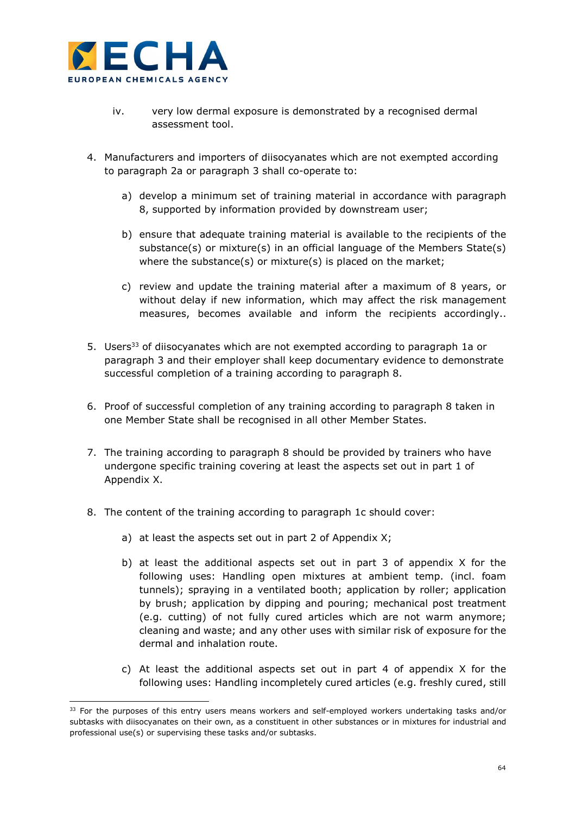

-

- iv. very low dermal exposure is demonstrated by a recognised dermal assessment tool.
- 4. Manufacturers and importers of diisocyanates which are not exempted according to paragraph 2a or paragraph 3 shall co-operate to:
	- a) develop a minimum set of training material in accordance with paragraph 8, supported by information provided by downstream user;
	- b) ensure that adequate training material is available to the recipients of the substance(s) or mixture(s) in an official language of the Members State(s) where the substance(s) or mixture(s) is placed on the market;
	- c) review and update the training material after a maximum of 8 years, or without delay if new information, which may affect the risk management measures, becomes available and inform the recipients accordingly..
- 5. Users<sup>33</sup> of diisocyanates which are not exempted according to paragraph 1a or paragraph 3 and their employer shall keep documentary evidence to demonstrate successful completion of a training according to paragraph 8.
- 6. Proof of successful completion of any training according to paragraph 8 taken in one Member State shall be recognised in all other Member States.
- 7. The training according to paragraph 8 should be provided by trainers who have undergone specific training covering at least the aspects set out in part 1 of Appendix X.
- 8. The content of the training according to paragraph 1c should cover:
	- a) at least the aspects set out in part 2 of Appendix X;
	- b) at least the additional aspects set out in part 3 of appendix X for the following uses: Handling open mixtures at ambient temp. (incl. foam tunnels); spraying in a ventilated booth; application by roller; application by brush; application by dipping and pouring; mechanical post treatment (e.g. cutting) of not fully cured articles which are not warm anymore; cleaning and waste; and any other uses with similar risk of exposure for the dermal and inhalation route.
	- c) At least the additional aspects set out in part 4 of appendix X for the following uses: Handling incompletely cured articles (e.g. freshly cured, still

<sup>&</sup>lt;sup>33</sup> For the purposes of this entry users means workers and self-employed workers undertaking tasks and/or subtasks with diisocyanates on their own, as a constituent in other substances or in mixtures for industrial and professional use(s) or supervising these tasks and/or subtasks.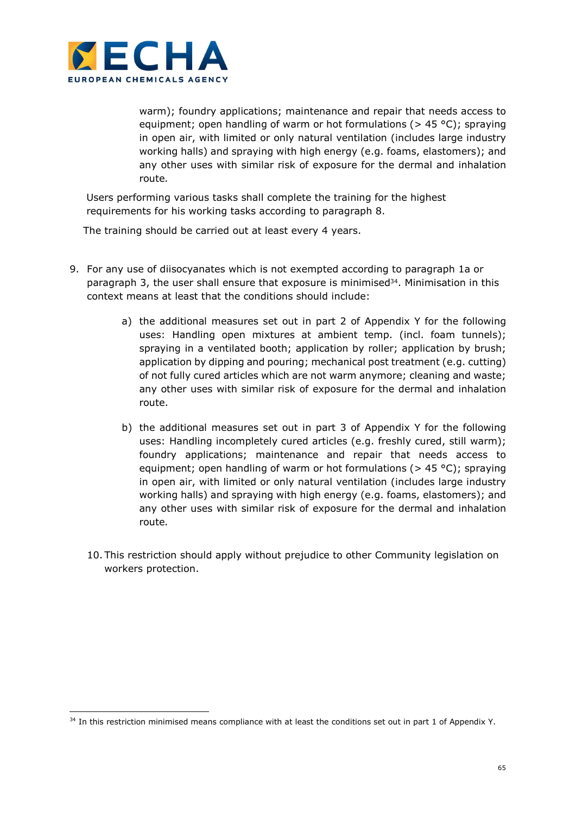

-

warm); foundry applications; maintenance and repair that needs access to equipment; open handling of warm or hot formulations ( $>$  45 °C); spraying in open air, with limited or only natural ventilation (includes large industry working halls) and spraying with high energy (e.g. foams, elastomers); and any other uses with similar risk of exposure for the dermal and inhalation route.

Users performing various tasks shall complete the training for the highest requirements for his working tasks according to paragraph 8.

The training should be carried out at least every 4 years.

- 9. For any use of diisocyanates which is not exempted according to paragraph 1a or paragraph 3, the user shall ensure that exposure is minimised $34$ . Minimisation in this context means at least that the conditions should include:
	- a) the additional measures set out in part 2 of Appendix Y for the following uses: Handling open mixtures at ambient temp. (incl. foam tunnels); spraying in a ventilated booth; application by roller; application by brush; application by dipping and pouring; mechanical post treatment (e.g. cutting) of not fully cured articles which are not warm anymore; cleaning and waste; any other uses with similar risk of exposure for the dermal and inhalation route.
	- b) the additional measures set out in part 3 of Appendix Y for the following uses: Handling incompletely cured articles (e.g. freshly cured, still warm); foundry applications; maintenance and repair that needs access to equipment; open handling of warm or hot formulations ( $>$  45 °C); spraying in open air, with limited or only natural ventilation (includes large industry working halls) and spraying with high energy (e.g. foams, elastomers); and any other uses with similar risk of exposure for the dermal and inhalation route.
	- 10. This restriction should apply without prejudice to other Community legislation on workers protection.

<sup>&</sup>lt;sup>34</sup> In this restriction minimised means compliance with at least the conditions set out in part 1 of Appendix Y.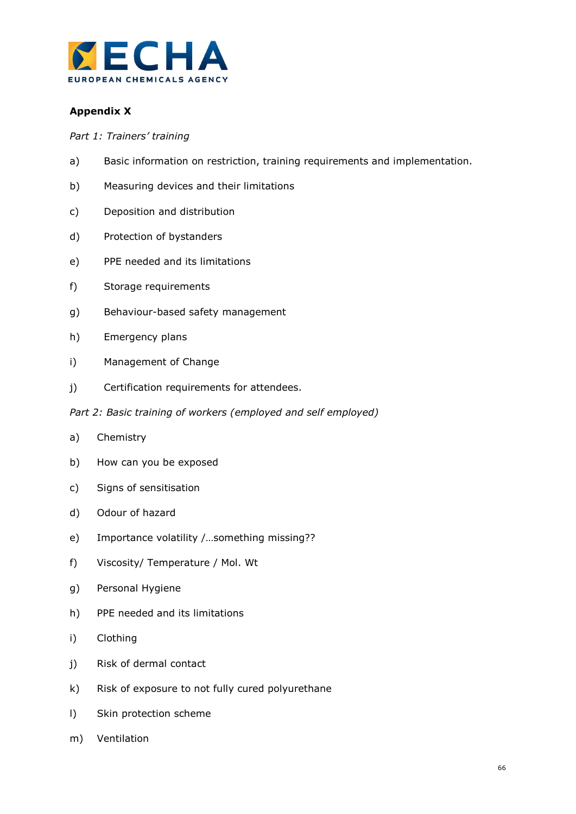

## Appendix X

Part 1: Trainers' training

- a) Basic information on restriction, training requirements and implementation.
- b) Measuring devices and their limitations
- c) Deposition and distribution
- d) Protection of bystanders
- e) PPE needed and its limitations
- f) Storage requirements
- g) Behaviour-based safety management
- h) Emergency plans
- i) Management of Change
- j) Certification requirements for attendees.
- Part 2: Basic training of workers (employed and self employed)
- a) Chemistry
- b) How can you be exposed
- c) Signs of sensitisation
- d) Odour of hazard
- e) Importance volatility /…something missing??
- f) Viscosity/ Temperature / Mol. Wt
- g) Personal Hygiene
- h) PPE needed and its limitations
- i) Clothing
- j) Risk of dermal contact
- k) Risk of exposure to not fully cured polyurethane
- l) Skin protection scheme
- m) Ventilation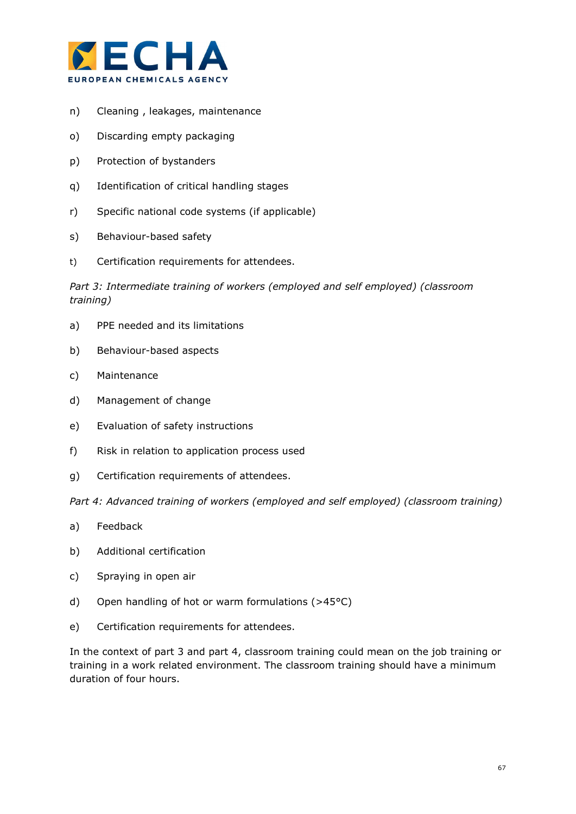

- n) Cleaning , leakages, maintenance
- o) Discarding empty packaging
- p) Protection of bystanders
- q) Identification of critical handling stages
- r) Specific national code systems (if applicable)
- s) Behaviour-based safety
- t) Certification requirements for attendees.

Part 3: Intermediate training of workers (employed and self employed) (classroom training)

- a) PPE needed and its limitations
- b) Behaviour-based aspects
- c) Maintenance
- d) Management of change
- e) Evaluation of safety instructions
- f) Risk in relation to application process used
- g) Certification requirements of attendees.

Part 4: Advanced training of workers (employed and self employed) (classroom training)

- a) Feedback
- b) Additional certification
- c) Spraying in open air
- d) Open handling of hot or warm formulations (>45°C)
- e) Certification requirements for attendees.

In the context of part 3 and part 4, classroom training could mean on the job training or training in a work related environment. The classroom training should have a minimum duration of four hours.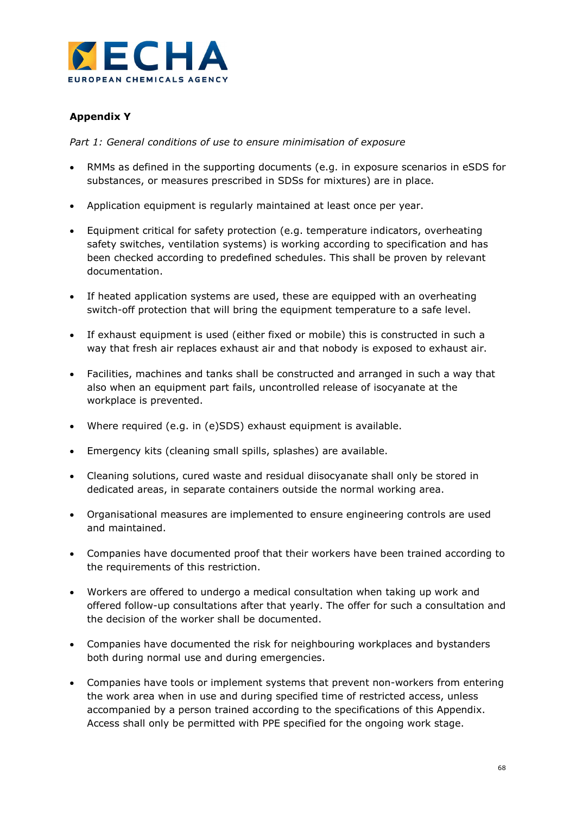

## Appendix Y

Part 1: General conditions of use to ensure minimisation of exposure

- RMMs as defined in the supporting documents (e.g. in exposure scenarios in eSDS for substances, or measures prescribed in SDSs for mixtures) are in place.
- Application equipment is regularly maintained at least once per year.
- Equipment critical for safety protection (e.g. temperature indicators, overheating safety switches, ventilation systems) is working according to specification and has been checked according to predefined schedules. This shall be proven by relevant documentation.
- If heated application systems are used, these are equipped with an overheating switch-off protection that will bring the equipment temperature to a safe level.
- If exhaust equipment is used (either fixed or mobile) this is constructed in such a way that fresh air replaces exhaust air and that nobody is exposed to exhaust air.
- Facilities, machines and tanks shall be constructed and arranged in such a way that also when an equipment part fails, uncontrolled release of isocyanate at the workplace is prevented.
- Where required (e.g. in (e)SDS) exhaust equipment is available.
- Emergency kits (cleaning small spills, splashes) are available.
- Cleaning solutions, cured waste and residual diisocyanate shall only be stored in dedicated areas, in separate containers outside the normal working area.
- Organisational measures are implemented to ensure engineering controls are used and maintained.
- Companies have documented proof that their workers have been trained according to the requirements of this restriction.
- Workers are offered to undergo a medical consultation when taking up work and offered follow-up consultations after that yearly. The offer for such a consultation and the decision of the worker shall be documented.
- Companies have documented the risk for neighbouring workplaces and bystanders both during normal use and during emergencies.
- Companies have tools or implement systems that prevent non-workers from entering the work area when in use and during specified time of restricted access, unless accompanied by a person trained according to the specifications of this Appendix. Access shall only be permitted with PPE specified for the ongoing work stage.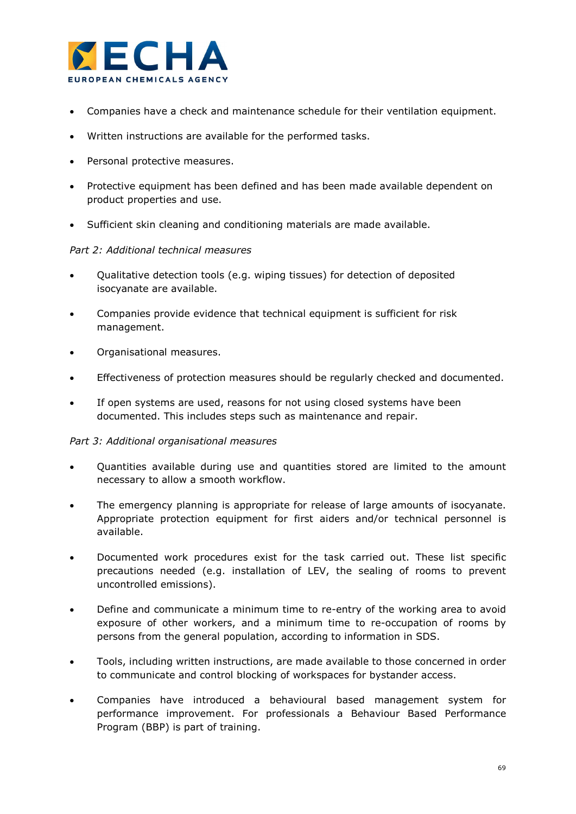

- Companies have a check and maintenance schedule for their ventilation equipment.
- Written instructions are available for the performed tasks.
- Personal protective measures.
- Protective equipment has been defined and has been made available dependent on product properties and use.
- Sufficient skin cleaning and conditioning materials are made available.

## Part 2: Additional technical measures

- Qualitative detection tools (e.g. wiping tissues) for detection of deposited isocyanate are available.
- Companies provide evidence that technical equipment is sufficient for risk management.
- Organisational measures.
- Effectiveness of protection measures should be regularly checked and documented.
- If open systems are used, reasons for not using closed systems have been documented. This includes steps such as maintenance and repair.

## Part 3: Additional organisational measures

- Quantities available during use and quantities stored are limited to the amount necessary to allow a smooth workflow.
- The emergency planning is appropriate for release of large amounts of isocyanate. Appropriate protection equipment for first aiders and/or technical personnel is available.
- Documented work procedures exist for the task carried out. These list specific precautions needed (e.g. installation of LEV, the sealing of rooms to prevent uncontrolled emissions).
- Define and communicate a minimum time to re-entry of the working area to avoid exposure of other workers, and a minimum time to re-occupation of rooms by persons from the general population, according to information in SDS.
- Tools, including written instructions, are made available to those concerned in order to communicate and control blocking of workspaces for bystander access.
- Companies have introduced a behavioural based management system for performance improvement. For professionals a Behaviour Based Performance Program (BBP) is part of training.